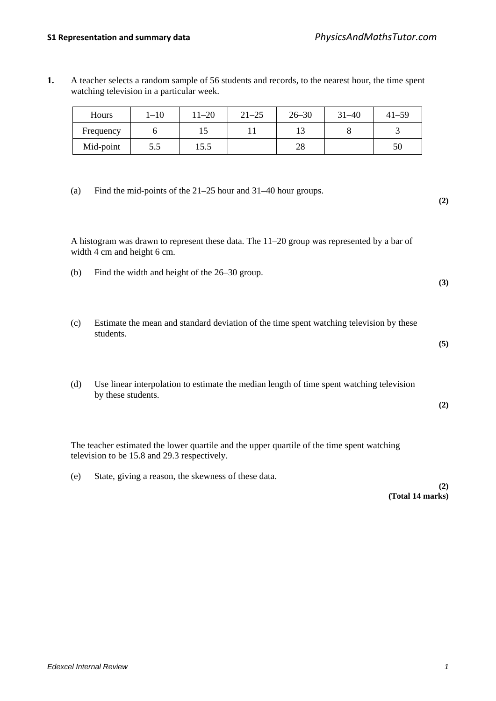**1.** A teacher selects a random sample of 56 students and records, to the nearest hour, the time spent watching television in a particular week.

| Hours     | 1–10 | 11–20 | $21 - 25$ | $26 - 30$ | $31 - 40$ | $41 - 59$ |
|-----------|------|-------|-----------|-----------|-----------|-----------|
| Frequency |      | ⊥୰    |           |           |           |           |
| Mid-point | 5.5  | 15.5  |           | no<br>20  |           | 50        |

(a) Find the mid-points of the 21–25 hour and 31–40 hour groups.

A histogram was drawn to represent these data. The 11–20 group was represented by a bar of width 4 cm and height 6 cm.

- (b) Find the width and height of the 26–30 group.
- (c) Estimate the mean and standard deviation of the time spent watching television by these students.
- (d) Use linear interpolation to estimate the median length of time spent watching television by these students.

The teacher estimated the lower quartile and the upper quartile of the time spent watching television to be 15.8 and 29.3 respectively.

(e) State, giving a reason, the skewness of these data.

#### **(2) (Total 14 marks)**

**(2)**

**(3)**

**(5)**

**(2)**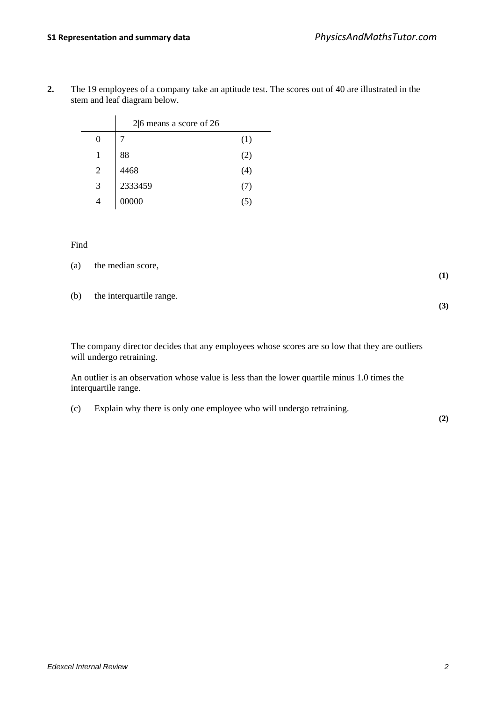|   | $2 6$ means a score of 26 |         |
|---|---------------------------|---------|
|   |                           | (1)     |
|   | 88                        | (2)     |
| 2 | 4468                      | (4)     |
| 3 | 2333459                   | (7)     |
|   | 00000                     | $\circ$ |

**2.** The 19 employees of a company take an aptitude test. The scores out of 40 are illustrated in the stem and leaf diagram below.

#### Find

|     | (a) the median score,    |  |
|-----|--------------------------|--|
|     |                          |  |
| (b) | the interquartile range. |  |

**(3)**

The company director decides that any employees whose scores are so low that they are outliers will undergo retraining.

An outlier is an observation whose value is less than the lower quartile minus 1.0 times the interquartile range.

(c) Explain why there is only one employee who will undergo retraining.

**(2)**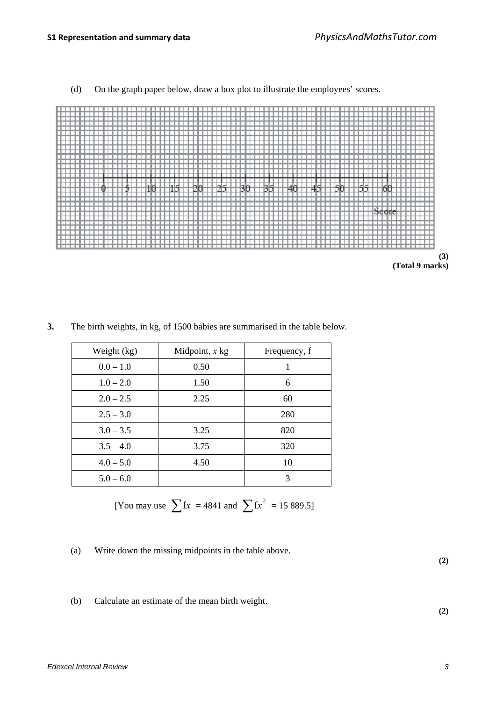(d) On the graph paper below, draw a box plot to illustrate the employees' scores.





| Weight (kg) | Midpoint, $x$ kg | Frequency, f |  |
|-------------|------------------|--------------|--|
| $0.0 - 1.0$ | 0.50             |              |  |
| $1.0 - 2.0$ | 1.50             | 6            |  |
| $2.0 - 2.5$ | 2.25             | 60           |  |
| $2.5 - 3.0$ |                  | 280          |  |
| $3.0 - 3.5$ | 3.25             | 820          |  |
| $3.5 - 4.0$ | 3.75             | 320          |  |
| $4.0 - 5.0$ | 4.50             | 10           |  |
| $5.0 - 6.0$ |                  | 3            |  |

**3.** The birth weights, in kg, of 1500 babies are summarised in the table below.

[You may use 
$$
\sum fx = 4841
$$
 and  $\sum fx^2 = 15889.5$ ]

(a) Write down the missing midpoints in the table above.

**(2)**

**(2)**

(b) Calculate an estimate of the mean birth weight.

*Edexcel Internal Review 3*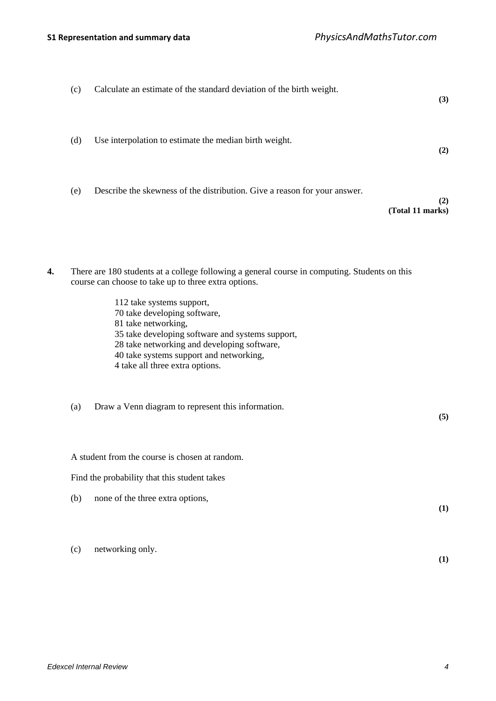| (3)                     | Calculate an estimate of the standard deviation of the birth weight.<br>(c)                                                                                                                                                                                                                                                                                                                                                      |
|-------------------------|----------------------------------------------------------------------------------------------------------------------------------------------------------------------------------------------------------------------------------------------------------------------------------------------------------------------------------------------------------------------------------------------------------------------------------|
| (2)                     | (d)<br>Use interpolation to estimate the median birth weight.                                                                                                                                                                                                                                                                                                                                                                    |
| (2)<br>(Total 11 marks) | (e)<br>Describe the skewness of the distribution. Give a reason for your answer.                                                                                                                                                                                                                                                                                                                                                 |
|                         | There are 180 students at a college following a general course in computing. Students on this<br>4.<br>course can choose to take up to three extra options.<br>112 take systems support,<br>70 take developing software,<br>81 take networking,<br>35 take developing software and systems support,<br>28 take networking and developing software,<br>40 take systems support and networking,<br>4 take all three extra options. |
| (5)                     | Draw a Venn diagram to represent this information.<br>(a)                                                                                                                                                                                                                                                                                                                                                                        |
|                         | A student from the course is chosen at random.<br>Find the probability that this student takes<br>none of the three extra options,<br>(b)                                                                                                                                                                                                                                                                                        |
| (1)<br>(1)              | networking only.<br>(c)                                                                                                                                                                                                                                                                                                                                                                                                          |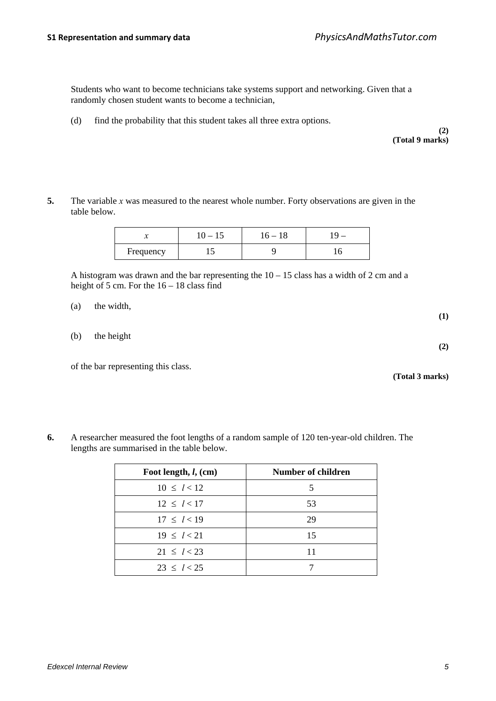Students who want to become technicians take systems support and networking. Given that a randomly chosen student wants to become a technician,

(d) find the probability that this student takes all three extra options.

**(2) (Total 9 marks)**

**5.** The variable *x* was measured to the nearest whole number. Forty observations are given in the table below.

|           | 1 J | 18 |   |
|-----------|-----|----|---|
| Frequency | - ~ |    | ◡ |

A histogram was drawn and the bar representing the  $10 - 15$  class has a width of 2 cm and a height of 5 cm. For the  $16 - 18$  class find

| (a) | the width, | $\bf(1)$ |
|-----|------------|----------|
| (b) | the height | (2)      |

of the bar representing this class.

**(Total 3 marks)**

**6.** A researcher measured the foot lengths of a random sample of 120 ten-year-old children. The lengths are summarised in the table below.

| Foot length, $l$ , (cm) | Number of children |
|-------------------------|--------------------|
| $10 \le l < 12$         | 5                  |
| $12 \le l < 17$         | 53                 |
| $17 \le l < 19$         | 29                 |
| $19 \le l < 21$         | 15                 |
| $21 \le l < 23$         |                    |
| $23 \le l < 25$         |                    |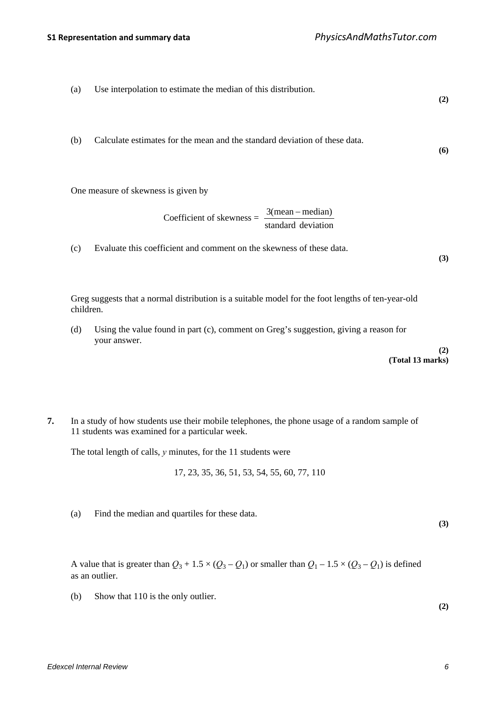- (a) Use interpolation to estimate the median of this distribution. **(2)** (b) Calculate estimates for the mean and the standard deviation of these data. **(6)** One measure of skewness is given by  $Coefficient of skewness =$ standard deviation 3(mean – median) (c) Evaluate this coefficient and comment on the skewness of these data. **(3)** Greg suggests that a normal distribution is a suitable model for the foot lengths of ten-year-old children.
	- (d) Using the value found in part (c), comment on Greg's suggestion, giving a reason for your answer.

**(2) (Total 13 marks)**

**7.** In a study of how students use their mobile telephones, the phone usage of a random sample of 11 students was examined for a particular week.

The total length of calls, *y* minutes, for the 11 students were

17, 23, 35, 36, 51, 53, 54, 55, 60, 77, 110

(a) Find the median and quartiles for these data.

**(3)**

A value that is greater than  $Q_3 + 1.5 \times (Q_3 - Q_1)$  or smaller than  $Q_1 - 1.5 \times (Q_3 - Q_1)$  is defined as an outlier.

(b) Show that 110 is the only outlier.

**(2)**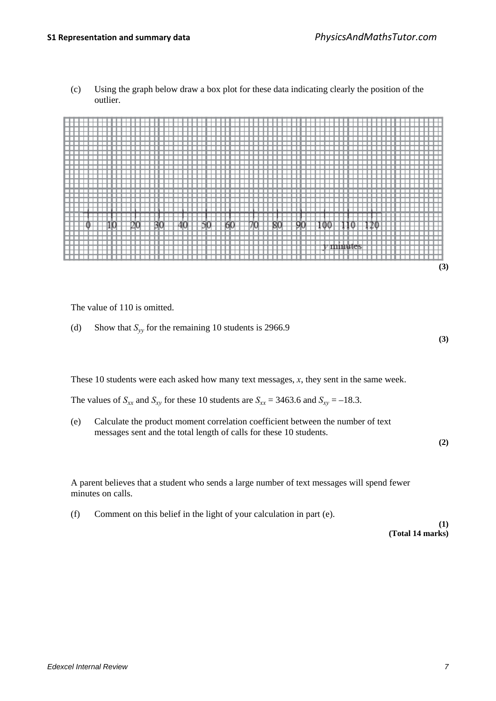(c) Using the graph below draw a box plot for these data indicating clearly the position of the outlier.



The value of 110 is omitted.

(d) Show that  $S_{yy}$  for the remaining 10 students is 2966.9

These 10 students were each asked how many text messages, *x*, they sent in the same week.

The values of  $S_{xx}$  and  $S_{xy}$  for these 10 students are  $S_{xx} = 3463.6$  and  $S_{xy} = -18.3$ .

(e) Calculate the product moment correlation coefficient between the number of text messages sent and the total length of calls for these 10 students.

**(2)**

**(3)**

A parent believes that a student who sends a large number of text messages will spend fewer minutes on calls.

(f) Comment on this belief in the light of your calculation in part (e).

**(1) (Total 14 marks)**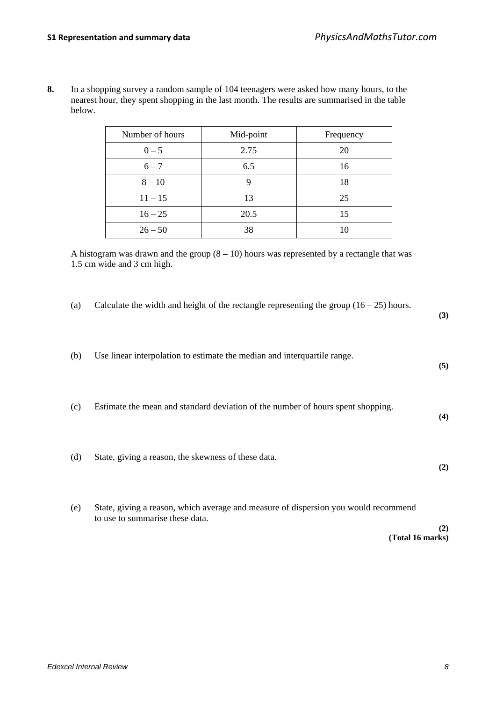**8.** In a shopping survey a random sample of 104 teenagers were asked how many hours, to the nearest hour, they spent shopping in the last month. The results are summarised in the table below.

| Number of hours | Mid-point | Frequency |  |
|-----------------|-----------|-----------|--|
| $0 - 5$         | 2.75      | 20        |  |
| $6 - 7$         | 6.5       | 16        |  |
| $8 - 10$        |           | 18        |  |
| $11 - 15$       | 13        | 25        |  |
| $16 - 25$       | 20.5      | 15        |  |
| $26 - 50$       | 38        | 10        |  |

A histogram was drawn and the group  $(8 - 10)$  hours was represented by a rectangle that was 1.5 cm wide and 3 cm high.

(a) Calculate the width and height of the rectangle representing the group  $(16 - 25)$  hours. **(3)** (b) Use linear interpolation to estimate the median and interquartile range. **(5)** (c) Estimate the mean and standard deviation of the number of hours spent shopping. **(4)** (d) State, giving a reason, the skewness of these data. **(2)** (e) State, giving a reason, which average and measure of dispersion you would recommend to use to summarise these data. **(2) (Total 16 marks)**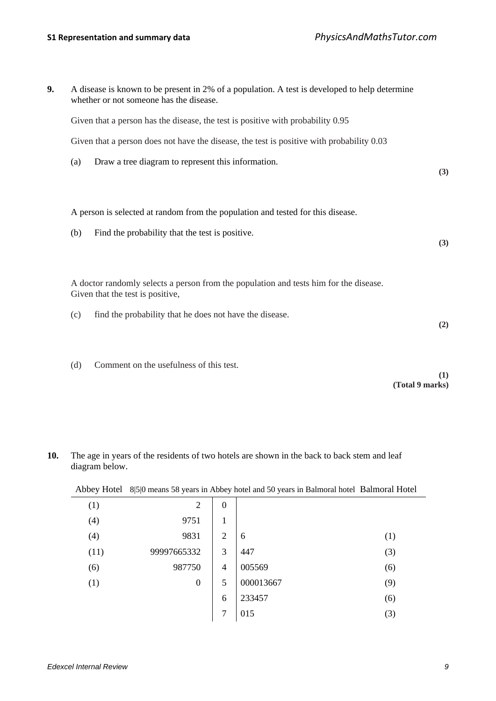| 9. | A disease is known to be present in 2% of a population. A test is developed to help determine<br>whether or not someone has the disease. |     |
|----|------------------------------------------------------------------------------------------------------------------------------------------|-----|
|    | Given that a person has the disease, the test is positive with probability 0.95                                                          |     |
|    | Given that a person does not have the disease, the test is positive with probability 0.03                                                |     |
|    | Draw a tree diagram to represent this information.<br>(a)                                                                                | (3) |
|    | A person is selected at random from the population and tested for this disease.                                                          |     |
|    | Find the probability that the test is positive.<br>(b)                                                                                   | (3) |
|    | A doctor randomly selects a person from the population and tests him for the disease.<br>Given that the test is positive,                |     |
|    | find the probability that he does not have the disease.<br>(c)                                                                           | (2) |
|    | Comment on the usefulness of this test.<br>(d)                                                                                           | (1) |

**(Total 9 marks)**

|      | Abbey Hotel 8/5/0 means 58 years in Abbey hotel and 50 years in Balmoral hotel Balmoral Hotel |                  |           |     |
|------|-----------------------------------------------------------------------------------------------|------------------|-----------|-----|
| (1)  | 2                                                                                             | $\boldsymbol{0}$ |           |     |
| (4)  | 9751                                                                                          | 1                |           |     |
| (4)  | 9831                                                                                          | $\overline{2}$   | 6         | (1) |
| (11) | 99997665332                                                                                   | 3                | 447       | (3) |
| (6)  | 987750                                                                                        | $\overline{4}$   | 005569    | (6) |
| (1)  | $\boldsymbol{0}$                                                                              | 5                | 000013667 | (9) |
|      |                                                                                               | 6                | 233457    | (6) |
|      |                                                                                               | $\overline{7}$   | 015       | (3) |

**10.** The age in years of the residents of two hotels are shown in the back to back stem and leaf diagram below.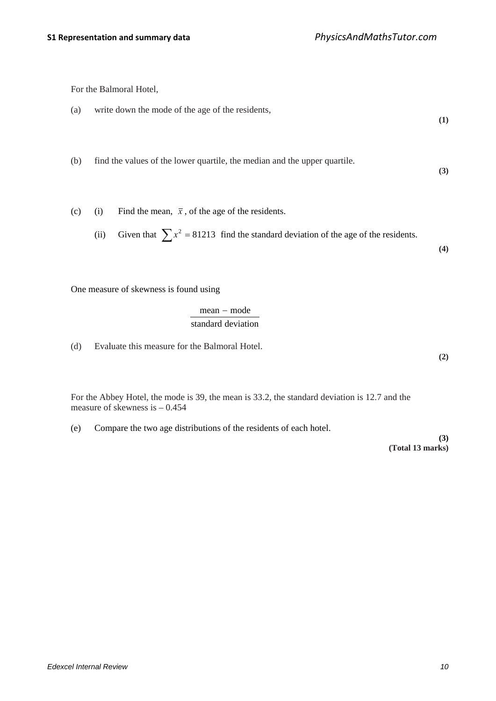For the Balmoral Hotel,

\n- (a) write down the mode of the age of the residents,
\n- (b) find the values of the lower quartile, the median and the upper quartile.
\n- (c) (i) Find the mean, 
$$
\bar{x}
$$
, of the age of the residents.
\n- (ii) Given that  $\sum x^2 = 81213$  find the standard deviation of the age of the residents.
\n- (4)
\n

One measure of skewness is found using

$$
\frac{mean - mode}{standard deviation}
$$

(d) Evaluate this measure for the Balmoral Hotel.

For the Abbey Hotel, the mode is 39, the mean is 33.2, the standard deviation is 12.7 and the measure of skewness is – 0.454

(e) Compare the two age distributions of the residents of each hotel.

**(3) (Total 13 marks)**

**(2)**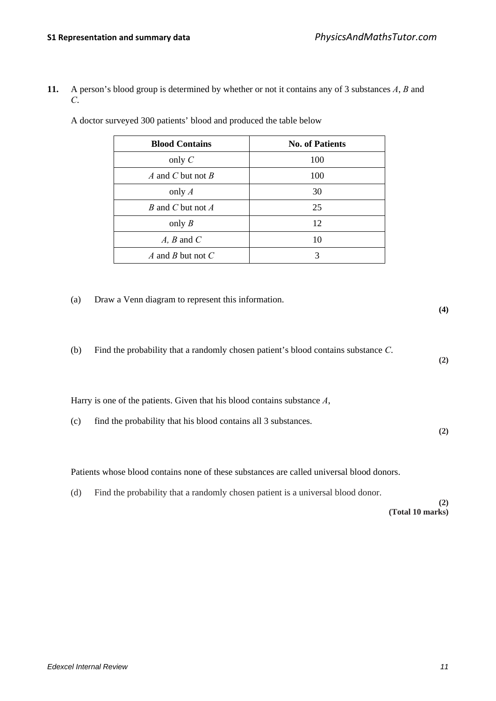**11.** A person's blood group is determined by whether or not it contains any of 3 substances *A*, *B* and *C*.

| <b>Blood Contains</b> | <b>No. of Patients</b> |
|-----------------------|------------------------|
| only $C$              | 100                    |
| A and C but not B     | 100                    |
| only $A$              | 30                     |
| B and C but not A     | 25                     |
| only $B$              | 12                     |
| $A, B$ and $C$        | 10                     |
| A and B but not $C$   | 3                      |

A doctor surveyed 300 patients' blood and produced the table below

(a) Draw a Venn diagram to represent this information.

| (b) | Find the probability that a randomly chosen patient's blood contains substance $C$ . |  |
|-----|--------------------------------------------------------------------------------------|--|
|-----|--------------------------------------------------------------------------------------|--|

Harry is one of the patients. Given that his blood contains substance *A*,

| (c) find the probability that his blood contains all 3 substances. |  |
|--------------------------------------------------------------------|--|
|                                                                    |  |

Patients whose blood contains none of these substances are called universal blood donors.

(d) Find the probability that a randomly chosen patient is a universal blood donor.

**(2) (Total 10 marks)**

**(4)**

**(2)**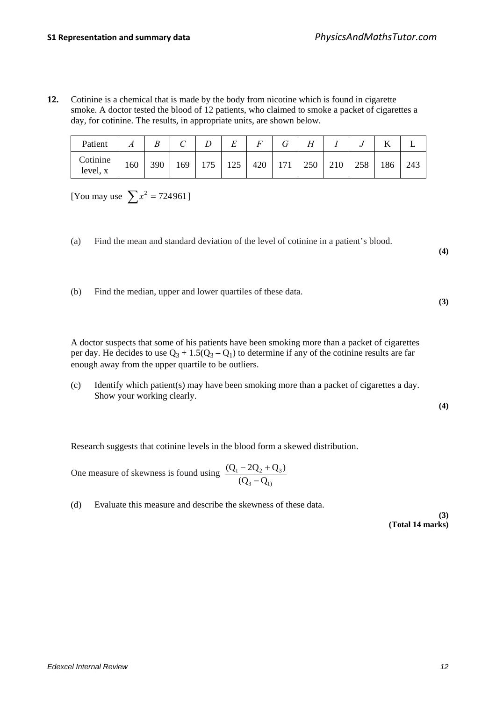**12.** Cotinine is a chemical that is made by the body from nicotine which is found in cigarette smoke. A doctor tested the blood of 12 patients, who claimed to smoke a packet of cigarettes a day, for cotinine. The results, in appropriate units, are shown below.

| Patient              |     | B   | ◡   |     | $\mathbf{r}$<br>Ľ | $\Gamma$ |     | $\overline{I}$<br>п |     |     | <b>T</b><br>v |     |
|----------------------|-----|-----|-----|-----|-------------------|----------|-----|---------------------|-----|-----|---------------|-----|
| Cotinine<br>level, x | 160 | 390 | 169 | 175 | 125               | 420      | 171 | 250                 | 210 | 258 | 186           | 243 |

[You may use  $\sum x^2 = 724961$ ]

(a) Find the mean and standard deviation of the level of cotinine in a patient's blood.

**(4)**

**(3)**

(b) Find the median, upper and lower quartiles of these data.

A doctor suspects that some of his patients have been smoking more than a packet of cigarettes per day. He decides to use  $Q_3 + 1.5(Q_3 - Q_1)$  to determine if any of the cotinine results are far enough away from the upper quartile to be outliers.

(c) Identify which patient(s) may have been smoking more than a packet of cigarettes a day. Show your working clearly.

**(4)**

Research suggests that cotinine levels in the blood form a skewed distribution.

One measure of skewness is found using 3  $\mathsf{Q}_1$ )  $3^{1-2}$ 2 $2+23$  $(Q_3 - Q)$  $(Q_1 - 2Q_2 + Q_3)$ −  $-2Q_2 +$ 

(d) Evaluate this measure and describe the skewness of these data.

**(3) (Total 14 marks)**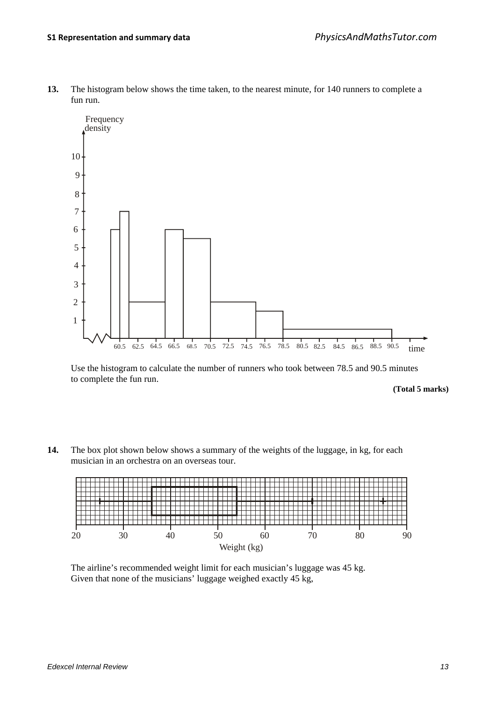**13.** The histogram below shows the time taken, to the nearest minute, for 140 runners to complete a fun run.



Use the histogram to calculate the number of runners who took between 78.5 and 90.5 minutes to complete the fun run.

**(Total 5 marks)**

**14.** The box plot shown below shows a summary of the weights of the luggage, in kg, for each musician in an orchestra on an overseas tour.



The airline's recommended weight limit for each musician's luggage was 45 kg. Given that none of the musicians' luggage weighed exactly 45 kg,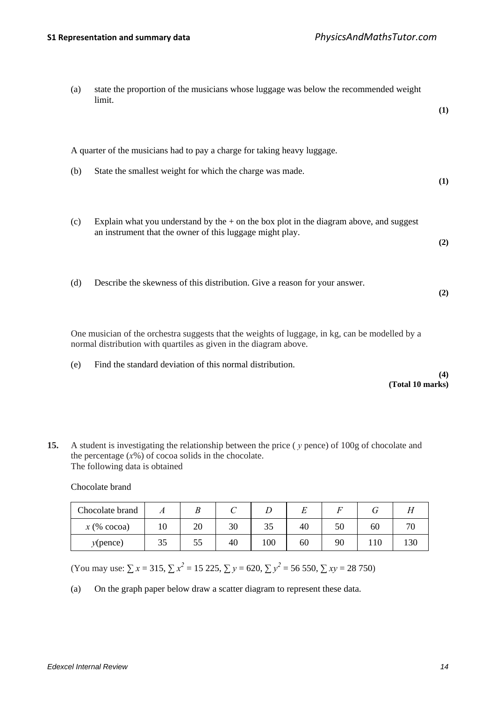| (a)                                                                                                                                                                  | state the proportion of the musicians whose luggage was below the recommended weight<br>limit.                                                       | (1) |  |  |  |
|----------------------------------------------------------------------------------------------------------------------------------------------------------------------|------------------------------------------------------------------------------------------------------------------------------------------------------|-----|--|--|--|
|                                                                                                                                                                      | A quarter of the musicians had to pay a charge for taking heavy luggage.                                                                             |     |  |  |  |
| (b)                                                                                                                                                                  | State the smallest weight for which the charge was made.                                                                                             | (1) |  |  |  |
| (c)                                                                                                                                                                  | Explain what you understand by the $+$ on the box plot in the diagram above, and suggest<br>an instrument that the owner of this luggage might play. | (2) |  |  |  |
| (d)                                                                                                                                                                  | Describe the skewness of this distribution. Give a reason for your answer.                                                                           | (2) |  |  |  |
| One musician of the orchestra suggests that the weights of luggage, in kg, can be modelled by a<br>normal distribution with quartiles as given in the diagram above. |                                                                                                                                                      |     |  |  |  |

(e) Find the standard deviation of this normal distribution.

**(4) (Total 10 marks)**

**15.** A student is investigating the relationship between the price ( *y* pence) of 100g of chocolate and the percentage  $(x\%)$  of cocoa solids in the chocolate. The following data is obtained

Chocolate brand

| Chocolate brand             |    |    |    |     |    |    |     |                          |
|-----------------------------|----|----|----|-----|----|----|-----|--------------------------|
| $x \left( \%\right) \csc a$ | 10 | 20 | 30 | JJ  | 40 | 50 | 60  | $\overline{\phantom{a}}$ |
| $y$ (pence)                 | СC | DС | 40 | 100 | 60 | 90 | 110 | 130                      |

(You may use:  $\sum x = 315$ ,  $\sum x^2 = 15225$ ,  $\sum y = 620$ ,  $\sum y^2 = 56550$ ,  $\sum xy = 28750$ )

(a) On the graph paper below draw a scatter diagram to represent these data.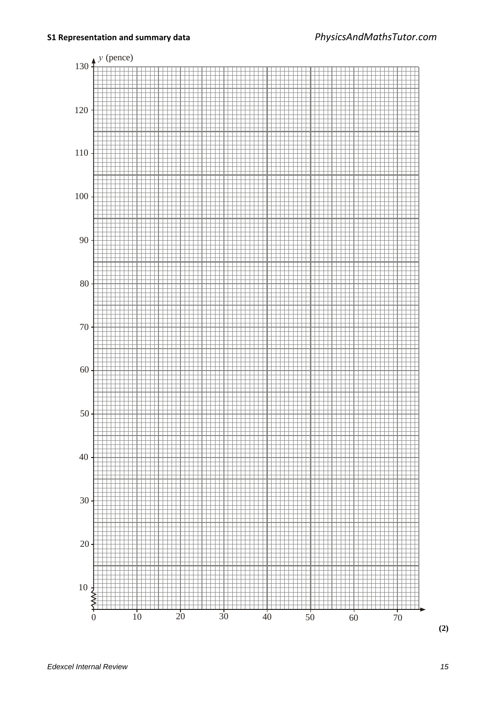

**(2)**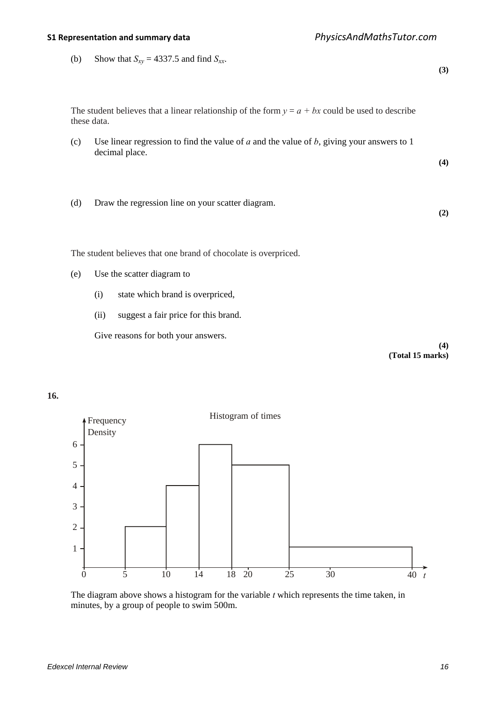(b) Show that  $S_{xy} = 4337.5$  and find  $S_{xx}$ . **(3)** The student believes that a linear relationship of the form  $y = a + bx$  could be used to describe these data. (c) Use linear regression to find the value of *a* and the value of *b*, giving your answers to 1 decimal place. **(4)** (d) Draw the regression line on your scatter diagram. **(2)** The student believes that one brand of chocolate is overpriced. (e) Use the scatter diagram to (i) state which brand is overpriced, (ii) suggest a fair price for this brand. Give reasons for both your answers. **(4) (Total 15 marks)**





The diagram above shows a histogram for the variable *t* which represents the time taken, in minutes, by a group of people to swim 500m.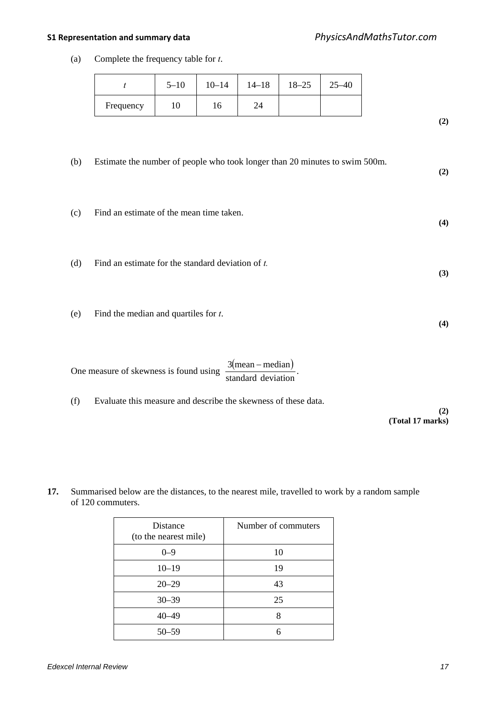(a) Complete the frequency table for *t*.

|           | $5 - 10$ | $10 - 14$ | $14 - 18$ | $18 - 25$ | 5–40 |
|-----------|----------|-----------|-----------|-----------|------|
| Frequency | 10       | 10        |           |           |      |

**(2)**

**(2)**

**(4)**

**(3)**

**(4)**

- (b) Estimate the number of people who took longer than 20 minutes to swim 500m.
- (c) Find an estimate of the mean time taken.
- (d) Find an estimate for the standard deviation of *t.*
- (e) Find the median and quartiles for *t*.

One measure of skewness is found using  $\frac{3(\text{mean}-\text{median})}{\text{standard deviation}}$ .

(f) Evaluate this measure and describe the skewness of these data.

**(2) (Total 17 marks)**

**17.** Summarised below are the distances, to the nearest mile, travelled to work by a random sample of 120 commuters.

| <b>Distance</b><br>(to the nearest mile) | Number of commuters |
|------------------------------------------|---------------------|
| $0 - 9$                                  | 10                  |
| $10 - 19$                                | 19                  |
| $20 - 29$                                | 43                  |
| $30 - 39$                                | 25                  |
| $40 - 49$                                | 8                   |
| $50 - 59$                                | 6                   |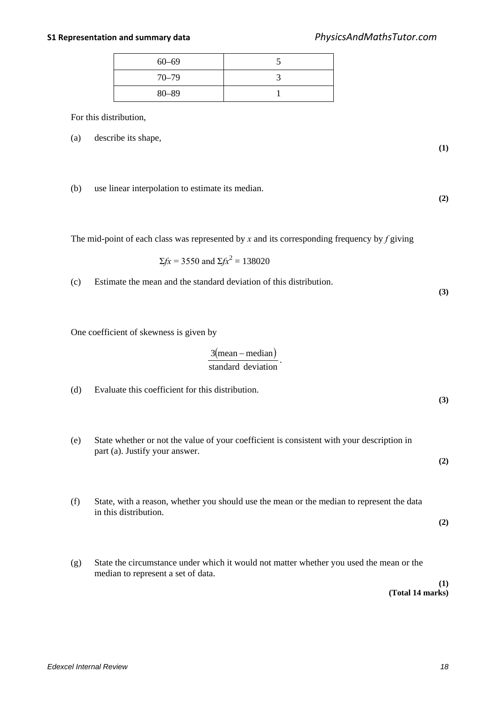**(1)**

**(2)**

**(3)**

**(3)**

**(2)**

**(2)**

| $60 - 69$ |  |
|-----------|--|
| $70 - 79$ |  |
| $80 - 89$ |  |

For this distribution,

(a) describe its shape,

(b) use linear interpolation to estimate its median.

The mid-point of each class was represented by *x* and its corresponding frequency by *f* giving

$$
\Sigma f x = 3550
$$
 and  $\Sigma f x^2 = 138020$ 

(c) Estimate the mean and the standard deviation of this distribution.

One coefficient of skewness is given by

$$
\frac{3(\text{mean}-\text{median})}{\text{standard deviation}}.
$$

(d) Evaluate this coefficient for this distribution.

- (e) State whether or not the value of your coefficient is consistent with your description in part (a). Justify your answer.
- (f) State, with a reason, whether you should use the mean or the median to represent the data in this distribution.
- (g) State the circumstance under which it would not matter whether you used the mean or the median to represent a set of data.

**(1) (Total 14 marks)**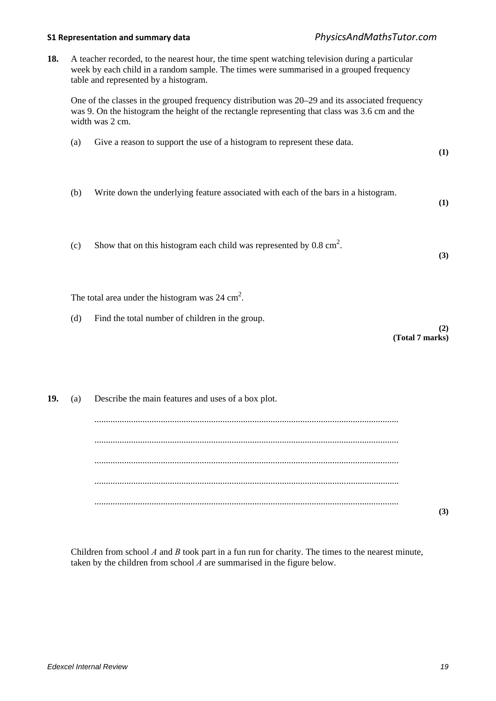**18.** A teacher recorded, to the nearest hour, the time spent watching television during a particular week by each child in a random sample. The times were summarised in a grouped frequency table and represented by a histogram.

One of the classes in the grouped frequency distribution was 20–29 and its associated frequency was 9. On the histogram the height of the rectangle representing that class was 3.6 cm and the width was 2 cm.

| (a) | Give a reason to support the use of a histogram to represent these data.           | (1) |
|-----|------------------------------------------------------------------------------------|-----|
| (b) | Write down the underlying feature associated with each of the bars in a histogram. | (1) |
| (c) | Show that on this histogram each child was represented by $0.8 \text{ cm}^2$ .     | (3) |

The total area under the histogram was  $24 \text{ cm}^2$ .

(d) Find the total number of children in the group.

**(2) (Total 7 marks)**

| 19. | (a) Describe the main features and uses of a box plot. |  |
|-----|--------------------------------------------------------|--|
|     |                                                        |  |
|     |                                                        |  |
|     |                                                        |  |
|     |                                                        |  |
|     |                                                        |  |
|     |                                                        |  |

Children from school *A* and *B* took part in a fun run for charity. The times to the nearest minute, taken by the children from school  $\vec{A}$  are summarised in the figure below.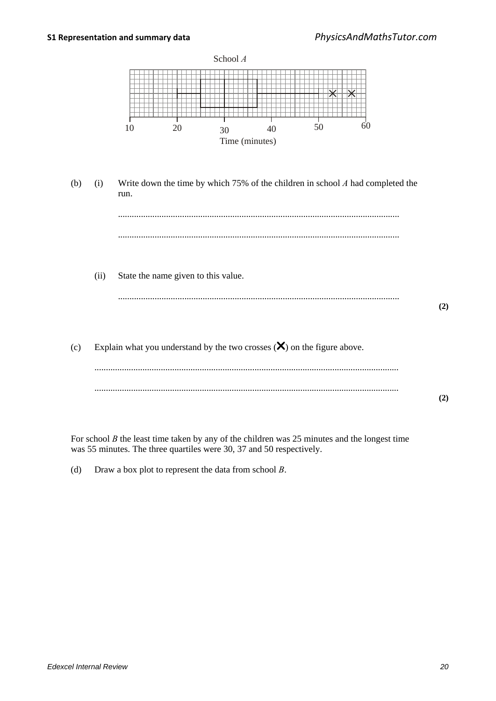

For school *B* the least time taken by any of the children was 25 minutes and the longest time was 55 minutes. The three quartiles were 30, 37 and 50 respectively.

(d) Draw a box plot to represent the data from school *B*.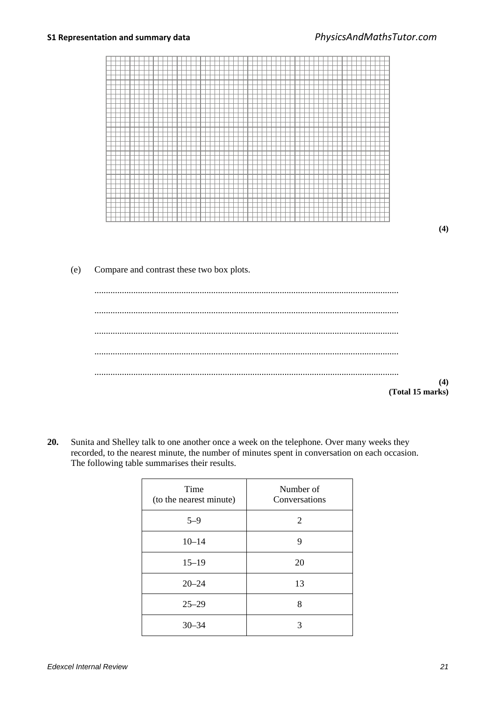

**(4)**

### (e) Compare and contrast these two box plots.

| $(4)$<br>(Total 15 marks) |
|---------------------------|

**20.** Sunita and Shelley talk to one another once a week on the telephone. Over many weeks they recorded, to the nearest minute, the number of minutes spent in conversation on each occasion. The following table summarises their results.

| Time<br>(to the nearest minute) | Number of<br>Conversations |
|---------------------------------|----------------------------|
| $5 - 9$                         | 2                          |
| $10 - 14$                       | 9                          |
| $15 - 19$                       | 20                         |
| $20 - 24$                       | 13                         |
| $25 - 29$                       | 8                          |
| $30 - 34$                       | 3                          |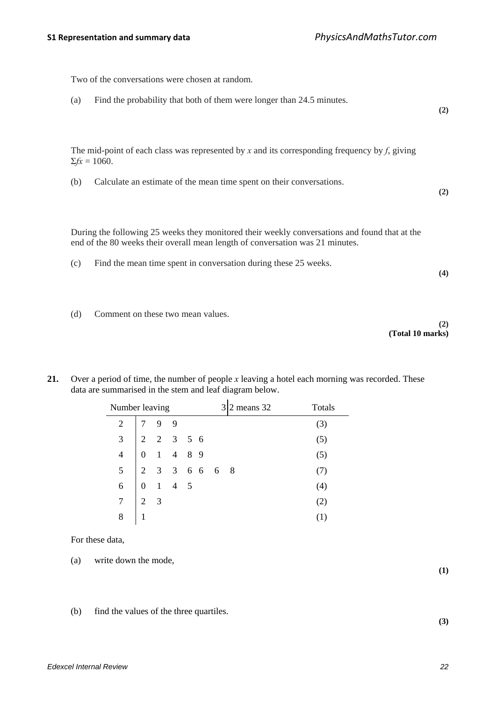| Two of the conversations were chosen at random.                                                                                                                                |     |
|--------------------------------------------------------------------------------------------------------------------------------------------------------------------------------|-----|
| Find the probability that both of them were longer than 24.5 minutes.<br>(a)                                                                                                   | (2) |
| The mid-point of each class was represented by x and its corresponding frequency by $f$ , giving<br>$\Sigma f x = 1060.$                                                       |     |
| Calculate an estimate of the mean time spent on their conversations.<br>(b)                                                                                                    | (2) |
| During the following 25 weeks they monitored their weekly conversations and found that at the<br>end of the 80 weeks their overall mean length of conversation was 21 minutes. |     |
| Find the mean time spent in conversation during these 25 weeks.<br>(c)                                                                                                         | (4) |

(d) Comment on these two mean values.

**(2) (Total 10 marks)**

**21.** Over a period of time, the number of people *x* leaving a hotel each morning was recorded. These data are summarised in the stem and leaf diagram below.

| Number leaving<br>$\begin{array}{c cccc}\n3 & 2 & 2 & 3 & 5 & 6 \\ 4 & 0 & 1 & 4 & 8 & 9 \\ 2 & 3 & 3 & 6 & 6 & 6 & 8 \\ \hline\n0 & 1 & 4 & 5 & & & \\ \end{array}$ |           |  |  |  |  | 2 means 32 | Totals |
|----------------------------------------------------------------------------------------------------------------------------------------------------------------------|-----------|--|--|--|--|------------|--------|
|                                                                                                                                                                      |           |  |  |  |  |            | (3)    |
|                                                                                                                                                                      |           |  |  |  |  |            | (5)    |
|                                                                                                                                                                      |           |  |  |  |  |            | (5)    |
|                                                                                                                                                                      |           |  |  |  |  |            |        |
|                                                                                                                                                                      |           |  |  |  |  |            | (4)    |
| $7 \mid 2 \mid 3$                                                                                                                                                    |           |  |  |  |  |            | (2)    |
| 8                                                                                                                                                                    | $\vert 1$ |  |  |  |  |            |        |

For these data,

- (a) write down the mode,
- (b) find the values of the three quartiles.

**(3)**

**(1)**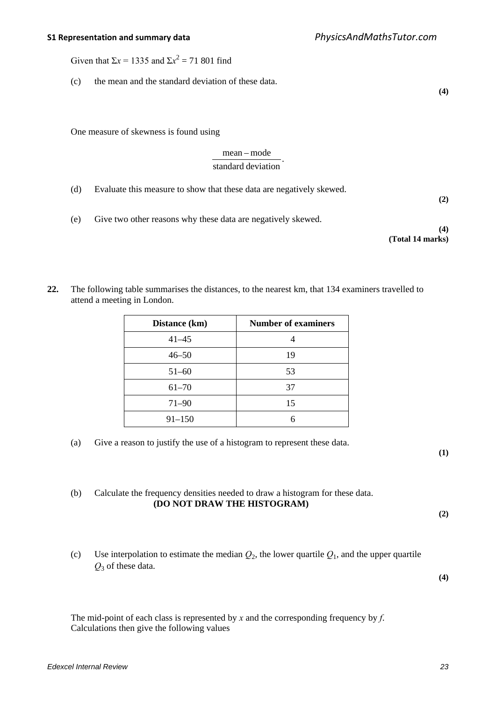Given that  $\Sigma x = 1335$  and  $\Sigma x^2 = 71801$  find

(c) the mean and the standard deviation of these data.

One measure of skewness is found using

## . standard deviation mean – mode

- (d) Evaluate this measure to show that these data are negatively skewed. **(2)**
- (e) Give two other reasons why these data are negatively skewed.
- **(4) (Total 14 marks)**

**(4)**

**22.** The following table summarises the distances, to the nearest km, that 134 examiners travelled to attend a meeting in London.

| Distance (km) | <b>Number of examiners</b> |
|---------------|----------------------------|
| $41 - 45$     |                            |
| $46 - 50$     | 19                         |
| $51 - 60$     | 53                         |
| $61 - 70$     | 37                         |
| $71 - 90$     | 15                         |
| $91 - 150$    |                            |

(a) Give a reason to justify the use of a histogram to represent these data.

**(1)**

(b) Calculate the frequency densities needed to draw a histogram for these data. **(DO NOT DRAW THE HISTOGRAM)**

**(2)**

(c) Use interpolation to estimate the median  $Q_2$ , the lower quartile  $Q_1$ , and the upper quartile *Q*<sup>3</sup> of these data.

**(4)**

The mid-point of each class is represented by *x* and the corresponding frequency by *f*. Calculations then give the following values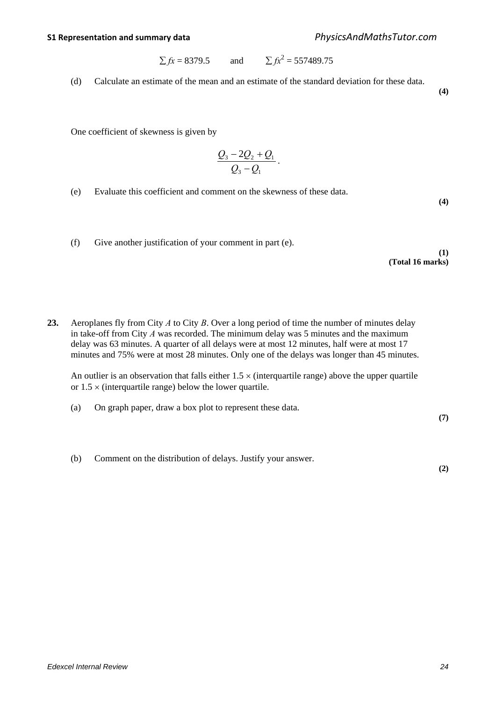$$
\Sigma fx = 8379.5
$$
 and  $\Sigma fx^2 = 557489.75$ 

(d) Calculate an estimate of the mean and an estimate of the standard deviation for these data.

**(4)**

One coefficient of skewness is given by

$$
\frac{Q_3-2Q_2+Q_1}{Q_3-Q_1}.
$$

(e) Evaluate this coefficient and comment on the skewness of these data.

**(4)**

(f) Give another justification of your comment in part (e).

**(1) (Total 16 marks)**

**23.** Aeroplanes fly from City *A* to City *B*. Over a long period of time the number of minutes delay in take-off from City *A* was recorded. The minimum delay was 5 minutes and the maximum delay was 63 minutes. A quarter of all delays were at most 12 minutes, half were at most 17 minutes and 75% were at most 28 minutes. Only one of the delays was longer than 45 minutes.

An outlier is an observation that falls either  $1.5 \times$  (interquartile range) above the upper quartile or  $1.5 \times$  (interquartile range) below the lower quartile.

(a) On graph paper, draw a box plot to represent these data.

**(7)**

**(2)**

(b) Comment on the distribution of delays. Justify your answer.

*Edexcel Internal Review 24*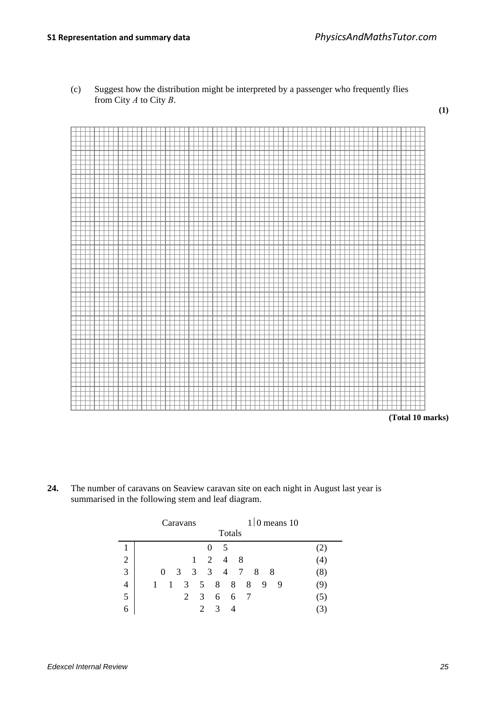**(1)**



(c) Suggest how the distribution might be interpreted by a passenger who frequently flies from City *A* to City *B*.

**(Total 10 marks)**

**24.** The number of caravans on Seaview caravan site on each night in August last year is summarised in the following stem and leaf diagram.

|                |   |   |              | Caravans                    |                             |               |        |    |     |   | $1/0$ means 10 |     |
|----------------|---|---|--------------|-----------------------------|-----------------------------|---------------|--------|----|-----|---|----------------|-----|
|                |   |   |              |                             |                             |               | Totals |    |     |   |                |     |
|                |   |   |              |                             | 0                           | -5            |        |    |     |   |                |     |
| $\overline{2}$ |   |   |              | 1                           |                             | 2 4           |        | -8 |     |   |                | (4) |
| $\overline{3}$ |   | 0 |              | 3 3 3 4 7 8                 |                             |               |        |    | - 8 |   |                | (8) |
| $\overline{4}$ | 1 |   | $\mathbf{1}$ | $3 \quad 5 \quad 8 \quad 8$ |                             |               |        | 8  | 9   | 9 |                | 9)  |
| 5              |   |   |              | 2                           | 3 6 6                       |               |        | 7  |     |   |                | (5) |
| 6              |   |   |              |                             | $\mathcal{D}_{\mathcal{L}}$ | $\mathcal{R}$ |        |    |     |   |                |     |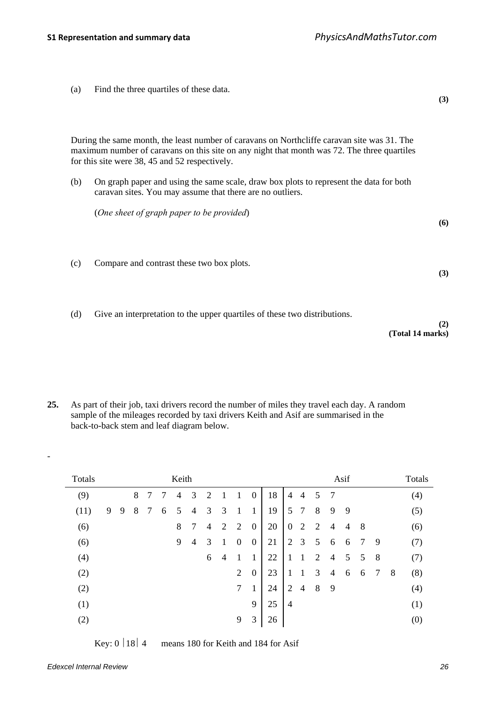(a) Find the three quartiles of these data.

**(3)**

**(6)**

**(3)**

During the same month, the least number of caravans on Northcliffe caravan site was 31. The maximum number of caravans on this site on any night that month was 72. The three quartiles for this site were 38, 45 and 52 respectively.

(b) On graph paper and using the same scale, draw box plots to represent the data for both caravan sites. You may assume that there are no outliers.

(*One sheet of graph paper to be provided*)

- (c) Compare and contrast these two box plots.
- (d) Give an interpretation to the upper quartiles of these two distributions.

```
(2)
(Total 14 marks)
```
**25.** As part of their job, taxi drivers record the number of miles they travel each day. A random sample of the mileages recorded by taxi drivers Keith and Asif are summarised in the back-to-back stem and leaf diagram below.

| Totals |   |   |   |   |   | Keith          |   |                |                |              |                  |    |                |                |   |                | Asif            |                |                |   | Totals |
|--------|---|---|---|---|---|----------------|---|----------------|----------------|--------------|------------------|----|----------------|----------------|---|----------------|-----------------|----------------|----------------|---|--------|
| (9)    |   |   | 8 | 7 | 7 | $\overline{4}$ | 3 | $\overline{2}$ | 1              | 1            | $\overline{0}$   | 18 | $\overline{4}$ | $\overline{4}$ | 5 | $\overline{7}$ |                 |                |                |   | (4)    |
| (11)   | 9 | 9 | 8 | 7 | 6 | 5              | 4 | 3              | 3              | 1            | 1                | 19 | 5              | $\overline{7}$ | 8 | 9              | 9               |                |                |   | (5)    |
| (6)    |   |   |   |   |   | 8              | 7 | 4              | 2              | 2            | $\boldsymbol{0}$ | 20 | $\overline{0}$ | $\overline{2}$ | 2 | $\overline{4}$ | $\overline{4}$  | -8             |                |   | (6)    |
| (6)    |   |   |   |   |   | 9              | 4 | 3              | 1              | $\mathbf{0}$ | $\overline{0}$   | 21 | $\overline{2}$ | 3              | 5 | 6              | 6               | 7              | 9              |   | (7)    |
| (4)    |   |   |   |   |   |                |   | 6              | $\overline{4}$ |              | 1                | 22 | 1              | 1              | 2 | $\overline{4}$ | $5\overline{)}$ | 5 <sup>5</sup> | 8              |   | (7)    |
| (2)    |   |   |   |   |   |                |   |                |                | 2            | $\overline{0}$   | 23 | 1              | 1              | 3 | $\overline{4}$ | 6               | 6              | $\overline{7}$ | 8 | (8)    |
| (2)    |   |   |   |   |   |                |   |                |                | 7            | $\mathbf{1}$     | 24 | $\overline{2}$ | $\overline{4}$ | 8 | 9              |                 |                |                |   | (4)    |
| (1)    |   |   |   |   |   |                |   |                |                |              | 9                | 25 | $\overline{4}$ |                |   |                |                 |                |                |   | (1)    |
| (2)    |   |   |   |   |   |                |   |                |                | 9            | 3                | 26 |                |                |   |                |                 |                |                |   | (0)    |

Key:  $0 | 18 | 4$  means 180 for Keith and 184 for Asif

-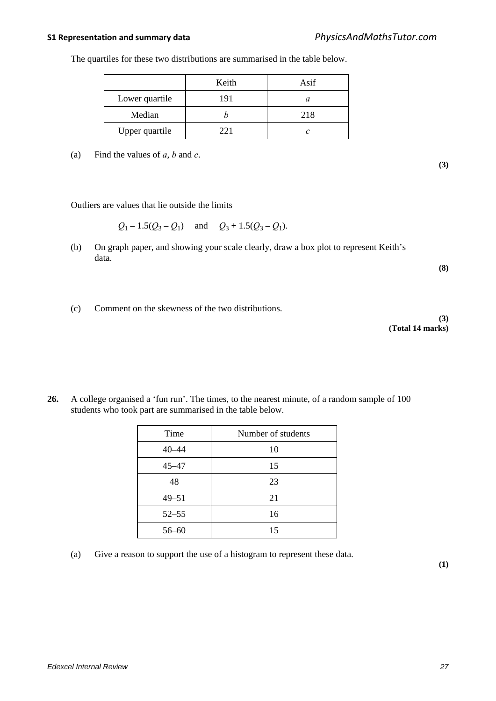The quartiles for these two distributions are summarised in the table below.

|                | Keith | Asif |
|----------------|-------|------|
| Lower quartile | 191   | а    |
| Median         |       | 218  |
| Upper quartile | 22.1  |      |

(a) Find the values of *a*, *b* and *c*.

Outliers are values that lie outside the limits

 $Q_1 - 1.5(Q_3 - Q_1)$  and  $Q_3 + 1.5(Q_3 - Q_1)$ .

(b) On graph paper, and showing your scale clearly, draw a box plot to represent Keith's data.

**(8)**

**(3)**

(c) Comment on the skewness of the two distributions.

**(3) (Total 14 marks)**

**26.** A college organised a 'fun run'. The times, to the nearest minute, of a random sample of 100 students who took part are summarised in the table below.

| Time      | Number of students |
|-----------|--------------------|
| $40 - 44$ | 10                 |
| $45 - 47$ | 15                 |
| 48        | 23                 |
| $49 - 51$ | 21                 |
| $52 - 55$ | 16                 |
| $56 - 60$ | 15                 |

(a) Give a reason to support the use of a histogram to represent these data.

**(1)**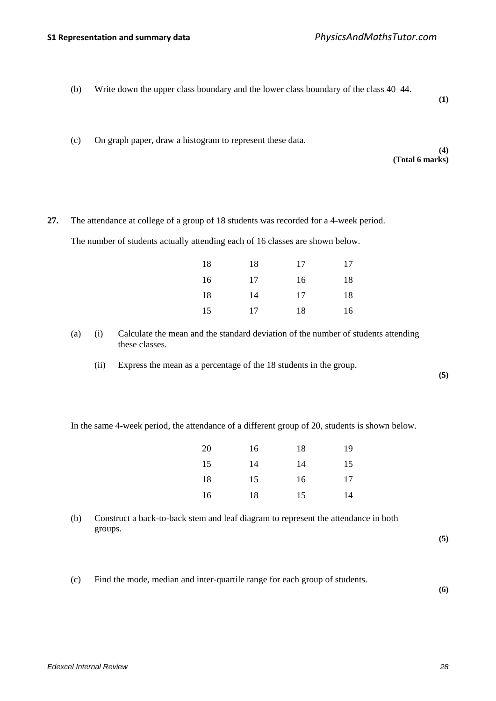(b) Write down the upper class boundary and the lower class boundary of the class 40–44.

**(1)**

(c) On graph paper, draw a histogram to represent these data.

#### **(4) (Total 6 marks)**

**27.** The attendance at college of a group of 18 students was recorded for a 4-week period. The number of students actually attending each of 16 classes are shown below.

| 18 | 18 | 17 | 17 |
|----|----|----|----|
| 16 | 17 | 16 | 18 |
| 18 | 14 | 17 | 18 |
| 15 | 17 | 18 | 16 |

- (a) (i) Calculate the mean and the standard deviation of the number of students attending these classes.
	- (ii) Express the mean as a percentage of the 18 students in the group.

**(5)**

In the same 4-week period, the attendance of a different group of 20, students is shown below.

| 20 | 16 | 18 | 19 |
|----|----|----|----|
| 15 | 14 | 14 | 15 |
| 18 | 15 | 16 | 17 |
| 16 | 18 | 15 | 14 |

(b) Construct a back-to-back stem and leaf diagram to represent the attendance in both groups.

**(5)**

(c) Find the mode, median and inter-quartile range for each group of students.

**(6)**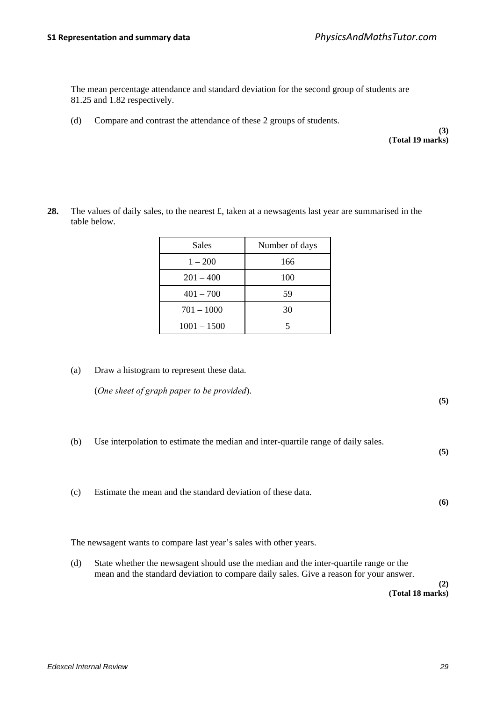The mean percentage attendance and standard deviation for the second group of students are 81.25 and 1.82 respectively.

(d) Compare and contrast the attendance of these 2 groups of students.

**(3) (Total 19 marks)**

28. The values of daily sales, to the nearest £, taken at a newsagents last year are summarised in the table below.

| Sales         | Number of days |
|---------------|----------------|
| $1 - 200$     | 166            |
| $201 - 400$   | 100            |
| $401 - 700$   | 59             |
| $701 - 1000$  | 30             |
| $1001 - 1500$ |                |

(a) Draw a histogram to represent these data.

(*One sheet of graph paper to be provided*).

**(5)**

(b) Use interpolation to estimate the median and inter-quartile range of daily sales.

**(5)**

(c) Estimate the mean and the standard deviation of these data.

**(6)**

The newsagent wants to compare last year's sales with other years.

(d) State whether the newsagent should use the median and the inter-quartile range or the mean and the standard deviation to compare daily sales. Give a reason for your answer.

> **(2) (Total 18 marks)**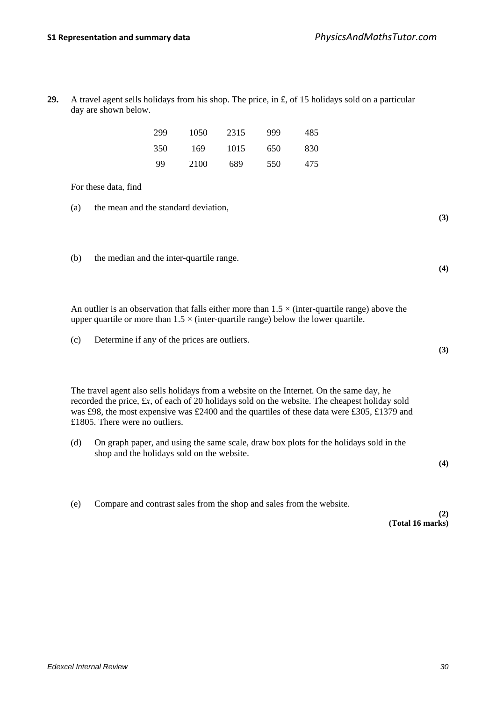**29.** A travel agent sells holidays from his shop. The price, in £, of 15 holidays sold on a particular day are shown below.

| 299 | 1050 | 2315 | 999 | 485 |
|-----|------|------|-----|-----|
| 350 | 169  | 1015 | 650 | 830 |
| 99  | 2100 | 689  | 550 | 475 |

For these data, find

- (a) the mean and the standard deviation,
- (b) the median and the inter-quartile range.

An outlier is an observation that falls either more than  $1.5 \times$  (inter-quartile range) above the upper quartile or more than  $1.5 \times$  (inter-quartile range) below the lower quartile.

(c) Determine if any of the prices are outliers.

The travel agent also sells holidays from a website on the Internet. On the same day, he recorded the price, £*x*, of each of 20 holidays sold on the website. The cheapest holiday sold was £98, the most expensive was £2400 and the quartiles of these data were £305, £1379 and £1805. There were no outliers.

(d) On graph paper, and using the same scale, draw box plots for the holidays sold in the shop and the holidays sold on the website.

**(4)**

**(3)**

**(4)**

**(3)**

(e) Compare and contrast sales from the shop and sales from the website.

**(2) (Total 16 marks)**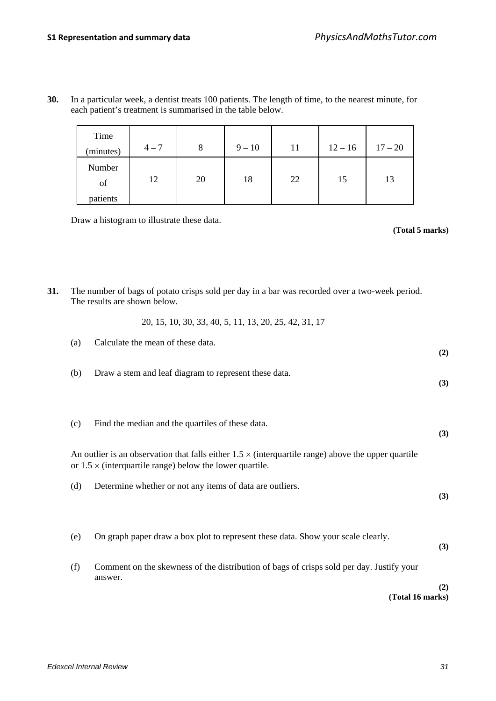| Time<br>(minutes)        | $4 - 7$ | 8  | $9 - 10$ | 11 | $12 - 16$ | $17 - 20$ |
|--------------------------|---------|----|----------|----|-----------|-----------|
| Number<br>of<br>patients | 12      | 20 | 18       | 22 | 15        | 13        |

**30.** In a particular week, a dentist treats 100 patients. The length of time, to the nearest minute, for each patient's treatment is summarised in the table below.

Draw a histogram to illustrate these data.

**(Total 5 marks)**

- **31.** The number of bags of potato crisps sold per day in a bar was recorded over a two-week period. The results are shown below.
	- 20, 15, 10, 30, 33, 40, 5, 11, 13, 20, 25, 42, 31, 17

| (a) | Calculate the mean of these data.                                                                                                                                             | (2) |
|-----|-------------------------------------------------------------------------------------------------------------------------------------------------------------------------------|-----|
| (b) | Draw a stem and leaf diagram to represent these data.                                                                                                                         | (3) |
| (c) | Find the median and the quartiles of these data.                                                                                                                              | (3) |
|     | An outlier is an observation that falls either $1.5 \times$ (interquartile range) above the upper quartile<br>or $1.5 \times$ (interquartile range) below the lower quartile. |     |
| (d) | Determine whether or not any items of data are outliers.                                                                                                                      | (3) |
| (e) | On graph paper draw a box plot to represent these data. Show your scale clearly.                                                                                              | (3) |
| (f) | Comment on the skewness of the distribution of bags of crisps sold per day. Justify your<br>answer.                                                                           |     |
|     | (Total 16 marks)                                                                                                                                                              | (2) |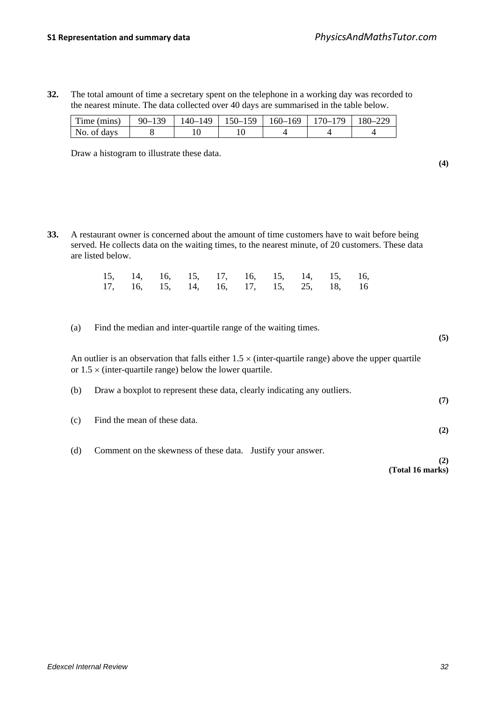**32.** The total amount of time a secretary spent on the telephone in a working day was recorded to the nearest minute. The data collected over 40 days are summarised in the table below.

| Time (mins) | $90 - 139$ | 140–149 | $\mid$ 150–159   160–169 | $170 - 179$ | 180-229 |
|-------------|------------|---------|--------------------------|-------------|---------|
| No. of days |            |         |                          |             |         |

Draw a histogram to illustrate these data.

**33.** A restaurant owner is concerned about the amount of time customers have to wait before being served. He collects data on the waiting times, to the nearest minute, of 20 customers. These data are listed below.

|  |  |  |  | 15, 14, 16, 15, 17, 16, 15, 14, 15, 16, |  |
|--|--|--|--|-----------------------------------------|--|
|  |  |  |  | 17, 16, 15, 14, 16, 17, 15, 25, 18, 16  |  |

(a) Find the median and inter-quartile range of the waiting times.

An outlier is an observation that falls either  $1.5 \times$  (inter-quartile range) above the upper quartile or  $1.5 \times$  (inter-quartile range) below the lower quartile.

| (b) | Draw a boxplot to represent these data, clearly indicating any outliers. | (7) |
|-----|--------------------------------------------------------------------------|-----|
| (c) | Find the mean of these data.                                             | (2) |
| (d) | Comment on the skewness of these data. Justify your answer.              |     |

**(Total 16 marks)**

**(4)**

**(5)**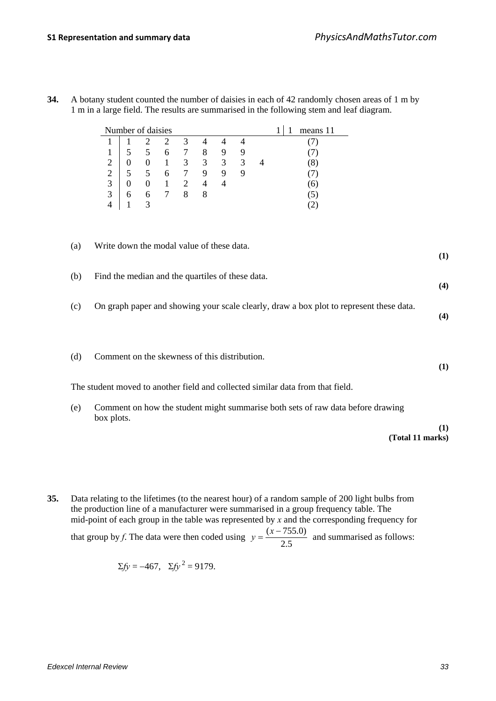| Number of daisies<br>means 11<br>1<br>1 |                                                                                               |                  |                  |                |                  |                          |                |                |                |                                                                                                                                                                   |            |
|-----------------------------------------|-----------------------------------------------------------------------------------------------|------------------|------------------|----------------|------------------|--------------------------|----------------|----------------|----------------|-------------------------------------------------------------------------------------------------------------------------------------------------------------------|------------|
|                                         | 1                                                                                             | $\mathbf 1$      | $\mathfrak{2}$   | $\overline{2}$ | $\mathfrak{Z}$   | $\overline{\mathcal{A}}$ | $\overline{4}$ | $\overline{4}$ |                | (7)                                                                                                                                                               |            |
|                                         | 1                                                                                             | 5                | 5                | 6              | $\boldsymbol{7}$ | $\,8\,$                  | 9              | $\mathbf{9}$   |                | (7)                                                                                                                                                               |            |
|                                         | $\overline{2}$                                                                                | $\boldsymbol{0}$ | $\boldsymbol{0}$ | $\mathbf{1}$   | $\overline{3}$   | $\overline{3}$           | $\overline{3}$ | $\overline{3}$ | $\overline{4}$ | (8)                                                                                                                                                               |            |
|                                         | $\overline{2}$                                                                                | 5                | 5                | 6              | $\boldsymbol{7}$ | 9                        | 9              | 9              |                | (7)                                                                                                                                                               |            |
|                                         | $\overline{3}$                                                                                | $\mathbf{0}$     | $\boldsymbol{0}$ | $\mathbf{1}$   | $\overline{2}$   | $\overline{4}$           | $\overline{4}$ |                |                | (6)                                                                                                                                                               |            |
|                                         | $\overline{3}$                                                                                | 6                | 6                | $\overline{7}$ | 8                | 8                        |                |                |                | (5)                                                                                                                                                               |            |
|                                         | $\overline{4}$                                                                                | $\mathbf{1}$     | $\overline{3}$   |                |                  |                          |                |                |                | (2)                                                                                                                                                               |            |
| (a)<br>(b)                              | Write down the modal value of these data.<br>Find the median and the quartiles of these data. |                  |                  |                |                  |                          |                |                |                |                                                                                                                                                                   | (1)        |
| (c)                                     |                                                                                               |                  |                  |                |                  |                          |                |                |                | On graph paper and showing your scale clearly, draw a box plot to represent these data.                                                                           | (4)<br>(4) |
| (d)                                     | Comment on the skewness of this distribution.                                                 |                  |                  |                |                  |                          |                |                |                |                                                                                                                                                                   | (1)        |
| (e)                                     |                                                                                               |                  |                  |                |                  |                          |                |                |                | The student moved to another field and collected similar data from that field.<br>Comment on how the student might summarise both sets of raw data before drawing |            |
|                                         | box plots.                                                                                    |                  |                  |                |                  |                          |                |                |                |                                                                                                                                                                   |            |
|                                         |                                                                                               |                  |                  |                |                  |                          |                |                |                | (Total 11 marks)                                                                                                                                                  | (1)        |

**34.** A botany student counted the number of daisies in each of 42 randomly chosen areas of 1 m by 1 m in a large field. The results are summarised in the following stem and leaf diagram.

**35.** Data relating to the lifetimes (to the nearest hour) of a random sample of 200 light bulbs from the production line of a manufacturer were summarised in a group frequency table. The mid-point of each group in the table was represented by *x* and the corresponding frequency for that group by *f*. The data were then coded using  $y = \frac{(x - 755.0)}{2.5}$  and summarised as follows:

$$
\Sigma f y = -467
$$
,  $\Sigma f y^2 = 9179$ .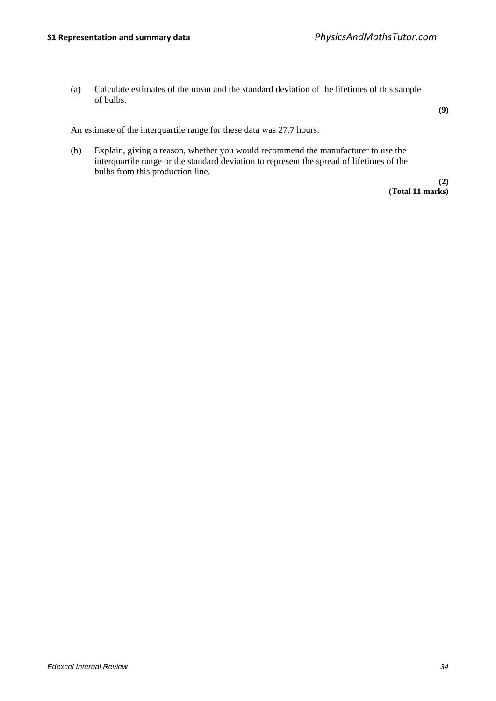(a) Calculate estimates of the mean and the standard deviation of the lifetimes of this sample of bulbs.

**(9)**

An estimate of the interquartile range for these data was 27.7 hours.

(b) Explain, giving a reason, whether you would recommend the manufacturer to use the interquartile range or the standard deviation to represent the spread of lifetimes of the bulbs from this production line.

> **(2) (Total 11 marks)**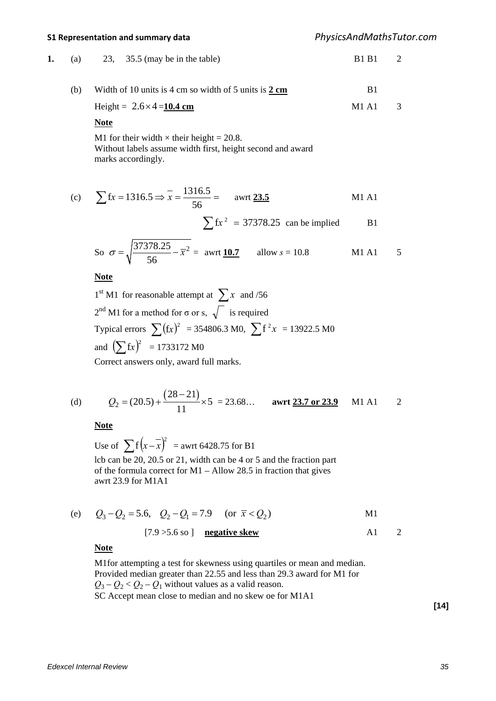**1.** (a) 23, 35.5 (may be in the table) B1 B1 2

(b) Width of 10 units is 4 cm so width of 5 units is 
$$
2 \text{ cm}
$$

Height = 
$$
2.6 \times 4 = 10.4
$$
 cm   
M1 A1 3

### **Note**

M1 for their width  $\times$  their height = 20.8. Without labels assume width first, height second and award marks accordingly.

(c) 
$$
\sum fx = 1316.5 \Rightarrow \overline{x} = \frac{1316.5}{56} = \text{awrt } \underline{23.5}
$$
 M1 A1

$$
\sum fx^2 = 37378.25
$$
 can be implied B1

So 
$$
\sigma = \sqrt{\frac{37378.25}{56} - \bar{x}^2}
$$
 = awrt 10.7 allow  $s = 10.8$  M1 A1 5

**Note**

<sup>1</sup>st M1 for reasonable attempt at ∑*<sup>x</sup>* and /56  $2^{nd}$  M1 for a method for  $\sigma$  or s,  $\sqrt{\ }$  is required Typical errors  $\sum (\text{fx})^2 = 354806.3 \text{ M0}, \sum \text{f}^2 x = 13922.5 \text{ M0}$ and  $(\sum fx)^2$  = 1733172 M0 Correct answers only, award full marks.

(d) 
$$
Q_2 = (20.5) + \frac{(28-21)}{11} \times 5 = 23.68...
$$
 **awrt** 23.7 or 23.9 M1 A1 2

**Note**

Use of  $\sum_{n=1}^{\infty} f(x - \overline{x})^2$  = awrt 6428.75 for B1 lcb can be 20, 20.5 or 21, width can be 4 or 5 and the fraction part of the formula correct for M1 – Allow 28.5 in fraction that gives awrt 23.9 for M1A1

(e) 
$$
Q_3 - Q_2 = 5.6
$$
,  $Q_2 - Q_1 = 7.9$  (or  $\bar{x} < Q_2$ ) M1

$$
[7.9 > 5.6 \text{ so } ] \quad \text{negative skew} \tag{A1} \quad 2
$$

#### **Note**

M1for attempting a test for skewness using quartiles or mean and median. Provided median greater than 22.55 and less than 29.3 award for M1 for  $Q_3 - Q_2 < Q_2 - Q_1$  without values as a valid reason. SC Accept mean close to median and no skew oe for M1A1

**[14]**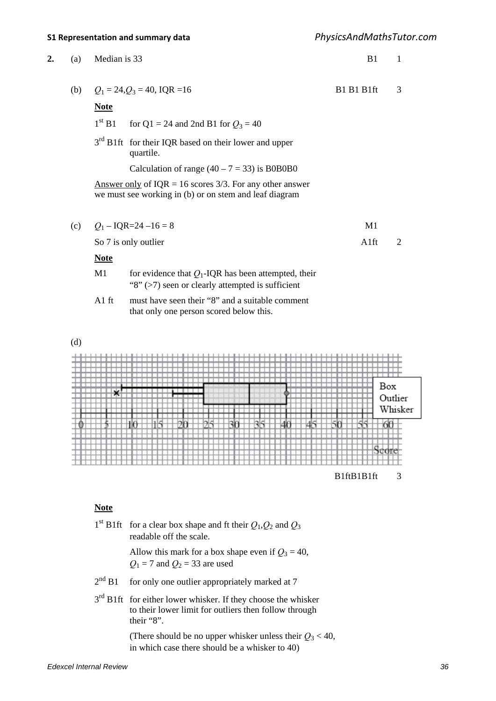| 2. | (a) | Median is 33       |                                                                                                                             | B1         | 1              |
|----|-----|--------------------|-----------------------------------------------------------------------------------------------------------------------------|------------|----------------|
|    | (b) |                    | $Q_1 = 24, Q_3 = 40, IQR = 16$                                                                                              | B1 B1 B1ft | 3              |
|    |     | <b>Note</b>        |                                                                                                                             |            |                |
|    |     | 1 <sup>st</sup> B1 | for Q1 = 24 and 2nd B1 for $Q_3 = 40$                                                                                       |            |                |
|    |     |                    | 3 <sup>rd</sup> B1ft for their IQR based on their lower and upper<br>quartile.                                              |            |                |
|    |     |                    | Calculation of range $(40 – 7 = 33)$ is B0B0B0                                                                              |            |                |
|    |     |                    | <u>Answer only</u> of $IQR = 16$ scores 3/3. For any other answer<br>we must see working in (b) or on stem and leaf diagram |            |                |
|    | (c) |                    | $Q_1 - IQR = 24 - 16 = 8$                                                                                                   | M1         |                |
|    |     |                    | So 7 is only outlier                                                                                                        | A1ft       | $\overline{2}$ |
|    |     | <b>Note</b>        |                                                                                                                             |            |                |
|    |     | M1                 | for evidence that $Q_1$ -IQR has been attempted, their<br>"8" $($ >7) seen or clearly attempted is sufficient               |            |                |
|    |     | $A1$ ft            | must have seen their "8" and a suitable comment<br>that only one person scored below this.                                  |            |                |

(d)



### **Note**

|             | 1 <sup>st</sup> B1ft for a clear box shape and ft their $Q_1$ , $Q_2$ and $Q_3$<br>readable off the scale.                                 |
|-------------|--------------------------------------------------------------------------------------------------------------------------------------------|
|             | Allow this mark for a box shape even if $Q_3 = 40$ ,<br>$Q_1 = 7$ and $Q_2 = 33$ are used                                                  |
| $2^{nd}$ B1 | for only one outlier appropriately marked at 7                                                                                             |
|             | $3rd$ B1ft for either lower whisker. If they choose the whisker<br>to their lower limit for outliers then follow through<br>their " $8$ ". |
|             | (There should be no upper whisker unless their $Q_3 < 40$ ,<br>in which case there should be a whisker to 40)                              |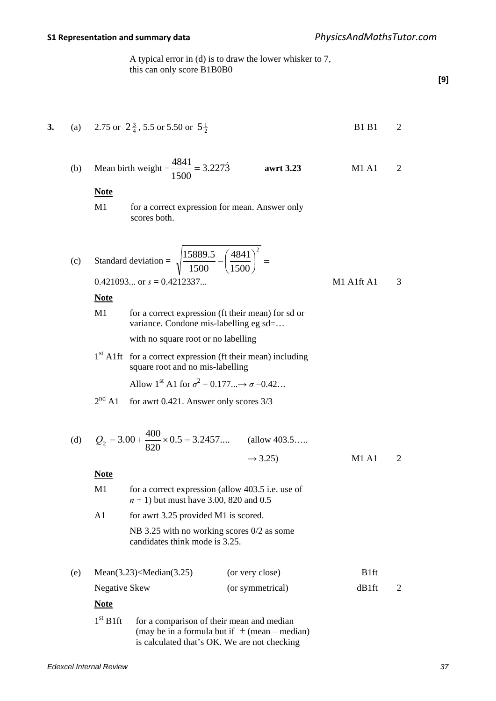**3.** (a) 2.75 or  $2\frac{3}{4}$ , 5.5 or 5.50 or  $5\frac{1}{2}$ 

B1 B1 2

 A typical error in (d) is to draw the lower whisker to 7, this can only score B1B0B0

**[9]**

(b) Mean birth weight = 
$$
\frac{4841}{1500} = 3.227\dot{3}
$$
 **awrt 3.23 M1 A1** 2  
\n**Note**  
\nM1 **for a correct expression for mean. Answer only**  
\nscores both.  
\n(c) Standard deviation =  $\sqrt{\frac{15889.5}{1500} - \left(\frac{4841}{1500}\right)^2} =$   
\n0.421093... or  $s = 0.4212337...$  **M1 A1f1 A1** 3  
\n**Note**  
\nM1 **for a correct expression (ft their mean) for s d or**  
\nvariance. Condone mis-labelling g sd=...  
\nwith no square root or no labelling  
\nsquare root and no mis-labelling  
\nAllow 1<sup>st</sup> A1 for  $\sigma^2 = 0.177...$   $\rightarrow \sigma = 0.42...$   
\n2<sup>nd</sup> A1 **for a wrt 0.421**. Answer only scores 3/3  
\n(d)  $Q_2 = 3.00 + \frac{400}{820} \times 0.5 = 3.2457...$  **(allow 403.5...**  
\n $\rightarrow 3.25)$  **M1 A1** 2  
\n**Note**  
\nM1 **for a correct expression (allow 403.5...**  
\n $\rightarrow 3.25$ ) **M1 A1** 2  
\n**Note**  
\nM1 **for a correct expression (allow 403.5 i.e. use of**  
\n*n* + 1) but must have 3.00, 820 and 0.5  
\nA1 **for a wrt 3.25** provided M1 is scored.  
\nNB 3.25 with no working scores 0/2 as some  
\ncanidiates think mode is 3.25.  
\n**(e)** Mean(3.23) $\sim$ Median(3.25) **(or very close)** B1ft  
\nNegative Skew  
\n**(or symmetrical)** dB1ft 2

 $1<sup>st</sup>$  B1ft for a comparison of their mean and median (may be in a formula but if  $\pm$  (mean – median) is calculated that's OK. We are not checking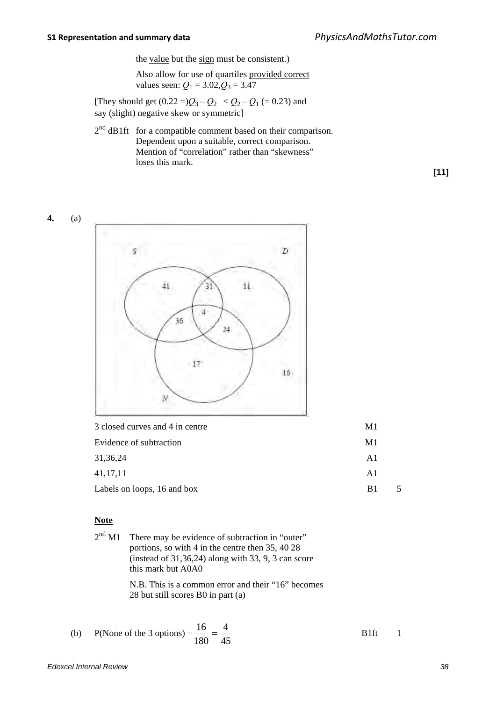the value but the sign must be consistent.)

 Also allow for use of quartiles provided correct values seen:  $Q_1 = 3.02, Q_3 = 3.47$ 

[They should get  $(0.22 =)Q_3 - Q_2 < Q_2 - Q_1 = 0.23$ ) and say (slight) negative skew or symmetric]

 $2<sup>nd</sup>$  dB1ft for a compatible comment based on their comparison. Dependent upon a suitable, correct comparison. Mention of "correlation" rather than "skewness" loses this mark.

**[11]**

### **4.** (a)



| 3 closed curves and 4 in centre<br>M <sub>1</sub> |  |
|---------------------------------------------------|--|
| M1<br>Evidence of subtraction                     |  |
| 31, 36, 24<br>A1                                  |  |
| 41, 17, 11<br>A <sub>1</sub>                      |  |
| Labels on loops, 16 and box<br>B <sub>1</sub>     |  |

#### **Note**

| $2nd$ M1 There may be evidence of subtraction in "outer"                                                   |
|------------------------------------------------------------------------------------------------------------|
| portions, so with 4 in the centre then 35, 40 28<br>(instead of $31,36,24$ ) along with 33, 9, 3 can score |
| this mark but A0A0                                                                                         |
| N.B. This is a common error and their "16" becomes                                                         |

28 but still scores B0 in part (a)

(b) P(None of the 3 options) = 
$$
\frac{16}{180} = \frac{4}{45}
$$
 B1ft 1

*Edexcel Internal Review 38*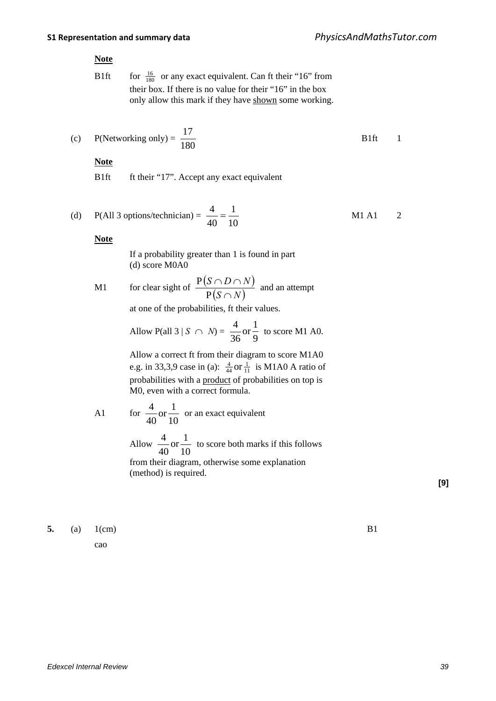#### **Note**

B1ft for  $\frac{16}{180}$  or any exact equivalent. Can ft their "16" from their box. If there is no value for their "16" in the box only allow this mark if they have shown some working.

(c) P(Networking only) = 
$$
\frac{17}{180}
$$
 B1ft 1

## **Note**

B1ft ft their "17". Accept any exact equivalent

(d) P(All 3 options/technician) = 
$$
\frac{4}{40} = \frac{1}{10}
$$
 M1 A1 2

**Note**

 If a probability greater than 1 is found in part (d) score M0A0

M1 for clear sight of  $\frac{P(S \cap D \cap N)}{P(S \cap D)}$  $(S \cap N)$  $S \cap D \cap N$ ∩  $\cap D \cap$ P  $\frac{P(S \cap D \cap N)}{P(S \cap N)}$  and an attempt

at one of the probabilities, ft their values.

Allow P(all 3 | S 
$$
\cap
$$
 N) =  $\frac{4}{36}$  or  $\frac{1}{9}$  to score M1 A0.

 Allow a correct ft from their diagram to score M1A0 e.g. in 33,3,9 case in (a):  $\frac{4}{44}$  or  $\frac{1}{11}$  is M1A0 A ratio of probabilities with a product of probabilities on top is M0, even with a correct formula.

A1 for 10  $\text{or} \frac{1}{16}$ 40  $\frac{4}{10}$  or an exact equivalent

 Allow 10  $\text{or} \frac{1}{16}$ 40  $\frac{4}{10}$  or  $\frac{1}{10}$  to score both marks if this follows from their diagram, otherwise some explanation

(method) is required.

**[9]**

**5.** (a) 1(cm) B1

cao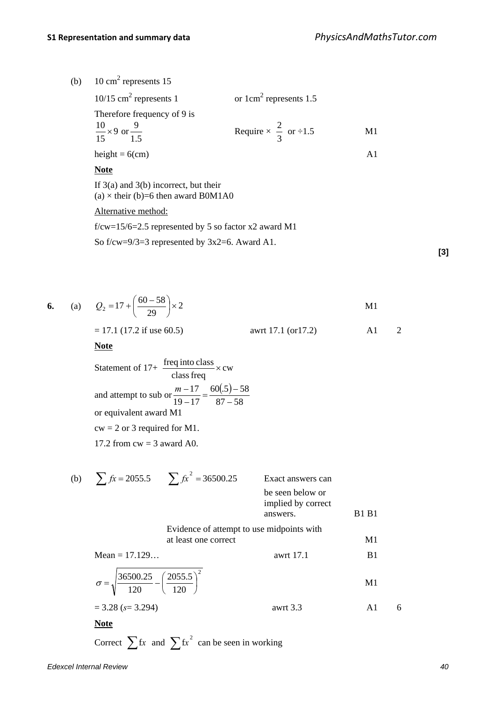(b)  $10 \text{ cm}^2$  represents 15

| $10/15$ cm <sup>2</sup> represents 1   | or $1 \text{cm}^2$ represents 1.5    |    |
|----------------------------------------|--------------------------------------|----|
| Therefore frequency of 9 is            |                                      |    |
| $\frac{10}{15}$ × 9 or $\frac{9}{1.5}$ | Require $\times \frac{2}{3}$ or ÷1.5 | M1 |
|                                        |                                      |    |
| height = $6$ (cm)                      |                                      |    |

**Note**

If 3(a) and 3(b) incorrect, but their (a)  $\times$  their (b)=6 then award B0M1A0

Alternative method:

f/cw=15/6=2.5 represented by 5 so factor x2 award M1

So f/cw=9/3=3 represented by 3x2=6. Award A1.

**[3]**

6. (a) 
$$
Q_2 = 17 + \left(\frac{60 - 58}{29}\right) \times 2
$$
   
\n $= 17.1$  (17.2 if use 60.5)   
\n**Note**  
\nStatement of 17+  $\frac{\text{freq into class}}{\text{class freq}} \times \text{cw}$   
\nand attempt to sub or  $\frac{m-17}{19-17} = \frac{60(5)-58}{87-58}$   
\nor equivalent award M1  
\n $\text{cw} = 2$  or 3 required for M1.  
\n17.2 from cw = 3 award A0.

(b) 
$$
\sum fx = 2055.5
$$
  $\sum fx^2 = 36500.25$  Exact answers can  
be seen below or  
implied by correct  
answers. B1 B1  
Evidence of attempt to use midpoints with  
at least one correct  
  
 $\sigma = \sqrt{\frac{36500.25}{120} - (\frac{2055.5}{120})^2}$    
  
 $= 3.28 (s= 3.294)$    
M1

**Note**

Correct  $\sum fx$  and  $\sum fx^2$  can be seen in working

*Edexcel Internal Review 40*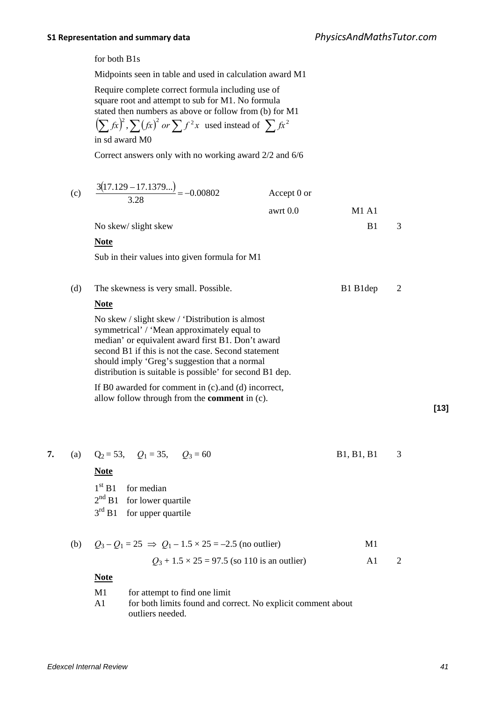for both B1s

Midpoints seen in table and used in calculation award M1

Require complete correct formula including use of square root and attempt to sub for M1. No formula stated then numbers as above or follow from (b) for M1

$$
\left(\sum f x\right)^2, \sum (fx)^2 \text{ or } \sum f^2 x \text{ used instead of } \sum fx^2
$$

in sd award M0

Correct answers only with no working award 2/2 and 6/6

|    | (c) | $\frac{3(17.129 - 17.1379)}{3.28} = -0.00802$                                                                                                                                                                                                                                                                           | Accept 0 or<br>awrt 0.0 | <b>M1 A1</b>   |                |        |
|----|-----|-------------------------------------------------------------------------------------------------------------------------------------------------------------------------------------------------------------------------------------------------------------------------------------------------------------------------|-------------------------|----------------|----------------|--------|
|    |     | No skew/ slight skew                                                                                                                                                                                                                                                                                                    |                         | B1             | 3              |        |
|    |     | <b>Note</b>                                                                                                                                                                                                                                                                                                             |                         |                |                |        |
|    |     | Sub in their values into given formula for M1                                                                                                                                                                                                                                                                           |                         |                |                |        |
|    | (d) | The skewness is very small. Possible.                                                                                                                                                                                                                                                                                   |                         | B1 B1dep       | $\mathfrak{2}$ |        |
|    |     | <b>Note</b>                                                                                                                                                                                                                                                                                                             |                         |                |                |        |
|    |     | No skew / slight skew / 'Distribution is almost<br>symmetrical' / 'Mean approximately equal to<br>median' or equivalent award first B1. Don't award<br>second B1 if this is not the case. Second statement<br>should imply 'Greg's suggestion that a normal<br>distribution is suitable is possible' for second B1 dep. |                         |                |                |        |
|    |     | If B0 awarded for comment in (c) and (d) incorrect,<br>allow follow through from the <b>comment</b> in (c).                                                                                                                                                                                                             |                         |                |                |        |
|    |     |                                                                                                                                                                                                                                                                                                                         |                         |                |                | $[13]$ |
| 7. |     | (a) $Q_2 = 53$ , $Q_1 = 35$ , $Q_3 = 60$                                                                                                                                                                                                                                                                                |                         | B1, B1, B1     | 3              |        |
|    |     | <b>Note</b>                                                                                                                                                                                                                                                                                                             |                         |                |                |        |
|    |     | 1 <sup>st</sup> B1<br>for median                                                                                                                                                                                                                                                                                        |                         |                |                |        |
|    |     | $2nd$ B1 for lower quartile                                                                                                                                                                                                                                                                                             |                         |                |                |        |
|    |     | $3^{\text{rd}}$ B1<br>for upper quartile                                                                                                                                                                                                                                                                                |                         |                |                |        |
|    | (b) | $Q_3 - Q_1 = 25 \implies Q_1 - 1.5 \times 25 = -2.5$ (no outlier)                                                                                                                                                                                                                                                       |                         | M1             |                |        |
|    |     | $Q_3$ + 1.5 × 25 = 97.5 (so 110 is an outlier)                                                                                                                                                                                                                                                                          |                         | A <sub>1</sub> | $\overline{2}$ |        |
|    |     | <b>Note</b>                                                                                                                                                                                                                                                                                                             |                         |                |                |        |
|    |     | M1<br>for attempt to find one limit<br>A1<br>for both limits found and correct. No explicit comment about<br>outliers needed.                                                                                                                                                                                           |                         |                |                |        |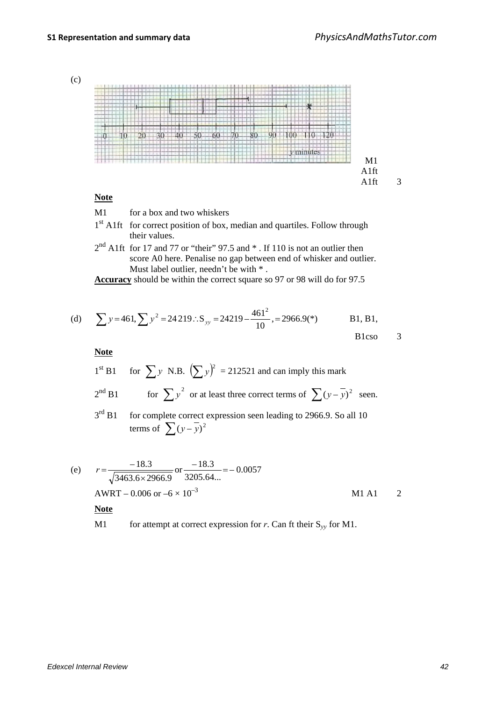



### **Note**

- M1 for a box and two whiskers
- 1<sup>st</sup> A1ft for correct position of box, median and quartiles. Follow through their values.
- $2<sup>nd</sup>$  A1ft for 17 and 77 or "their" 97.5 and  $*$  . If 110 is not an outlier then score A0 here. Penalise no gap between end of whisker and outlier. Must label outlier, needn't be with \* .

**Accuracy** should be within the correct square so 97 or 98 will do for 97.5

(d) 
$$
\sum y=461
$$
,  $\sum y^2 = 24219$ .  $S_{yy} = 24219 - \frac{461^2}{10}$ ,  $= 2966.9(*)$  B1, B1, B1, B1, B1, B1, B2, B1, C3

**Note**

 $1<sup>st</sup> B1$  for  $\sum y$  N.B.  $(\sum y)^2 = 212521$  and can imply this mark

 $2<sup>nd</sup> B1$  for  $\sum y^2$  or at least three correct terms of  $\sum (y - \overline{y})^2$  seen.

3<sup>rd</sup> B1 for complete correct expression seen leading to 2966.9. So all 10 terms of  $\sum (y - \overline{y})^2$ 

(e) 
$$
r = \frac{-18.3}{\sqrt{3463.6 \times 2966.9}} \text{ or } \frac{-18.3}{3205.64...} = -0.0057
$$
  
\nAWRT - 0.006 or -6 × 10<sup>-3</sup>  
\n**Note** M1 A1 2

M1 for attempt at correct expression for *r*. Can ft their  $S_{yy}$  for M1.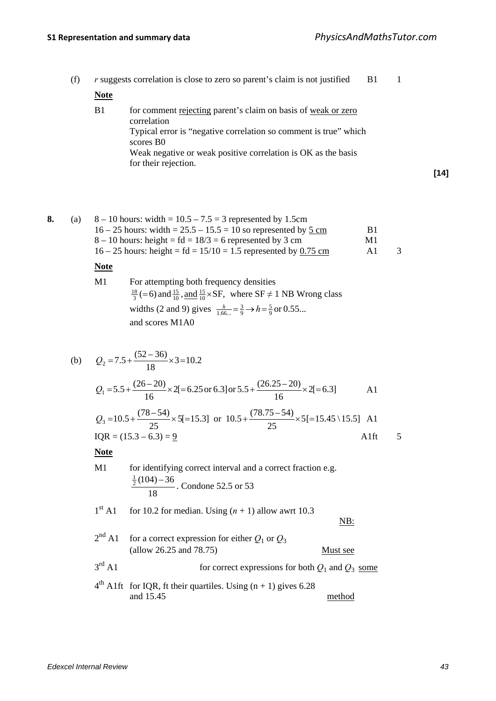**[14]**

| (f) |             | <i>r</i> suggests correlation is close to zero so parent's claim is not justified<br>B1                                                                                                                                                                            |
|-----|-------------|--------------------------------------------------------------------------------------------------------------------------------------------------------------------------------------------------------------------------------------------------------------------|
|     | <b>Note</b> |                                                                                                                                                                                                                                                                    |
|     | B1          | for comment rejecting parent's claim on basis of weak or zero<br>correlation<br>Typical error is "negative correlation so comment is true" which<br>scores B <sub>0</sub><br>Weak negative or weak positive correlation is OK as the basis<br>for their rejection. |

| (a) | $8-10$ hours: width = $10.5-7.5=3$ represented by 1.5cm             |    |   |
|-----|---------------------------------------------------------------------|----|---|
|     | $16 - 25$ hours: width = $25.5 - 15.5 = 10$ so represented by 5 cm  | B1 |   |
|     | $8 - 10$ hours: height = fd = 18/3 = 6 represented by 3 cm          | M1 |   |
|     | $16 - 25$ hours: height = $fd = 15/10 = 1.5$ represented by 0.75 cm | A1 | 3 |
|     |                                                                     |    |   |

### **Note**

| M1 | For attempting both frequency densities                                                              |
|----|------------------------------------------------------------------------------------------------------|
|    | $\frac{18}{3}$ (=6) and $\frac{15}{10}$ , and $\frac{15}{10}$ × SF, where SF $\neq$ 1 NB Wrong class |
|    | widths (2 and 9) gives $\frac{h}{1.66} = \frac{3}{9} \rightarrow h = \frac{5}{9}$ or 0.55            |
|    | and scores M1A0                                                                                      |

(b) 
$$
Q_2 = 7.5 + \frac{(52 - 36)}{18} \times 3 = 10.2
$$
  
\n $Q_1 = 5.5 + \frac{(26 - 20)}{16} \times 2[ = 6.25 \text{ or } 6.3] \text{ or } 5.5 + \frac{(26.25 - 20)}{16} \times 2[ = 6.3]$  Al  
\n $Q_3 = 10.5 + \frac{(78 - 54)}{25} \times 5[ = 15.3]$  or  $10.5 + \frac{(78.75 - 54)}{25} \times 5[ = 15.45 \backslash 15.5]$  Al  
\n $IQR = (15.3 - 6.3) = 2$  Alft 5  
\n**Note**  
\nM1 for identifying correct interval and a correct fraction e.g.  
\n $\frac{\frac{1}{2}(104) - 36}{18}$ . Condone 52.5 or 53  
\n1<sup>st</sup> Al for 10.2 for median. Using  $(n + 1)$  allow awrt 10.3  
\n $\frac{NB}{18}$ :  
\n $2^{nd}$  Al for a correct expression for either  $Q_1$  or  $Q_3$   
\n(allow 26.25 and 78.75)  
\n $3^{rd}$  Al for correct expressions for both  $Q_1$  and  $Q_3$  some  
\n $4^{th}$  Alft for IQR, ft their quartiles. Using  $(n + 1)$  gives 6.28  
\nand 15.45  
\nmethod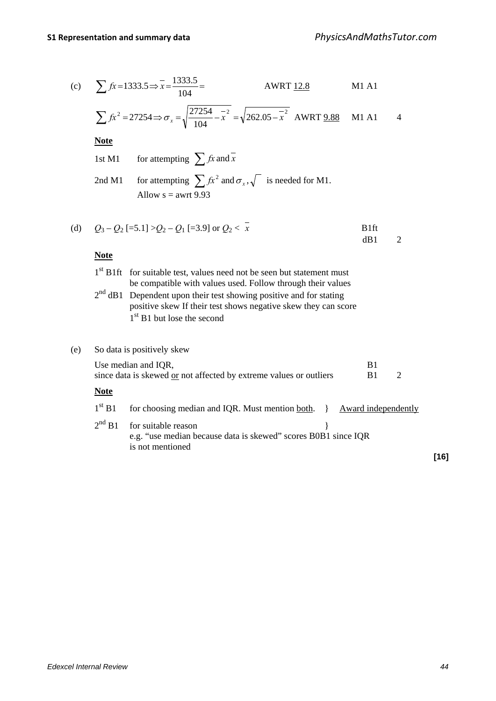(c) 
$$
\sum fx = 1333.5 \Rightarrow \overline{x} = \frac{1333.5}{104} =
$$
 AWRT 12.8 M1 A1

$$
\sum fx^2 = 27254 \Rightarrow \sigma_x = \sqrt{\frac{27254}{104} - x^2} = \sqrt{262.05 - x^2} \quad \text{AWRT } \underline{9.88} \quad \text{M1 A1} \quad 4
$$

**Note**

1st M1 for attempting 
$$
\sum fx
$$
 and  $\overline{x}$   
2nd M1 for attempting  $\sum fx^2$  and  $\sigma_x$ ,  $\sqrt{\ }$  is needed for M1.  
Allow s = awrt 9.93

(d) 
$$
Q_3 - Q_2
$$
 [-5.1] >  $Q_2 - Q_1$  [-3.9] or  $Q_2 < \overline{x}$  B1ft  
dB1 2

### **Note**

| $1st$ B1ft for suitable test, values need not be seen but statement must                                                                                               |
|------------------------------------------------------------------------------------------------------------------------------------------------------------------------|
| be compatible with values used. Follow through their values                                                                                                            |
| $2nd$ dB1 Dependent upon their test showing positive and for stating<br>positive skew If their test shows negative skew they can score<br>$1st$ B1 but lose the second |
|                                                                                                                                                                        |

| (e) |                    | So data is positively skew                                                                                 |
|-----|--------------------|------------------------------------------------------------------------------------------------------------|
|     |                    | B1<br>Use median and IQR,<br>since data is skewed or not affected by extreme values or outliers<br>2<br>B1 |
|     | <b>Note</b>        |                                                                                                            |
|     | 1 <sup>st</sup> B1 | for choosing median and IQR. Must mention both. } Award independently                                      |
|     | $2^{nd}$ B1        | for suitable reason<br>e.g. "use median because data is skewed" scores B0B1 since IQR<br>is not mentioned  |

**[16]**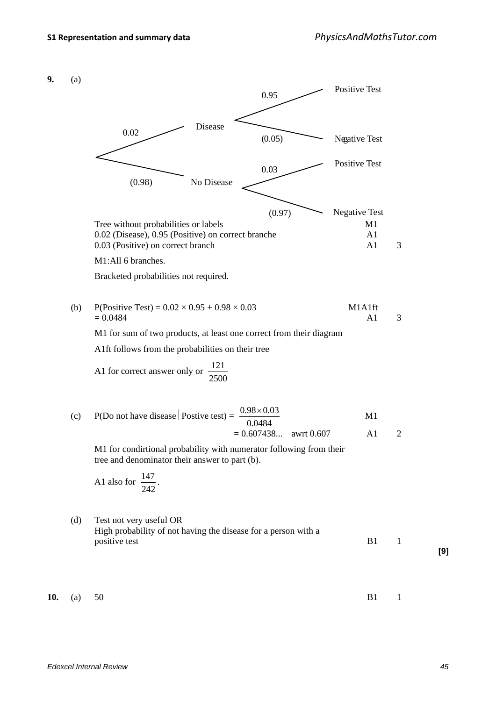**9.** (a)

Disease No Disease Positive Test Positive Test Negative Test Negative Test 0.02 (0.98) 0.95  $(0.05)$ 0.03 (0.97) Tree without probabilities or labels M1 0.02 (Disease), 0.95 (Positive) on correct branche A1 0.03 (Positive) on correct branch A1 3 M1:All 6 branches. Bracketed probabilities not required. (b) P(Positive Test) =  $0.02 \times 0.95 + 0.98 \times 0.03$  M1A1ft  $= 0.0484$  A1 3 M1 for sum of two products, at least one correct from their diagram A1ft follows from the probabilities on their tree A1 for correct answer only or  $\frac{121}{2500}$ (c) P(Do not have disease | Postive test) =  $\frac{0.98 \times 0.03}{0.0484}$  M1  $= 0.607438...$  awrt 0.607 A1 2 M1 for condirtional probability with numerator following from their tree and denominator their answer to part (b). A1 also for 242  $\frac{147}{212}$ . (d) Test not very useful OR High probability of not having the disease for a person with a positive test B1 1 **10.** (a) 50 B1 1

**[9]**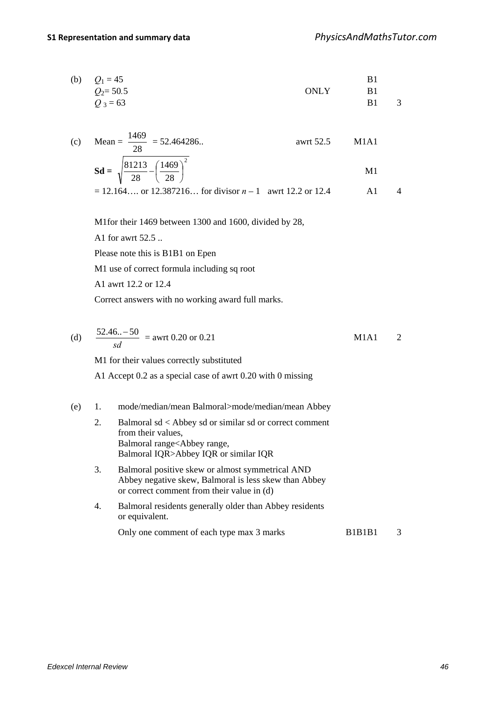(b) 
$$
Q_1 = 45
$$
  
\n $Q_2 = 50.5$   
\nB1  
\nB1  
\nB1  
\nB1

$$
Q_3 = 63 \qquad \qquad \text{B1} \qquad 3
$$

(c) Mean = 
$$
\frac{1469}{28}
$$
 = 52.464286...  
awrt 52.5 M1A1

$$
Sd = \sqrt{\frac{81213}{28} - \left(\frac{1469}{28}\right)^2}
$$
 M1

$$
= 12.164.... \text{ or } 12.387216... \text{ for divisor } n-1 \text{ a wrt } 12.2 \text{ or } 12.4
$$

M1for their 1469 between 1300 and 1600, divided by 28,

A1 for awrt 52.5 ..

Please note this is B1B1 on Epen

M1 use of correct formula including sq root

A1 awrt 12.2 or 12.4

Correct answers with no working award full marks.

\n- (d) 
$$
\frac{52.46... - 50}{sd} = \text{awrt } 0.20 \text{ or } 0.21
$$
 **M1A1 2**
\n- **M1** for their values correctly substituted **A1** Accept 0.2 as a special case of awrt 0.20 with 0 missing
\n- (e) **1.** mode/median/mean Balmoral>mode/median/mean Abbey
\n- **2.** Balmoral sd < Abbey sd or similar sd or correct comment from their values, **Balmoral IQR>Abbey range, **Balmoral IQR>Abbey IQR** or similar IQR **3.** Balmoral positive skew or almost symmetrical AND **Abbey negative skew, Balmoral is less skew than Abbey or correct comment from their value in (d)****
\n- **4.** Balmoral residents generally older than Abbey residents or equivalent. **Only one comment of each type max 3 marks B1B1B1 3**
\n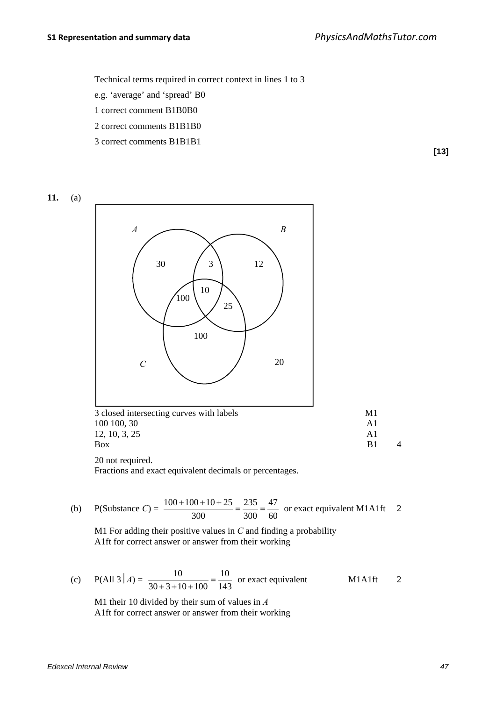Technical terms required in correct context in lines 1 to 3

e.g. 'average' and 'spread' B0

1 correct comment B1B0B0

2 correct comments B1B1B0

3 correct comments B1B1B1

**[13]**





(b) P(Substance C) = 
$$
\frac{100 + 100 + 10 + 25}{300} = \frac{235}{300} = \frac{47}{60}
$$
 or exact equivalent M1A1ft 2

M1 For adding their positive values in *C* and finding a probability A1ft for correct answer or answer from their working

(c) 
$$
P(\text{All } 3 | A) = \frac{10}{30 + 3 + 10 + 100} = \frac{10}{143}
$$
 or exact equivalent M1A1ft 2

M1 their 10 divided by their sum of values in *A*  A1ft for correct answer or answer from their working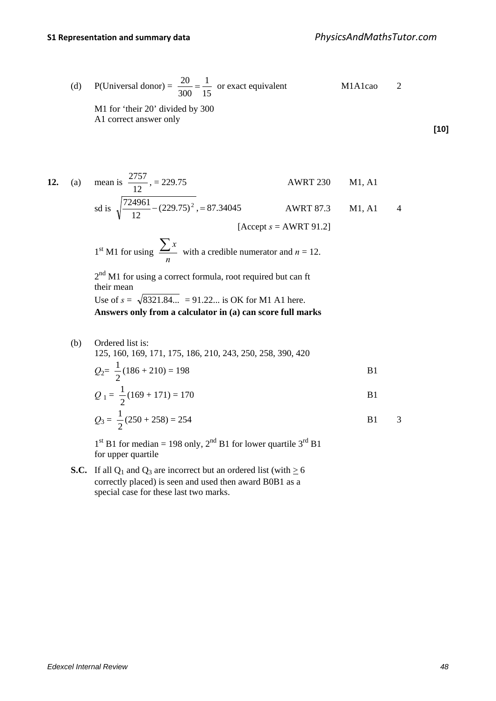(d) P(Universal donor) = 
$$
\frac{20}{300} = \frac{1}{15}
$$
 or exact equivalent M1A1cao 2  
M1 for 'their 20' divided by 300  
A1 correct answer only

**[10]**

12. (a) mean is 
$$
\frac{2757}{12}
$$
, = 229.75  
 $\sqrt{724961}$  AWRT 230 M1, A1

sd is 
$$
\sqrt{\frac{724961}{12} - (229.75)^2} = 87.34045
$$
 AWRT 87.3 M1, A1 4  
[Accept *s* = AWRT 91.2]

1<sup>st</sup> M1 for using 
$$
\frac{\sum x}{n}
$$
 with a credible numerator and  $n = 12$ .

 $2<sup>nd</sup>$  M1 for using a correct formula, root required but can ft their mean Use of  $s = \sqrt{8321.84...} = 91.22...$  is OK for M1 A1 here.

**Answers only from a calculator in (a) can score full marks**

(b) Ordered list is:

125, 160, 169, 171, 175, 186, 210, 243, 250, 258, 390, 420

$$
Q_2 = \frac{1}{2}(186 + 210) = 198
$$
 B1

$$
Q_1 = \frac{1}{2}(169 + 171) = 170
$$
 B1

$$
Q_3 = \frac{1}{2}(250 + 258) = 254
$$
 B1 3

 $1<sup>st</sup> B1$  for median = 198 only,  $2<sup>nd</sup> B1$  for lower quartile  $3<sup>rd</sup> B1$ for upper quartile

**S.C.** If all  $Q_1$  and  $Q_3$  are incorrect but an ordered list (with  $\geq 6$ correctly placed) is seen and used then award B0B1 as a special case for these last two marks.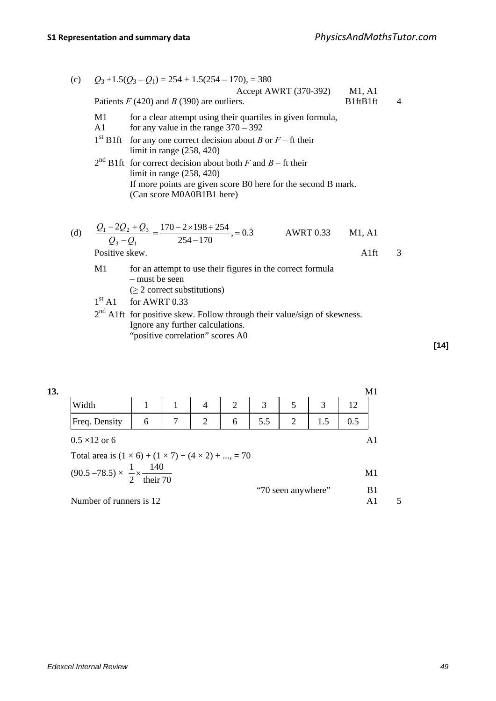(c) 
$$
Q_3 + 1.5(Q_3 - Q_1) = 254 + 1.5(254 - 170)
$$
, = 380  
\nAccept AWRT (370-392) M1, A1  
\nPaths *F* (420) and *B* (390) are outliers. B1ftB1ft 4  
\nM1 for a clear attempt using their quartiles in given formula,  
\nA1 for any value in the range 370 – 392  
\n1<sup>st</sup> B1ft for any one correct decision about *B* or *F* – ft their limit in range (258, 420)  
\n2<sup>nd</sup> B1ft for correct decision about both *F* and *B* – ft their limit in range (258, 420)  
\nIf more points are given score B0 here for the second B mark.  
\n(Can score M0A0B1B1 here)  
\n(d) 
$$
\frac{Q_1 - 2Q_2 + Q_3}{Q_3 - Q_1} = \frac{170 - 2 \times 198 + 254}{254 - 170}
$$
, = 0.3 AWRT 0.33 M1, A1  
\nPositive skew.  
\nM1 For an attempt to use their figures in the correct formula  
\n– must be seen  
\n(≥ 2 correct substitutions)  
\n1<sup>st</sup> A1 for AWRT 0.33  
\n2<sup>nd</sup> A1ft for positive skew. Follow through their value/sign of skewness.  
\nInner any further calculations

"positive correlation" scores A0

**13.** M1 Width 1 1 1 4 2 3 5 3 12 Freq. Density 6 7 2 6 5.5 2 1.5 0.5  $0.5 \times 12$  or 6 A1 Total area is  $(1 \times 6) + (1 \times 7) + (4 \times 2) + ... = 70$  $(90.5 - 78.5) \times \frac{1}{2} \times \frac{140}{\text{their } 70}$ 2  $\frac{1}{2} \times \frac{140}{11.50}$  M1 "70 seen anywhere" B1

Number of runners is 12 A1 5

**[14]**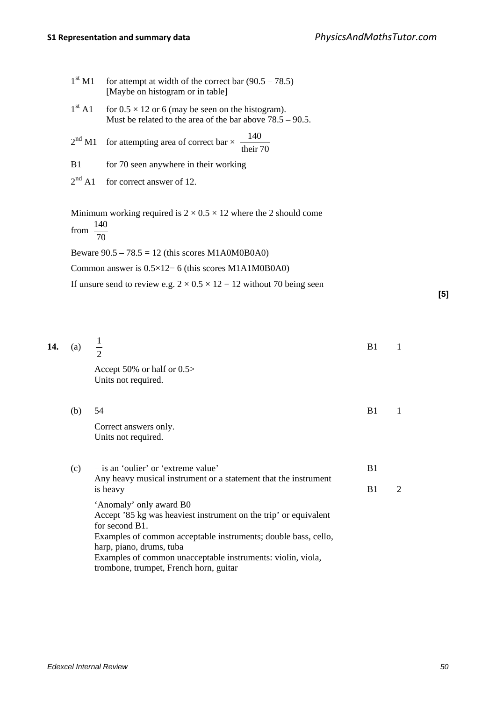| 1 <sup>st</sup> M1  | for attempt at width of the correct bar $(90.5 - 78.5)$<br>[Maybe on histogram or in table]                              |    |              |     |
|---------------------|--------------------------------------------------------------------------------------------------------------------------|----|--------------|-----|
| 1 <sup>st</sup> A1  | for $0.5 \times 12$ or 6 (may be seen on the histogram).<br>Must be related to the area of the bar above $78.5 - 90.5$ . |    |              |     |
| 2 <sup>nd</sup> M1  | 140<br>for attempting area of correct bar $\times$ -<br>their 70                                                         |    |              |     |
| B1                  | for 70 seen anywhere in their working                                                                                    |    |              |     |
| $2^{nd}$ A1         | for correct answer of 12.                                                                                                |    |              |     |
| from $\frac{1}{70}$ | Minimum working required is $2 \times 0.5 \times 12$ where the 2 should come<br>140                                      |    |              |     |
|                     | Beware $90.5 - 78.5 = 12$ (this scores M1A0M0B0A0)                                                                       |    |              |     |
|                     | Common answer is $0.5 \times 12 = 6$ (this scores M1A1M0B0A0)                                                            |    |              |     |
|                     | If unsure send to review e.g. $2 \times 0.5 \times 12 = 12$ without 70 being seen                                        |    |              |     |
|                     |                                                                                                                          |    |              | [5] |
|                     |                                                                                                                          |    |              |     |
|                     |                                                                                                                          |    |              |     |
| (a)                 | $\frac{1}{2}$                                                                                                            | B1 | $\mathbf{1}$ |     |
|                     | Accept 50% or half or 0.5><br>Units not required.                                                                        |    |              |     |
| (b)                 | 54                                                                                                                       | B1 | $\mathbf{1}$ |     |
|                     | Correct answers only.<br>Units not required.                                                                             |    |              |     |

| (c) | + is an 'oulier' or 'extreme value'                                                                                                                                                                                                                                                                                  | B1 |                             |
|-----|----------------------------------------------------------------------------------------------------------------------------------------------------------------------------------------------------------------------------------------------------------------------------------------------------------------------|----|-----------------------------|
|     | Any heavy musical instrument or a statement that the instrument<br>is heavy                                                                                                                                                                                                                                          | B1 | $\mathcal{D}_{\mathcal{L}}$ |
|     | 'Anomaly' only award B0<br>Accept '85 kg was heaviest instrument on the trip' or equivalent<br>for second B1.<br>Examples of common acceptable instruments; double bass, cello,<br>harp, piano, drums, tuba<br>Examples of common unacceptable instruments: violin, viola,<br>trombone, trumpet, French horn, guitar |    |                             |

**14.**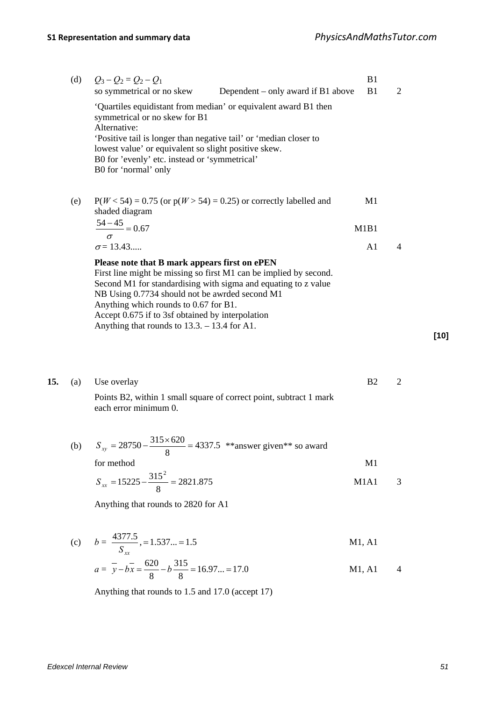| (d) | $Q_3 - Q_2 = Q_2 - Q_1$                                                                                                                                                                                                                                                                                                                                                              | B1             |                |
|-----|--------------------------------------------------------------------------------------------------------------------------------------------------------------------------------------------------------------------------------------------------------------------------------------------------------------------------------------------------------------------------------------|----------------|----------------|
|     | so symmetrical or no skew<br>Dependent – only award if B1 above                                                                                                                                                                                                                                                                                                                      | B1             | $\overline{2}$ |
|     | 'Quartiles equidistant from median' or equivalent award B1 then<br>symmetrical or no skew for B1<br>Alternative:<br>Positive tail is longer than negative tail' or 'median closer to<br>lowest value' or equivalent so slight positive skew.<br>B0 for 'evenly' etc. instead or 'symmetrical'                                                                                        |                |                |
|     | B0 for 'normal' only                                                                                                                                                                                                                                                                                                                                                                 |                |                |
| (e) | $P(W < 54) = 0.75$ (or $p(W > 54) = 0.25$ ) or correctly labelled and<br>shaded diagram                                                                                                                                                                                                                                                                                              | M1             |                |
|     | $\frac{54-45}{2} = 0.67$                                                                                                                                                                                                                                                                                                                                                             | M1B1           |                |
|     | $\sigma = 13.43$                                                                                                                                                                                                                                                                                                                                                                     | A <sub>1</sub> | 4              |
|     | Please note that B mark appears first on ePEN<br>First line might be missing so first M1 can be implied by second.<br>Second M1 for standardising with sigma and equating to z value<br>NB Using 0.7734 should not be awrded second M1<br>Anything which rounds to 0.67 for B1.<br>Accept 0.675 if to 3sf obtained by interpolation<br>Anything that rounds to $13.3 - 13.4$ for A1. |                |                |

|  | <b>15.</b> (a) Use overlay                                         |  |
|--|--------------------------------------------------------------------|--|
|  | Points B2, within 1 small square of correct point, subtract 1 mark |  |
|  | each error minimum 0.                                              |  |

(b) 
$$
S_{xy} = 28750 - \frac{315 \times 620}{8} = 4337.5
$$
 \* answer given\*\* so award  
for method

$$
S_{xx} = 15225 - \frac{315^2}{8} = 2821.875
$$
 M1A1 3

Anything that rounds to 2820 for A1

(c) 
$$
b = \frac{4377.5}{S_{xx}}
$$
,  $= 1.537... = 1.5$  M1, A1

$$
a = \overline{y} - b\overline{x} = \frac{620}{8} - b\frac{315}{8} = 16.97... = 17.0
$$
 M1, A1 4

Anything that rounds to 1.5 and 17.0 (accept 17)

**[10]**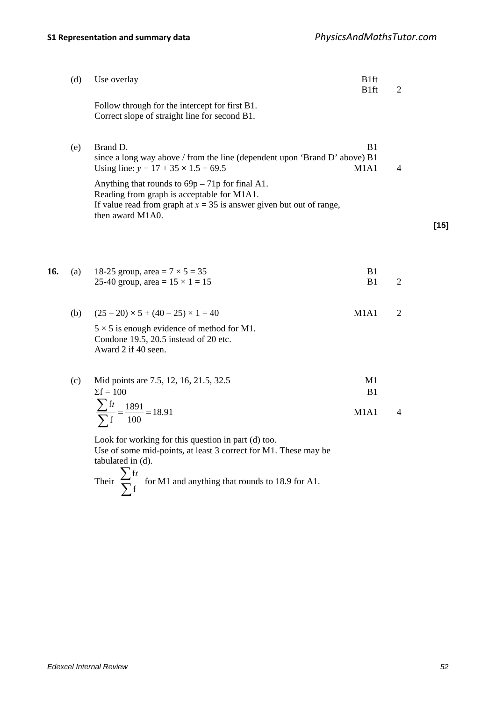|     | (d) | Use overlay                                                                                                                                                                                   | B1ft<br><b>B1ft</b>                             | $\overline{2}$ |        |
|-----|-----|-----------------------------------------------------------------------------------------------------------------------------------------------------------------------------------------------|-------------------------------------------------|----------------|--------|
|     |     | Follow through for the intercept for first B1.<br>Correct slope of straight line for second B1.                                                                                               |                                                 |                |        |
|     | (e) | Brand D.<br>since a long way above / from the line (dependent upon 'Brand D' above) B1<br>Using line: $y = 17 + 35 \times 1.5 = 69.5$                                                         | B <sub>1</sub><br>M <sub>1</sub> A <sub>1</sub> | $\overline{4}$ |        |
|     |     | Anything that rounds to $69p - 71p$ for final A1.<br>Reading from graph is acceptable for M1A1.<br>If value read from graph at $x = 35$ is answer given but out of range,<br>then award M1A0. |                                                 |                |        |
|     |     |                                                                                                                                                                                               |                                                 |                | $[15]$ |
|     |     |                                                                                                                                                                                               |                                                 |                |        |
| 16. | (a) | 18-25 group, area = $7 \times 5 = 35$<br>25-40 group, area = $15 \times 1 = 15$                                                                                                               | B1<br>B1                                        | $\overline{2}$ |        |
|     | (b) | $(25-20) \times 5 + (40-25) \times 1 = 40$                                                                                                                                                    | M1A1                                            | $\overline{2}$ |        |
|     |     | $5 \times 5$ is enough evidence of method for M1.<br>Condone 19.5, 20.5 instead of 20 etc.<br>Award 2 if 40 seen.                                                                             |                                                 |                |        |
|     | (c) | Mid points are 7.5, 12, 16, 21.5, 32.5<br>$\Sigma f = 100$                                                                                                                                    | M1<br>B1                                        |                |        |
|     |     | $\frac{\sum ft}{\frac{\sum ft}{\frac{1891}{6}}}} = 18.91$                                                                                                                                     | M1A1                                            | 4              |        |

$$
\frac{\sum ft}{\sum f} = \frac{1891}{100} = 18.91
$$
 M1A1

Look for working for this question in part (d) too. Use of some mid-points, at least 3 correct for M1. These may be tabulated in (d).

Their  $\frac{2}{\sum}$ ∑ f f*t* for M1 and anything that rounds to 18.9 for A1.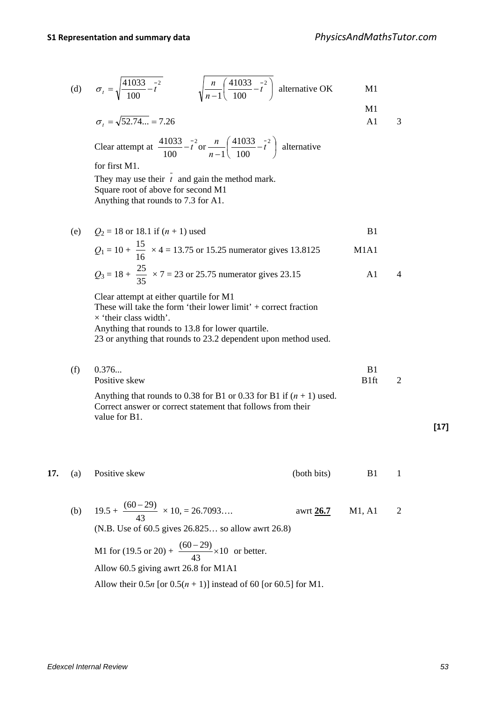M1

(d) 
$$
\sigma_t = \sqrt{\frac{41033}{100} - t^2}
$$
  $\sqrt{\frac{n}{n-1} \left(\frac{41033}{100} - t^2\right)}$  alternative OK M1

$$
\sigma_t = \sqrt{52.74...} = 7.26
$$
 A1 3

Clear attempt at 
$$
\frac{41033}{100} - t^2
$$
 or  $\frac{n}{n-1} \left( \frac{41033}{100} - t^2 \right)$  alternative

for first M1.

They may use their  $\overline{t}$  and gain the method mark. Square root of above for second M1 Anything that rounds to 7.3 for A1.

(e)  $Q_2 = 18$  or 18.1 if  $(n + 1)$  used B1  $Q_1 = 10 + \frac{15}{16}$  $\frac{15}{15}$  × 4 = 13.75 or 15.25 numerator gives 13.8125 M1A1  $Q_3 = 18 + \frac{25}{35}$  $\frac{25}{25} \times 7 = 23$  or 25.75 numerator gives 23.15 A1 4

Clear attempt at either quartile for M1 These will take the form 'their lower limit' + correct fraction  $\times$  'their class width'. Anything that rounds to 13.8 for lower quartile. 23 or anything that rounds to 23.2 dependent upon method used.

(f)  $0.376...$  B1 Positive skew B1ft 2 Anything that rounds to 0.38 for B1 or 0.33 for B1 if  $(n + 1)$  used. Correct answer or correct statement that follows from their value for B1.

#### **17.** (a) Positive skew (both bits) B1 1

(b)  $19.5 +$ 43  $\frac{(60-29)}{(20-29)} \times 10, = 26.7093...$  awrt **26.7** M1, A1 2 (N.B. Use of 60.5 gives 26.825… so allow awrt 26.8) M1 for (19.5 or 20) +  $\frac{(80 - 2)}{10} \times 10$ 43  $\frac{(60-29)}{12}$  × 10 or better. Allow 60.5 giving awrt 26.8 for M1A1 Allow their  $0.5n$  [or  $0.5(n + 1)$ ] instead of 60 [or 60.5] for M1.

**[17]**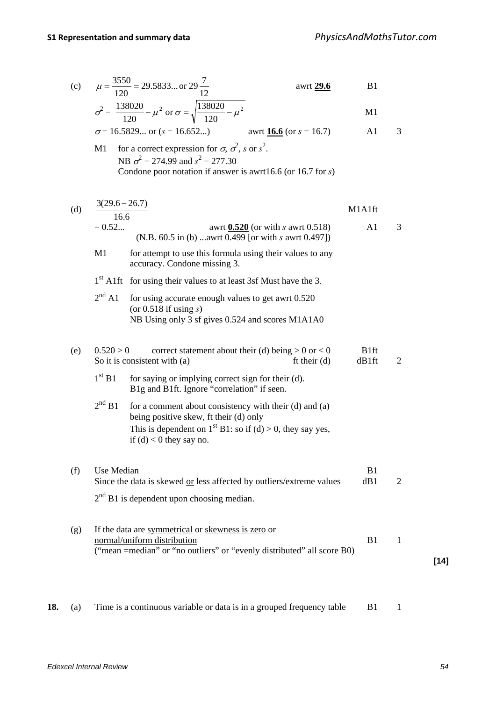(c) 
$$
\mu = \frac{3550}{120} = 29.5833... \text{ or } 29\frac{7}{12}
$$
 awrt 29.6 B1

$$
\sigma^2 = \frac{138020}{120} - \mu^2 \text{ or } \sigma = \sqrt{\frac{138020}{120} - \mu^2}
$$

$$
\sigma = 16.5829...
$$
 or  $(s = 16.652...)$    
awrt 16.6 (or  $s = 16.7$ ) A1 3

M1 for a correct expression for  $\sigma$ ,  $\sigma^2$ , s or  $s^2$ . NB  $\sigma^2 = 274.99$  and  $s^2 = 277.30$ Condone poor notation if answer is awrt16.6 (or 16.7 for *s*)

| (d)                | $3(29.6 - 26.7)$<br>16.6                                                                                                                                                                      | M1A1ft                    |                |        |
|--------------------|-----------------------------------------------------------------------------------------------------------------------------------------------------------------------------------------------|---------------------------|----------------|--------|
|                    | $= 0.52$<br>awrt $0.520$ (or with s awrt 0.518)<br>(N.B. 60.5 in (b) awrt 0.499 [or with s awrt 0.497])                                                                                       | A1                        | 3              |        |
| M1                 | for attempt to use this formula using their values to any<br>accuracy. Condone missing 3.                                                                                                     |                           |                |        |
|                    | 1 <sup>st</sup> A1ft for using their values to at least 3sf Must have the 3.                                                                                                                  |                           |                |        |
| $2^{nd}$ A1        | for using accurate enough values to get awrt 0.520<br>(or $0.518$ if using $s$ )<br>NB Using only 3 sf gives 0.524 and scores M1A1A0                                                          |                           |                |        |
| (e)                | correct statement about their (d) being $> 0$ or $< 0$<br>0.520 > 0<br>So it is consistent with (a)<br>ft their $(d)$                                                                         | B <sub>1ft</sub><br>dB1ft | $\overline{2}$ |        |
| 1 <sup>st</sup> B1 | for saying or implying correct sign for their (d).<br>B1g and B1ft. Ignore "correlation" if seen.                                                                                             |                           |                |        |
| $2nd$ B1           | for a comment about consistency with their (d) and (a)<br>being positive skew, ft their (d) only<br>This is dependent on $1st B1$ : so if (d) > 0, they say yes,<br>if $(d)$ < 0 they say no. |                           |                |        |
| (f)                | Use Median<br>Since the data is skewed or less affected by outliers/extreme values                                                                                                            | B1<br>dB1                 | $\overline{2}$ |        |
|                    | $2nd$ B1 is dependent upon choosing median.                                                                                                                                                   |                           |                |        |
| (g)                | If the data are symmetrical or skewness is zero or<br>normal/uniform distribution<br>("mean =median" or "no outliers" or "evenly distributed" all score B0)                                   | B1                        | $\mathbf{1}$   |        |
|                    |                                                                                                                                                                                               |                           |                | $[14]$ |

**18.** (a) Time is a continuous variable or data is in a grouped frequency table B1 1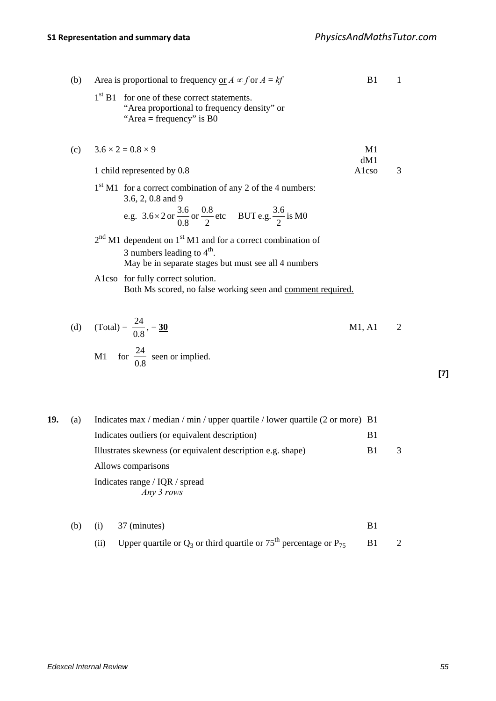|     | (b) | Area is proportional to frequency or $A \propto f$ or $A = kf$                                                                                                              | B1        | 1 |
|-----|-----|-----------------------------------------------------------------------------------------------------------------------------------------------------------------------------|-----------|---|
|     |     | 1 <sup>st</sup> B1<br>for one of these correct statements.<br>"Area proportional to frequency density" or<br>"Area = frequency" is $B0$                                     |           |   |
|     | (c) | $3.6 \times 2 = 0.8 \times 9$                                                                                                                                               | M1<br>dM1 |   |
|     |     | 1 child represented by 0.8                                                                                                                                                  | Alcso     | 3 |
|     |     | $1st$ M1 for a correct combination of any 2 of the 4 numbers:<br>3.6, 2, 0.8 and 9                                                                                          |           |   |
|     |     | e.g. $3.6 \times 2$ or $\frac{3.6}{0.8}$ or $\frac{0.8}{2}$ etc BUT e.g. $\frac{3.6}{2}$ is M0                                                                              |           |   |
|     |     | $2nd$ M1 dependent on 1 <sup>st</sup> M1 and for a correct combination of<br>3 numbers leading to $4^{\text{th}}$ .<br>May be in separate stages but must see all 4 numbers |           |   |
|     |     | Alcso for fully correct solution.<br>Both Ms scored, no false working seen and comment required.                                                                            |           |   |
|     | (d) | (Total) = $\frac{24}{0.8}$ , = 30                                                                                                                                           | M1, A1    | 2 |
|     |     | M1 for $\frac{24}{0.8}$ seen or implied.                                                                                                                                    |           |   |
|     |     |                                                                                                                                                                             |           |   |
| 19. | (a) | Indicates max / median / min / upper quartile / lower quartile (2 or more) B1                                                                                               |           |   |
|     |     | Indicates outliers (or equivalent description)                                                                                                                              | B1        |   |
|     |     | Illustrates skewness (or equivalent description e.g. shape)<br>Allows comparisons                                                                                           | B1        | 3 |
|     |     | Indicates range / IQR / spread<br>Any 3 rows                                                                                                                                |           |   |
|     |     |                                                                                                                                                                             |           |   |

\n- (b) (i) 37 (minutes)
\n- (ii) Upper quartile or 
$$
Q_3
$$
 or third quartile or  $75^{\text{th}}$  percentage or  $P_{75}$  B1 2
\n

**[7]**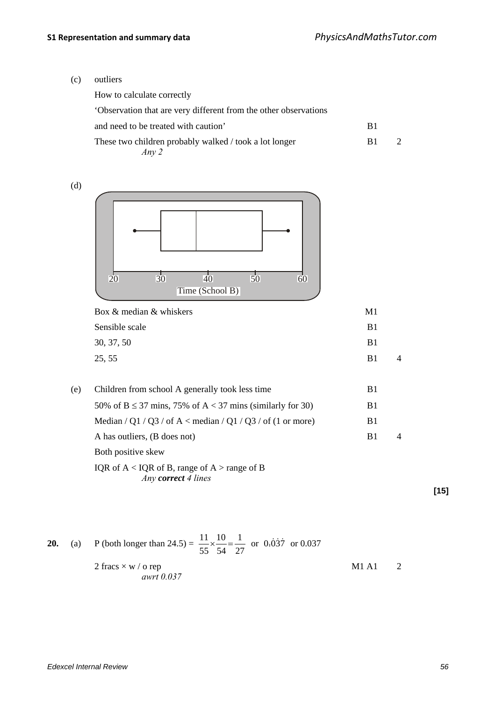(c) outliers

| How to calculate correctly                                      |    |  |
|-----------------------------------------------------------------|----|--|
| Observation that are very different from the other observations |    |  |
| and need to be treated with caution'                            | B1 |  |
| These two children probably walked / took a lot longer<br>Any 2 | B1 |  |

(d)



| M1 |  |
|----|--|
| R1 |  |
| B1 |  |
| R1 |  |
|    |  |

(e) Children from school A generally took less time B1 50% of  $B \le 37$  mins, 75% of  $A < 37$  mins (similarly for 30) B1 Median / Q1 / Q3 / of A < median / Q1 / Q3 / of (1 or more) B1 A has outliers, (B does not) B1 4 Both positive skew

IQR of A < IQR of B, range of A > range of B *Any correct 4 lines*

**[15]**

**20.** (a) P (both longer than 24.5) = 
$$
\frac{11}{55} \times \frac{10}{54} = \frac{1}{27}
$$
 or 0.037  
2 fracs × w / o rep  
*awrt* 0.037  
M1 A1 2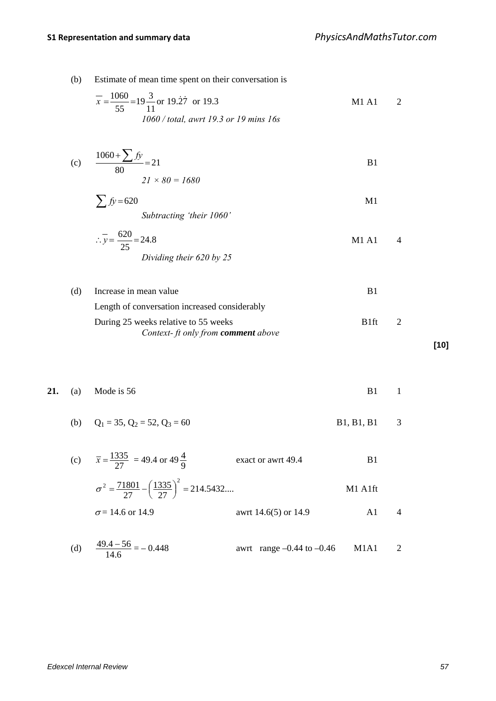(b) Estimate of mean time spent on their conversation is

$$
\overline{x} = \frac{1060}{55} = 19\frac{3}{11}
$$
 or 19.27 or 19.3  
1060 / total, awrt 19.3 or 19 mins 16s  
M1 A1 2

(c) 
$$
\frac{1060 + \sum f y}{80} = 21
$$
  
21 × 80 = 1680

$$
\sum f y = 620
$$
 *Subtracting 'their 1060'*

$$
\therefore y = \frac{620}{25} = 24.8
$$
   
Dividing their 620 by 25

 (d) Increase in mean value B1 Length of conversation increased considerably During 25 weeks relative to 55 weeks B1ft 2 *Context- ft only from comment above* **[10]**

**21.** (a) Mode is 56 B1 1

(b)  $Q_1 = 35, Q_2 = 52, Q_3 = 60$  B1, B1, B1 3

(c) 
$$
\bar{x} = \frac{1335}{27} = 49.4 \text{ or } 49\frac{4}{9}
$$
 exact or awrt 49.4 B1  
\n
$$
\sigma^2 = \frac{71801}{27} - \left(\frac{1335}{27}\right)^2 = 214.5432...
$$
 M1 A1ft  
\n $\sigma = 14.6 \text{ or } 14.9$  avrt 14.6(5) or 14.9 A1 4

(d) 
$$
\frac{49.4 - 56}{14.6} = -0.448
$$
   
 awrt range -0.44 to -0.46 M1A1 2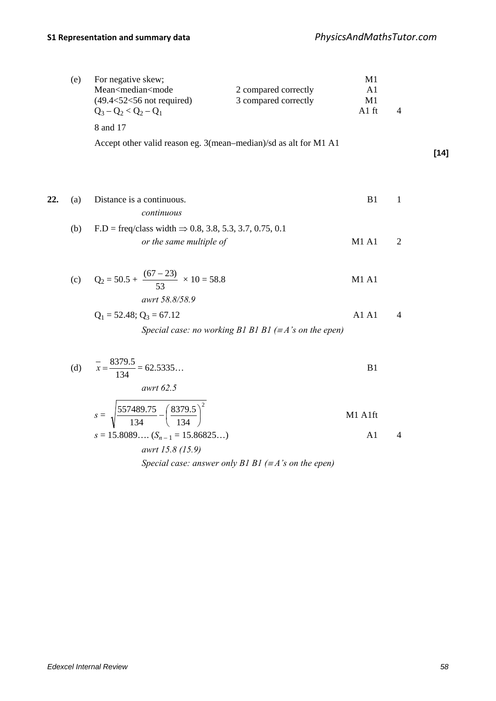|     | (e) | For negative skew;<br>Mean <median<mode<br><math>(49.4 &lt; 52 &lt; 56</math> not required)<br/><math>Q_3 - Q_2 &lt; Q_2 - Q_1</math></median<mode<br> | 2 compared correctly<br>3 compared correctly                  | M1<br>A <sub>1</sub><br>M1<br>A1 ft | $\overline{4}$ |        |
|-----|-----|--------------------------------------------------------------------------------------------------------------------------------------------------------|---------------------------------------------------------------|-------------------------------------|----------------|--------|
|     |     | 8 and 17                                                                                                                                               |                                                               |                                     |                |        |
|     |     | Accept other valid reason eg. 3(mean-median)/sd as alt for M1 A1                                                                                       |                                                               |                                     |                | $[14]$ |
| 22. | (a) | Distance is a continuous.<br>continuous                                                                                                                |                                                               | B1                                  | $\mathbf{1}$   |        |
|     | (b) | $F.D = \text{freq}/\text{class width} \Rightarrow 0.8, 3.8, 5.3, 3.7, 0.75, 0.1$                                                                       |                                                               |                                     |                |        |
|     |     | or the same multiple of                                                                                                                                |                                                               | <b>M1 A1</b>                        | $\mathfrak{2}$ |        |
|     |     | (c) $Q_2 = 50.5 + \frac{(67 - 23)}{53} \times 10 = 58.8$                                                                                               |                                                               | <b>M1 A1</b>                        |                |        |
|     |     | awrt 58.8/58.9<br>$Q_1 = 52.48$ ; $Q_3 = 67.12$                                                                                                        | Special case: no working B1 B1 B1 ( $\equiv$ A's on the epen) | A1 A1                               | $\overline{4}$ |        |
|     |     |                                                                                                                                                        |                                                               |                                     |                |        |
|     |     | (d) $\bar{x} = \frac{8379.5}{134} = 62.5335$                                                                                                           |                                                               | B1                                  |                |        |
|     |     | awrt 62.5                                                                                                                                              |                                                               |                                     |                |        |
|     |     | $s = \sqrt{\frac{557489.75}{134} - \left(\frac{8379.5}{134}\right)^2}$                                                                                 |                                                               | M1 A1ft                             |                |        |
|     |     | $s = 15.8089 (S_{n-1} = 15.86825)$                                                                                                                     |                                                               | A1                                  | $\overline{4}$ |        |
|     |     | awrt 15.8 (15.9)                                                                                                                                       |                                                               |                                     |                |        |

*Special case: answer only B1 B1 (*<sup>≡</sup> *A's on the epen)*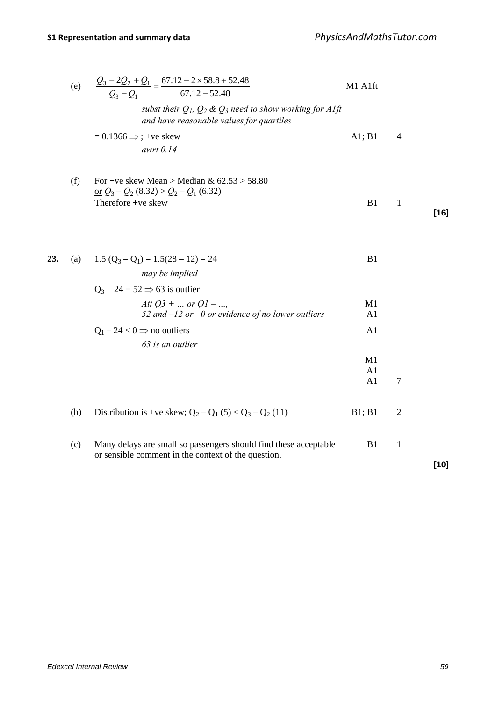|     | (e) | $\frac{Q_3 - 2Q_2 + Q_1}{Q_2 - Q_1} = \frac{67.12 - 2 \times 58.8 + 52.48}{67.12 - 52.48}$                              | M1 A1ft              |                |        |
|-----|-----|-------------------------------------------------------------------------------------------------------------------------|----------------------|----------------|--------|
|     |     | subst their $Q_1$ , $Q_2$ & $Q_3$ need to show working for Alft<br>and have reasonable values for quartiles             |                      |                |        |
|     |     | $= 0.1366 \Rightarrow$ ; +ve skew<br>awrt 0.14                                                                          | A1; B1               | $\overline{4}$ |        |
|     | (f) | For +ve skew Mean > Median & $62.53 > 58.80$<br><u>or</u> $Q_3 - Q_2$ (8.32) > $Q_2 - Q_1$ (6.32)<br>Therefore +ve skew | B1                   | $\mathbf{1}$   | $[16]$ |
| 23. | (a) | $1.5 (Q_3 - Q_1) = 1.5(28 - 12) = 24$<br>may be implied<br>$Q_3 + 24 = 52 \implies 63$ is outlier                       | B1                   |                |        |
|     |     | Att $Q3 + $ or $Q1 - $<br>52 and $-12$ or 0 or evidence of no lower outliers                                            | M1<br>A <sub>1</sub> |                |        |
|     |     | $Q_1 - 24 < 0 \Rightarrow$ no outliers<br>63 is an outlier                                                              | A1                   |                |        |
|     |     |                                                                                                                         | M1<br>A1<br>A1       | $\overline{7}$ |        |
|     | (b) | Distribution is +ve skew; $Q_2 - Q_1 (5) < Q_3 - Q_2 (11)$                                                              | B1; B1               | $\overline{2}$ |        |
|     | (c) | Many delays are small so passengers should find these acceptable<br>or sensible comment in the context of the question. | B1                   | $\mathbf{1}$   | $[10]$ |
|     |     |                                                                                                                         |                      |                |        |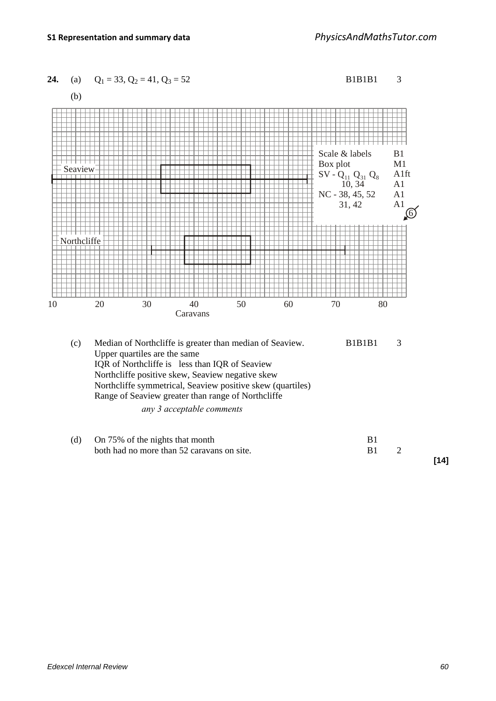

**[14]**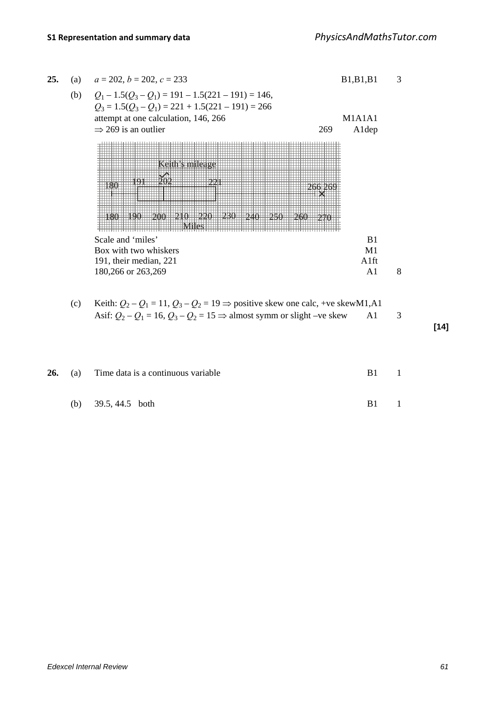| 25. | (a) | $a = 202$ , $b = 202$ , $c = 233$                                                                           | B1, B1, B1     |   |
|-----|-----|-------------------------------------------------------------------------------------------------------------|----------------|---|
|     | (b) | $Q_1 - 1.5(Q_3 - Q_1) = 191 - 1.5(221 - 191) = 146,$<br>$Q_3 = 1.5(Q_3 - Q_1) = 221 + 1.5(221 - 191) = 266$ |                |   |
|     |     | attempt at one calculation, 146, 266                                                                        | M1A1A1         |   |
|     |     | $\Rightarrow$ 269 is an outlier<br>269                                                                      | Aldep          |   |
|     |     |                                                                                                             |                |   |
|     |     | Scale and 'miles'                                                                                           | B <sub>1</sub> |   |
|     |     | Box with two whiskers                                                                                       | M1             |   |
|     |     | 191, their median, 221                                                                                      | A1ft           |   |
|     |     | 180,266 or 263,269                                                                                          | A <sub>1</sub> | 8 |

(c) Keith:  $Q_2 - Q_1 = 11$ ,  $Q_3 - Q_2 = 19 \Rightarrow$  positive skew one calc, +ve skewM1,A1 Asif:  $Q_2 - Q_1 = 16$ ,  $Q_3 - Q_2 = 15 \Rightarrow$  almost symm or slight –ve skew A1 3

**[14]**

|  | <b>26.</b> (a) Time data is a continuous variable | B1 |     |
|--|---------------------------------------------------|----|-----|
|  | (b) $39.5, 44.5$ both                             | B1 | - 1 |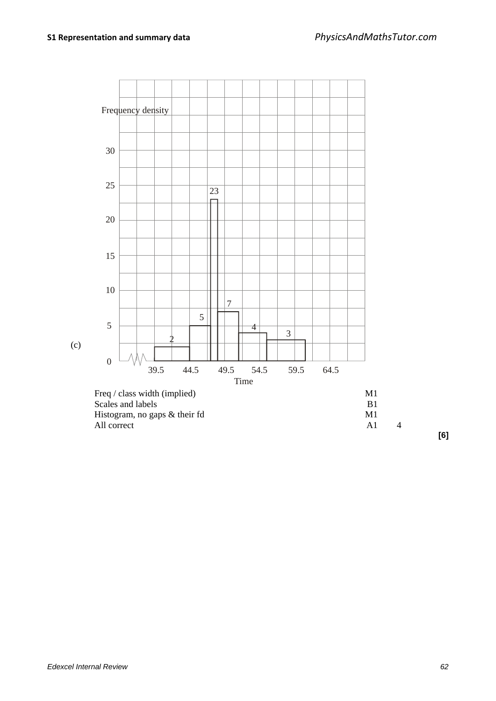

**[6]**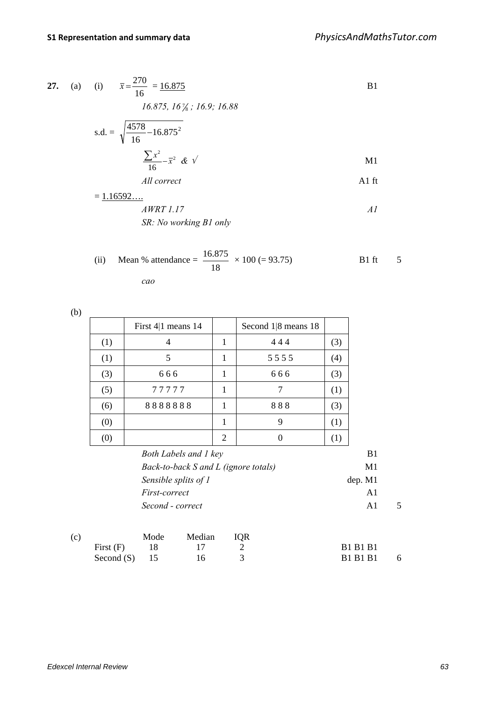27. (a) (i) 
$$
\bar{x} = \frac{270}{16} = \frac{16.875}{16}
$$
 B1  
\n $16.875, 16\frac{1}{8}, 16.9, 16.88$   
\ns.d. =  $\sqrt{\frac{4578}{16} - 16.875^2}$   
\n $\frac{\sum x^2}{16} - \bar{x}^2 \& \sqrt{M1}$   
\n*All correct*  
\nA1 ft  
\n $= \frac{1.16592....}{16}$ 

*AWRT 1.17 A1 SR: No working B1 only*

(ii) Mean % attendance = 
$$
\frac{16.875}{18} \times 100 (= 93.75)
$$
 B1 ft 5

*cao*

|   | I<br>v<br>۰. |
|---|--------------|
|   | ۰.           |
| × | ×            |

|     | First $4 1$ means 14                 |                | Second $1 8$ means 18 |     |         |   |
|-----|--------------------------------------|----------------|-----------------------|-----|---------|---|
| (1) | 4                                    | 1              | 444                   | (3) |         |   |
| (1) | 5                                    | 1              | 5555                  | (4) |         |   |
| (3) | 666                                  | 1              | 666                   | (3) |         |   |
| (5) | 77777                                | 1              | 7                     | (1) |         |   |
| (6) | 8888888                              | 1              | 888                   | (3) |         |   |
| (0) |                                      | 1              | 9                     | (1) |         |   |
| (0) |                                      | $\overline{2}$ | $\overline{0}$        | (1) |         |   |
|     | Both Labels and 1 key                |                |                       |     | B1      |   |
|     | Back-to-back S and L (ignore totals) |                |                       |     | M1      |   |
|     | Sensible splits of 1                 |                |                       |     | dep. M1 |   |
|     | First-correct                        |                |                       |     | A1      |   |
|     | Second - correct                     |                |                       |     | A1      | 5 |

| (c) |                 | Mode | Median IQR |                 |     |
|-----|-----------------|------|------------|-----------------|-----|
|     | First(F)        | - 18 |            | <b>B1 B1 B1</b> |     |
|     | Second $(S)$ 15 |      | 16         | <b>B1 B1 B1</b> | - 6 |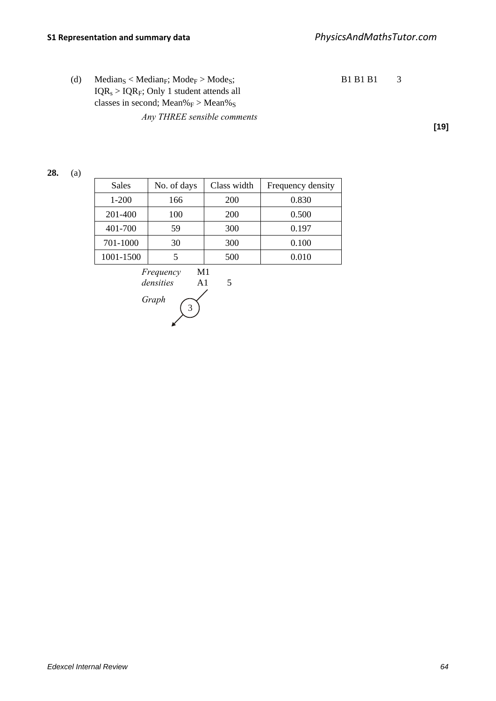(d) Median<sub>S</sub> < Median<sub>F</sub>; Mode<sub>F</sub> > Mode<sub>S</sub>; B1 B1 B1 3  $IQR<sub>s</sub> > IQR<sub>F</sub>; Only 1 student attends all$ classes in second;  $Mean\%_F > Mean\%_S$ *Any THREE sensible comments*

**[19]**

## **28.** (a)

| <b>Sales</b> | No. of days | Class width | Frequency density |
|--------------|-------------|-------------|-------------------|
| $1 - 200$    | 166         | 200         | 0.830             |
| 201-400      | 100         | 200         | 0.500             |
| 401-700      | 59          | 300         | 0.197             |
| 701-1000     | 30          | 300         | 0.100             |
| 1001-1500    |             | 500         | 0.010             |

*Frequency* M1 *densities* A1 5 *Graph*  3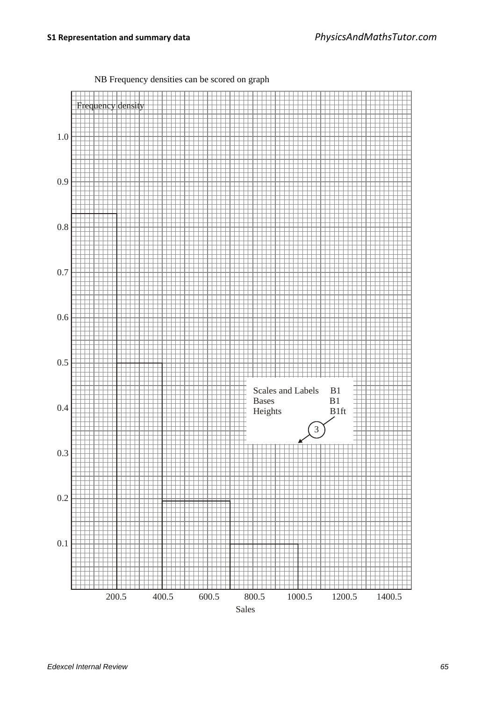NB Frequency densities can be scored on graph

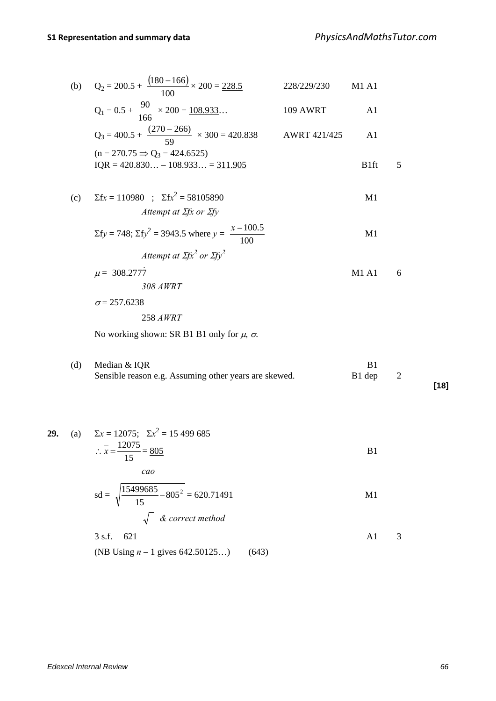(b) 
$$
Q_2 = 200.5 + \frac{(180 - 166)}{100} \times 200 = 228.5
$$
 228/229/230 M1 A1

$$
Q_1 = 0.5 + \frac{90}{166} \times 200 = \underline{108.933} \dots
$$
 109 AWRT A1

$$
Q_3 = 400.5 + \frac{(270 - 266)}{59} \times 300 = 420.838
$$
   
AWRT 421/425   
 
$$
MWRT 421/425
$$
   
 
$$
MWRT 421/425
$$
   
 
$$
MWRT 421/425
$$
   
 
$$
MWRT 421/425
$$
   
 
$$
M1
$$
   
 
$$
MQR = 420.830... - 108.933... = 311.905
$$

(c)  $\Sigma$ f*x* = 110980 ;  $\Sigma$ f*x*<sup>2</sup> = 58105890 M1 *Attempt at* Σ*fx or* Σ*fy*

$$
\Sigma f y = 748; \Sigma f y^2 = 3943.5 \text{ where } y = \frac{x - 100.5}{100}
$$
 M1  
Attempt at  $\Sigma f x^2$  or  $\Sigma f y^2$ 

$$
\mu = 308.2777
$$
 *M1 A1* 6  
308 *AWRT*

$$
\sigma = 257.6238
$$

$$
258\,AWRT
$$

No working shown: SR B1 B1 only for  $\mu$ ,  $\sigma$ .

(d) Median  $&$  IQR B1 Sensible reason e.g. Assuming other years are skewed. B1 dep 2

**[18]**

29. (a) 
$$
\Sigma x = 12075
$$
;  $\Sigma x^2 = 15\ 499\ 685$   
\n $\therefore x = \frac{12075}{15} = \frac{805}{15}$  B1  
\ncao  
\n $sd = \sqrt{\frac{15499685}{15} - 805^2} = 620.71491$  M1  
\n $\sqrt{\text{ 6 correct method}}$   
\n3 s.f. 621  
\n(B) Using *n* – 1 gives 642.50125...) (643)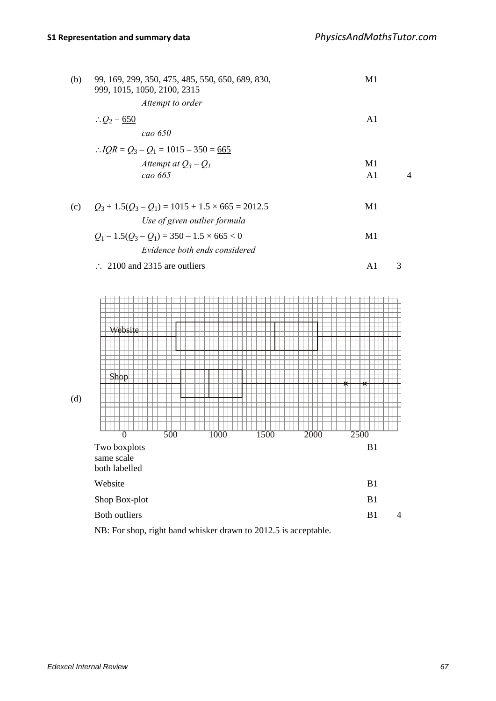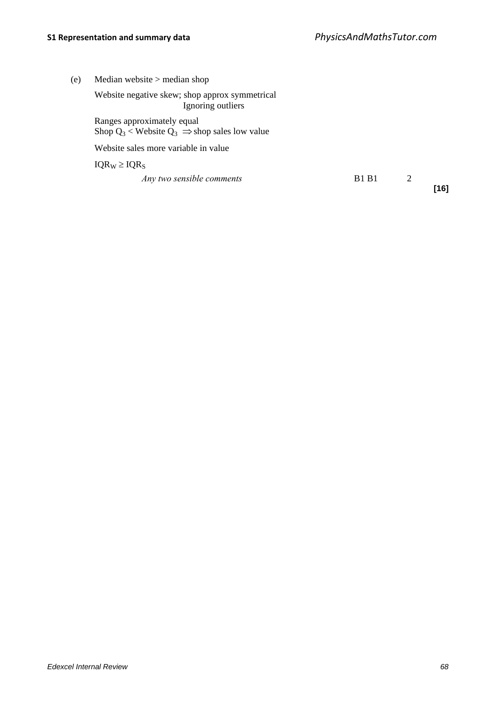| (e) | Median website $>$ median shop                                                         |              |   |      |
|-----|----------------------------------------------------------------------------------------|--------------|---|------|
|     | Website negative skew; shop approx symmetrical<br>Ignoring outliers                    |              |   |      |
|     | Ranges approximately equal<br>Shop $Q_3$ < Website $Q_3 \implies$ shop sales low value |              |   |      |
|     | Website sales more variable in value                                                   |              |   |      |
|     | $IQR_W \geq IQR_S$                                                                     |              |   |      |
|     | Any two sensible comments                                                              | <b>B1 B1</b> | 2 | [16] |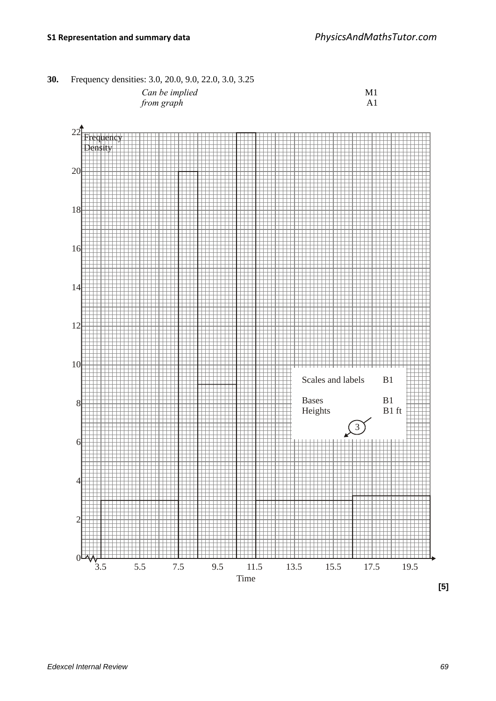**30.** Frequency densities: 3.0, 20.0, 9.0, 22.0, 3.0, 3.25 *Can be implied* M1

*from graph* A1



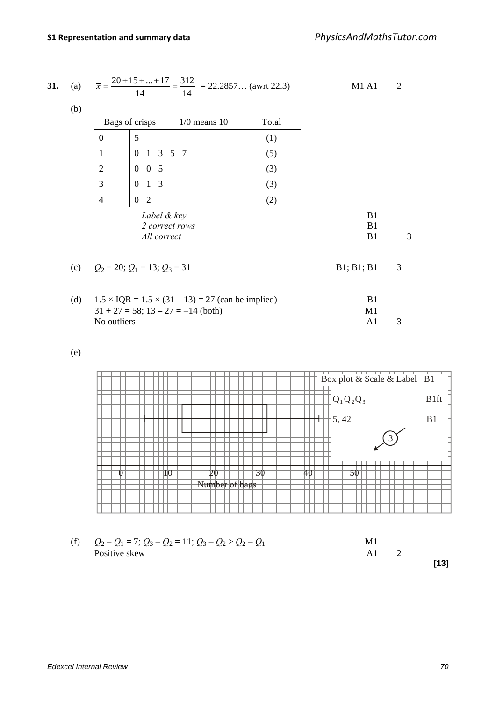| 31. | (a) |                                                                          | $\overline{x} = \frac{20 + 15 +  + 17}{14} = \frac{312}{14} = 22.2857$ (awrt 22.3) |       | <b>M1 A1</b>   | $\overline{2}$ |
|-----|-----|--------------------------------------------------------------------------|------------------------------------------------------------------------------------|-------|----------------|----------------|
|     | (b) |                                                                          |                                                                                    |       |                |                |
|     |     | Bags of crisps                                                           | $1/0$ means $10$                                                                   | Total |                |                |
|     |     | $\boldsymbol{0}$<br>5                                                    |                                                                                    | (1)   |                |                |
|     |     | $\boldsymbol{0}$<br>$1 \t3 \t5 \t7$<br>$\mathbf{1}$                      |                                                                                    | (5)   |                |                |
|     |     | $\sqrt{2}$                                                               |                                                                                    | (3)   |                |                |
|     |     | $\begin{bmatrix} 0 & 0 & 5 \\ 0 & 1 & 3 \end{bmatrix}$<br>$\overline{3}$ |                                                                                    | (3)   |                |                |
|     |     | $\overline{4}$<br>$\boldsymbol{0}$<br>2                                  |                                                                                    | (2)   |                |                |
|     |     | Label & key<br>All correct                                               | 2 correct rows                                                                     |       | B1<br>B1<br>B1 | 3              |
|     |     | (c) $Q_2 = 20$ ; $Q_1 = 13$ ; $Q_3 = 31$                                 |                                                                                    |       | B1; B1; B1     | 3              |
|     | (d) | $31 + 27 = 58$ ; $13 - 27 = -14$ (both)                                  | $1.5 \times IQR = 1.5 \times (31 - 13) = 27$ (can be implied)                      |       | B1<br>M1       |                |
|     |     | No outliers                                                              |                                                                                    |       | A <sub>1</sub> | 3              |

(e)



(f)  $Q_2 - Q_1 = 7; Q_3 - Q_2 = 11; Q_3 - Q_2 > Q_2 - Q_1$  M1<br>Positive skew A1 Positive skew A1 2 **[13]**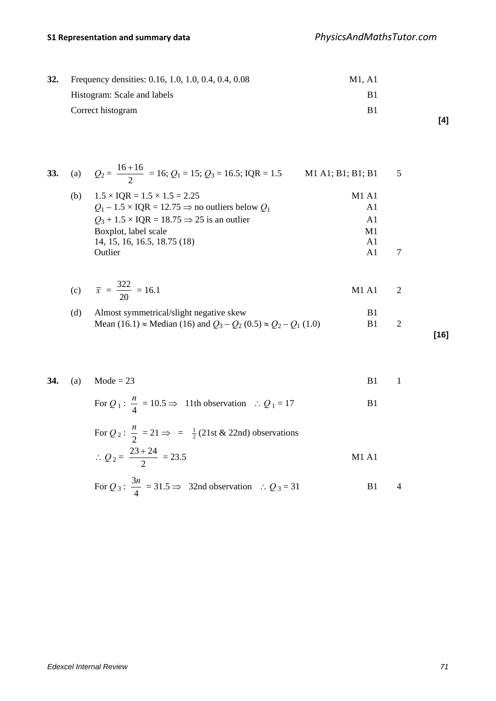# **S1 Representation and summary data** *PhysicsAndMathsTutor.com*

| 32. | Frequency densities: 0.16, 1.0, 1.0, 0.4, 0.4, 0.08 | M1. A1 |  |  |
|-----|-----------------------------------------------------|--------|--|--|
|     | Histogram: Scale and labels                         | B1     |  |  |
|     | Correct histogram                                   | B1     |  |  |

| 33. |     | (a) $Q_2 = \frac{16+16}{2} = 16$ ; $Q_1 = 15$ ; $Q_3 = 16.5$ ; IQR = 1.5 | M1 A1; B1; B1; B1 | - 5 |
|-----|-----|--------------------------------------------------------------------------|-------------------|-----|
|     | (b) | $1.5 \times IQR = 1.5 \times 1.5 = 2.25$                                 | M1A1              |     |
|     |     | $Q_1 - 1.5 \times IQR = 12.75 \implies$ no outliers below $Q_1$          | A1                |     |
|     |     | $Q_3 + 1.5 \times IQR = 18.75 \implies 25$ is an outlier                 | A1                |     |
|     |     | Boxplot, label scale                                                     | M1                |     |
|     |     | 14, 15, 16, 16.5, 18.75 (18)                                             | A <sub>1</sub>    |     |
|     |     | Outlier                                                                  | Αl                |     |

| (c) $\bar{x} = \frac{322}{x} = 16.1$ | $\Delta$ 1<br>M L |  |
|--------------------------------------|-------------------|--|
|                                      |                   |  |

(d) Almost symmetrical/slight negative skew  
Mean (16.1) 
$$
\approx
$$
 Median (16) and  $Q_3 - Q_2 (0.5) \approx Q_2 - Q_1 (1.0)$  B1 2

Outlier Al 7

**[16]**

**[4]**

|  | <b>34.</b> (a) Mode = 23 |  | <b>B1</b> 1 |  |
|--|--------------------------|--|-------------|--|
|  |                          |  |             |  |

For  $Q_1: \frac{n}{4} = 10.5 \Rightarrow 11$ th observation ∴  $Q_1 = 17$  B1

For 
$$
Q_2
$$
:  $\frac{n}{2} = 21 \Rightarrow = \frac{1}{2}(21 \text{st} \& 22 \text{nd}) \text{ observations}$   
\n
$$
\therefore Q_2 = \frac{23 + 24}{2} = 23.5
$$
 M1 A1

For 
$$
Q_3
$$
:  $\frac{3n}{4} = 31.5 \Rightarrow 32nd$  observation  $\therefore Q_3 = 31$  B1 4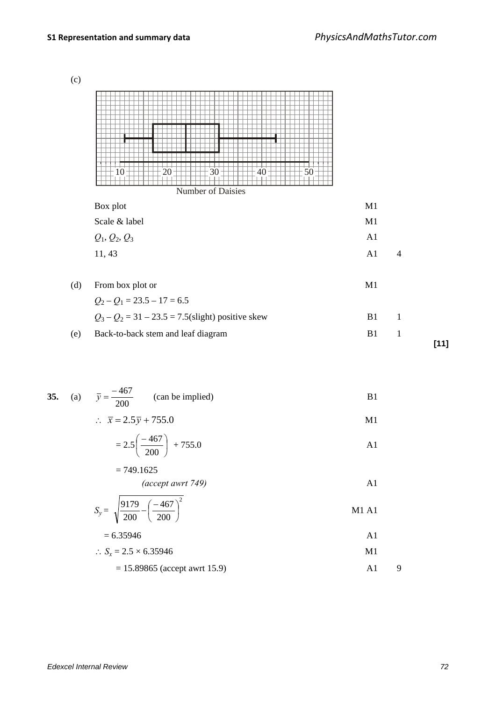(c)

|     | 20<br>30<br>50<br>40<br>$\Omega$<br>Number of Daisies |    |                |        |
|-----|-------------------------------------------------------|----|----------------|--------|
|     | Box plot                                              | M1 |                |        |
|     | Scale & label                                         | M1 |                |        |
|     | $Q_1, Q_2, Q_3$                                       | A1 |                |        |
|     | 11, 43                                                | A1 | $\overline{4}$ |        |
| (d) | From box plot or                                      | M1 |                |        |
|     | $Q_2 - Q_1 = 23.5 - 17 = 6.5$                         |    |                |        |
|     | $Q_3 - Q_2 = 31 - 23.5 = 7.5$ (slight) positive skew  | B1 | $\mathbf{1}$   |        |
| (e) | Back-to-back stem and leaf diagram                    | B1 | $\mathbf{1}$   |        |
|     |                                                       |    |                | $[11]$ |

35. (a) 
$$
\bar{y} = \frac{-467}{200}
$$
 (can be implied) B1

$$
\therefore \quad \overline{x} = 2.5\overline{y} + 755.0
$$

$$
=2.5\left(\frac{-467}{200}\right) + 755.0
$$

$$
=749.1625
$$

(accept awrt 749) 
$$
A1
$$

$$
S_y = \sqrt{\frac{9179}{200} - \left(\frac{-467}{200}\right)^2}
$$
 M1 A1

$$
= 6.35946
$$

$$
\therefore S_x = 2.5 \times 6.35946 \qquad \qquad \text{M1}
$$

$$
= 15.89865 \text{ (accept awrt 15.9)} \qquad \qquad \text{A1} \qquad 9
$$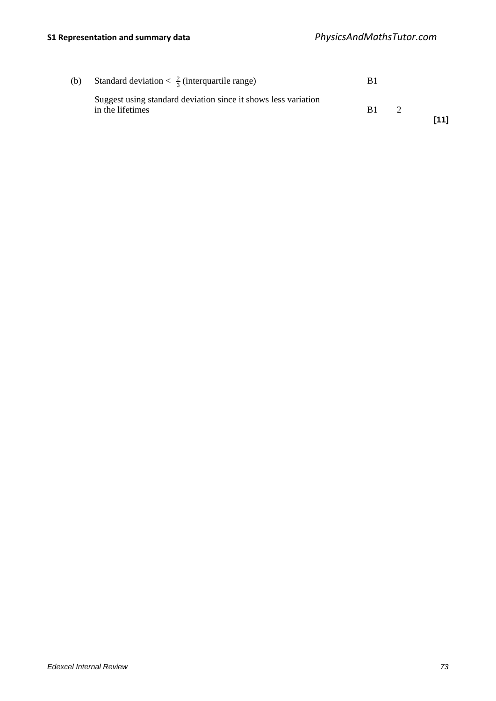| (b) | Standard deviation $\frac{2}{3}$ (interquartile range)                             | B1 |      |
|-----|------------------------------------------------------------------------------------|----|------|
|     | Suggest using standard deviation since it shows less variation<br>in the lifetimes | B1 | [11] |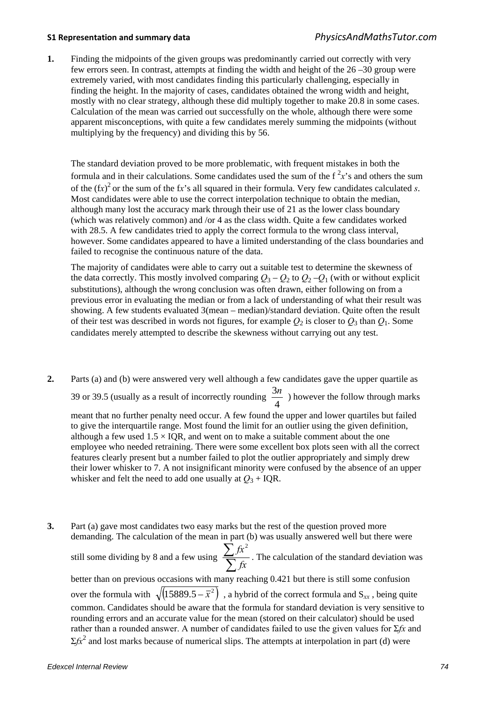**1.** Finding the midpoints of the given groups was predominantly carried out correctly with very few errors seen. In contrast, attempts at finding the width and height of the 26 –30 group were extremely varied, with most candidates finding this particularly challenging, especially in finding the height. In the majority of cases, candidates obtained the wrong width and height, mostly with no clear strategy, although these did multiply together to make 20.8 in some cases. Calculation of the mean was carried out successfully on the whole, although there were some apparent misconceptions, with quite a few candidates merely summing the midpoints (without multiplying by the frequency) and dividing this by 56.

The standard deviation proved to be more problematic, with frequent mistakes in both the formula and in their calculations. Some candidates used the sum of the  $f^2x$ 's and others the sum of the (f*x*) 2 or the sum of the f*x*'s all squared in their formula. Very few candidates calculated *s*. Most candidates were able to use the correct interpolation technique to obtain the median, although many lost the accuracy mark through their use of 21 as the lower class boundary (which was relatively common) and /or 4 as the class width. Quite a few candidates worked with 28.5. A few candidates tried to apply the correct formula to the wrong class interval, however. Some candidates appeared to have a limited understanding of the class boundaries and failed to recognise the continuous nature of the data.

The majority of candidates were able to carry out a suitable test to determine the skewness of the data correctly. This mostly involved comparing  $Q_3 - Q_2$  to  $Q_2 - Q_1$  (with or without explicit substitutions), although the wrong conclusion was often drawn, either following on from a previous error in evaluating the median or from a lack of understanding of what their result was showing. A few students evaluated 3(mean – median)/standard deviation. Quite often the result of their test was described in words not figures, for example  $Q_2$  is closer to  $Q_3$  than  $Q_1$ . Some candidates merely attempted to describe the skewness without carrying out any test.

- **2.** Parts (a) and (b) were answered very well although a few candidates gave the upper quartile as 39 or 39.5 (usually as a result of incorrectly rounding  $\frac{32}{4}$  $\frac{3n}{1}$ ) however the follow through marks meant that no further penalty need occur. A few found the upper and lower quartiles but failed to give the interquartile range. Most found the limit for an outlier using the given definition, although a few used  $1.5 \times IQR$ , and went on to make a suitable comment about the one employee who needed retraining. There were some excellent box plots seen with all the correct features clearly present but a number failed to plot the outlier appropriately and simply drew their lower whisker to 7. A not insignificant minority were confused by the absence of an upper whisker and felt the need to add one usually at  $Q_3$  + IQR.
- **3.** Part (a) gave most candidates two easy marks but the rest of the question proved more demanding. The calculation of the mean in part (b) was usually answered well but there were still some dividing by 8 and a few using  $\frac{2}{\sum_{i=1}^{n} \sum_{j=1}^{n} x_j^2}$ ∑ *fx*  $f x^2$ . The calculation of the standard deviation was better than on previous occasions with many reaching 0.421 but there is still some confusion over the formula with  $\sqrt{(15889.5 - \bar{x}^2)}$ , a hybrid of the correct formula and S<sub>*xx*</sub>, being quite common. Candidates should be aware that the formula for standard deviation is very sensitive to rounding errors and an accurate value for the mean (stored on their calculator) should be used rather than a rounded answer. A number of candidates failed to use the given values for Σ*fx* and  $\Sigma f x^2$  and lost marks because of numerical slips. The attempts at interpolation in part (d) were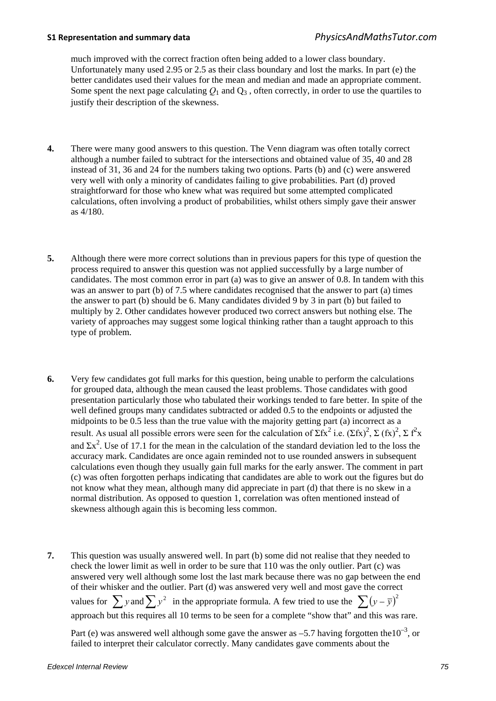much improved with the correct fraction often being added to a lower class boundary. Unfortunately many used 2.95 or 2.5 as their class boundary and lost the marks. In part (e) the better candidates used their values for the mean and median and made an appropriate comment. Some spent the next page calculating  $O_1$  and  $O_3$ , often correctly, in order to use the quartiles to justify their description of the skewness.

- **4.** There were many good answers to this question. The Venn diagram was often totally correct although a number failed to subtract for the intersections and obtained value of 35, 40 and 28 instead of 31, 36 and 24 for the numbers taking two options. Parts (b) and (c) were answered very well with only a minority of candidates failing to give probabilities. Part (d) proved straightforward for those who knew what was required but some attempted complicated calculations, often involving a product of probabilities, whilst others simply gave their answer as 4/180.
- **5.** Although there were more correct solutions than in previous papers for this type of question the process required to answer this question was not applied successfully by a large number of candidates. The most common error in part (a) was to give an answer of 0.8. In tandem with this was an answer to part (b) of 7.5 where candidates recognised that the answer to part (a) times the answer to part (b) should be 6. Many candidates divided 9 by 3 in part (b) but failed to multiply by 2. Other candidates however produced two correct answers but nothing else. The variety of approaches may suggest some logical thinking rather than a taught approach to this type of problem.
- **6.** Very few candidates got full marks for this question, being unable to perform the calculations for grouped data, although the mean caused the least problems. Those candidates with good presentation particularly those who tabulated their workings tended to fare better. In spite of the well defined groups many candidates subtracted or added 0.5 to the endpoints or adjusted the midpoints to be 0.5 less than the true value with the majority getting part (a) incorrect as a result. As usual all possible errors were seen for the calculation of  $\Sigma fx^2$  i.e.  $(\Sigma fx)^2$ ,  $\Sigma$   $(fx)^2$ ,  $\Sigma f^2x$ and  $\Sigma x^2$ . Use of 17.1 for the mean in the calculation of the standard deviation led to the loss the accuracy mark. Candidates are once again reminded not to use rounded answers in subsequent calculations even though they usually gain full marks for the early answer. The comment in part (c) was often forgotten perhaps indicating that candidates are able to work out the figures but do not know what they mean, although many did appreciate in part (d) that there is no skew in a normal distribution. As opposed to question 1, correlation was often mentioned instead of skewness although again this is becoming less common.
- **7.** This question was usually answered well. In part (b) some did not realise that they needed to check the lower limit as well in order to be sure that 110 was the only outlier. Part (c) was answered very well although some lost the last mark because there was no gap between the end of their whisker and the outlier. Part (d) was answered very well and most gave the correct values for  $\sum y$  and  $\sum y^2$  in the appropriate formula. A few tried to use the  $\sum (y - \bar{y})^2$ approach but this requires all 10 terms to be seen for a complete "show that" and this was rare.

Part (e) was answered well although some gave the answer as  $-5.7$  having forgotten the  $10^{-3}$ , or failed to interpret their calculator correctly. Many candidates gave comments about the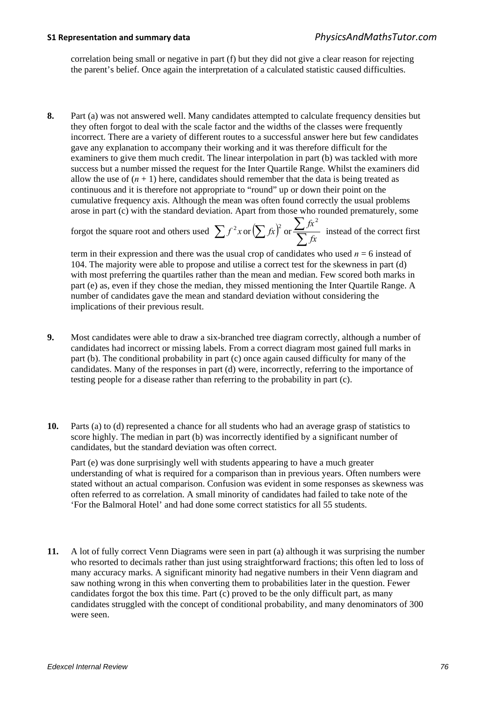correlation being small or negative in part (f) but they did not give a clear reason for rejecting the parent's belief. Once again the interpretation of a calculated statistic caused difficulties.

**8.** Part (a) was not answered well. Many candidates attempted to calculate frequency densities but they often forgot to deal with the scale factor and the widths of the classes were frequently incorrect. There are a variety of different routes to a successful answer here but few candidates gave any explanation to accompany their working and it was therefore difficult for the examiners to give them much credit. The linear interpolation in part (b) was tackled with more success but a number missed the request for the Inter Quartile Range. Whilst the examiners did allow the use of  $(n + 1)$  here, candidates should remember that the data is being treated as continuous and it is therefore not appropriate to "round" up or down their point on the cumulative frequency axis. Although the mean was often found correctly the usual problems arose in part (c) with the standard deviation. Apart from those who rounded prematurely, some

forgot the square root and others used  $\sum f^2 x$  or  $\sum f x^2$  *fx*  $\sum f x^2$  *instead of the correct first* 

term in their expression and there was the usual crop of candidates who used  $n = 6$  instead of 104. The majority were able to propose and utilise a correct test for the skewness in part (d) with most preferring the quartiles rather than the mean and median. Few scored both marks in part (e) as, even if they chose the median, they missed mentioning the Inter Quartile Range. A number of candidates gave the mean and standard deviation without considering the implications of their previous result.

- **9.** Most candidates were able to draw a six-branched tree diagram correctly, although a number of candidates had incorrect or missing labels. From a correct diagram most gained full marks in part (b). The conditional probability in part (c) once again caused difficulty for many of the candidates. Many of the responses in part (d) were, incorrectly, referring to the importance of testing people for a disease rather than referring to the probability in part (c).
- **10.** Parts (a) to (d) represented a chance for all students who had an average grasp of statistics to score highly. The median in part (b) was incorrectly identified by a significant number of candidates, but the standard deviation was often correct.

Part (e) was done surprisingly well with students appearing to have a much greater understanding of what is required for a comparison than in previous years. Often numbers were stated without an actual comparison. Confusion was evident in some responses as skewness was often referred to as correlation. A small minority of candidates had failed to take note of the 'For the Balmoral Hotel' and had done some correct statistics for all 55 students.

**11.** A lot of fully correct Venn Diagrams were seen in part (a) although it was surprising the number who resorted to decimals rather than just using straightforward fractions; this often led to loss of many accuracy marks. A significant minority had negative numbers in their Venn diagram and saw nothing wrong in this when converting them to probabilities later in the question. Fewer candidates forgot the box this time. Part (c) proved to be the only difficult part, as many candidates struggled with the concept of conditional probability, and many denominators of 300 were seen.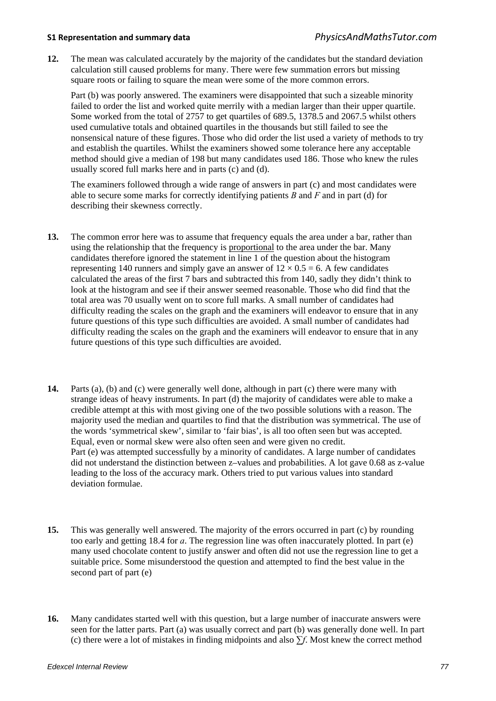**12.** The mean was calculated accurately by the majority of the candidates but the standard deviation calculation still caused problems for many. There were few summation errors but missing square roots or failing to square the mean were some of the more common errors.

Part (b) was poorly answered. The examiners were disappointed that such a sizeable minority failed to order the list and worked quite merrily with a median larger than their upper quartile. Some worked from the total of 2757 to get quartiles of 689.5, 1378.5 and 2067.5 whilst others used cumulative totals and obtained quartiles in the thousands but still failed to see the nonsensical nature of these figures. Those who did order the list used a variety of methods to try and establish the quartiles. Whilst the examiners showed some tolerance here any acceptable method should give a median of 198 but many candidates used 186. Those who knew the rules usually scored full marks here and in parts (c) and (d).

The examiners followed through a wide range of answers in part (c) and most candidates were able to secure some marks for correctly identifying patients *B* and *F* and in part (d) for describing their skewness correctly.

- **13.** The common error here was to assume that frequency equals the area under a bar, rather than using the relationship that the frequency is proportional to the area under the bar. Many candidates therefore ignored the statement in line 1 of the question about the histogram representing 140 runners and simply gave an answer of  $12 \times 0.5 = 6$ . A few candidates calculated the areas of the first 7 bars and subtracted this from 140, sadly they didn't think to look at the histogram and see if their answer seemed reasonable. Those who did find that the total area was 70 usually went on to score full marks. A small number of candidates had difficulty reading the scales on the graph and the examiners will endeavor to ensure that in any future questions of this type such difficulties are avoided. A small number of candidates had difficulty reading the scales on the graph and the examiners will endeavor to ensure that in any future questions of this type such difficulties are avoided.
- **14.** Parts (a), (b) and (c) were generally well done, although in part (c) there were many with strange ideas of heavy instruments. In part (d) the majority of candidates were able to make a credible attempt at this with most giving one of the two possible solutions with a reason. The majority used the median and quartiles to find that the distribution was symmetrical. The use of the words 'symmetrical skew', similar to 'fair bias', is all too often seen but was accepted. Equal, even or normal skew were also often seen and were given no credit. Part (e) was attempted successfully by a minority of candidates. A large number of candidates did not understand the distinction between z–values and probabilities. A lot gave 0.68 as z-value leading to the loss of the accuracy mark. Others tried to put various values into standard deviation formulae.
- **15.** This was generally well answered. The majority of the errors occurred in part (c) by rounding too early and getting 18.4 for *a*. The regression line was often inaccurately plotted. In part (e) many used chocolate content to justify answer and often did not use the regression line to get a suitable price. Some misunderstood the question and attempted to find the best value in the second part of part (e)
- **16.** Many candidates started well with this question, but a large number of inaccurate answers were seen for the latter parts. Part (a) was usually correct and part (b) was generally done well. In part (c) there were a lot of mistakes in finding midpoints and also ∑*f*. Most knew the correct method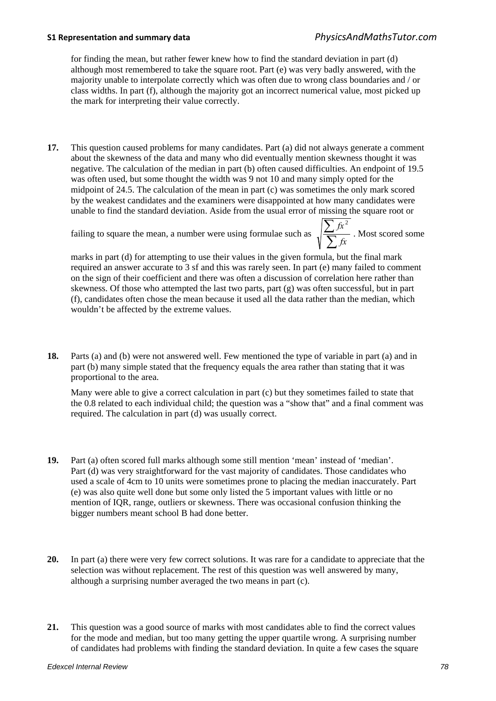for finding the mean, but rather fewer knew how to find the standard deviation in part (d) although most remembered to take the square root. Part (e) was very badly answered, with the majority unable to interpolate correctly which was often due to wrong class boundaries and / or class widths. In part (f), although the majority got an incorrect numerical value, most picked up the mark for interpreting their value correctly.

**17.** This question caused problems for many candidates. Part (a) did not always generate a comment about the skewness of the data and many who did eventually mention skewness thought it was negative. The calculation of the median in part (b) often caused difficulties. An endpoint of 19.5 was often used, but some thought the width was 9 not 10 and many simply opted for the midpoint of 24.5. The calculation of the mean in part (c) was sometimes the only mark scored by the weakest candidates and the examiners were disappointed at how many candidates were unable to find the standard deviation. Aside from the usual error of missing the square root or

failing to square the mean, a number were using formulae such as  $\sqrt{\frac{2}{\sum_{i=1}^{n} p_i^2}}$ 

 $f x^2$ . Most scored some

∑

*fx*

marks in part (d) for attempting to use their values in the given formula, but the final mark required an answer accurate to 3 sf and this was rarely seen. In part (e) many failed to comment on the sign of their coefficient and there was often a discussion of correlation here rather than skewness. Of those who attempted the last two parts, part (g) was often successful, but in part (f), candidates often chose the mean because it used all the data rather than the median, which wouldn't be affected by the extreme values.

**18.** Parts (a) and (b) were not answered well. Few mentioned the type of variable in part (a) and in part (b) many simple stated that the frequency equals the area rather than stating that it was proportional to the area.

Many were able to give a correct calculation in part (c) but they sometimes failed to state that the 0.8 related to each individual child; the question was a "show that" and a final comment was required. The calculation in part (d) was usually correct.

- **19.** Part (a) often scored full marks although some still mention 'mean' instead of 'median'. Part (d) was very straightforward for the vast majority of candidates. Those candidates who used a scale of 4cm to 10 units were sometimes prone to placing the median inaccurately. Part (e) was also quite well done but some only listed the 5 important values with little or no mention of IQR, range, outliers or skewness. There was occasional confusion thinking the bigger numbers meant school B had done better.
- **20.** In part (a) there were very few correct solutions. It was rare for a candidate to appreciate that the selection was without replacement. The rest of this question was well answered by many, although a surprising number averaged the two means in part (c).
- **21.** This question was a good source of marks with most candidates able to find the correct values for the mode and median, but too many getting the upper quartile wrong. A surprising number of candidates had problems with finding the standard deviation. In quite a few cases the square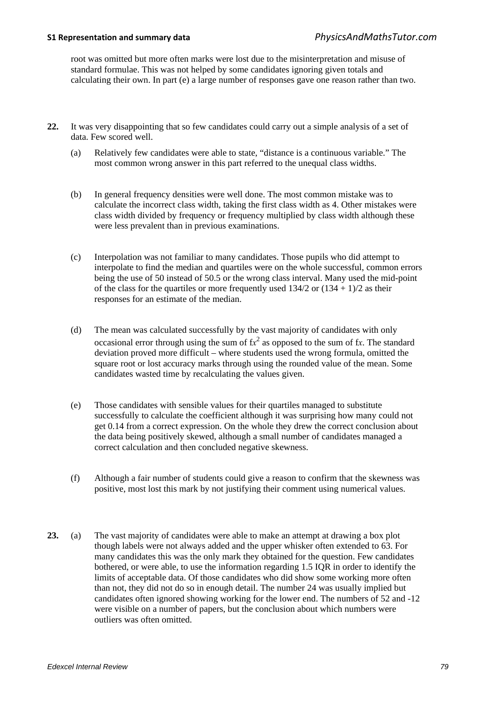root was omitted but more often marks were lost due to the misinterpretation and misuse of standard formulae. This was not helped by some candidates ignoring given totals and calculating their own. In part (e) a large number of responses gave one reason rather than two.

- **22.** It was very disappointing that so few candidates could carry out a simple analysis of a set of data. Few scored well.
	- (a) Relatively few candidates were able to state, "distance is a continuous variable." The most common wrong answer in this part referred to the unequal class widths.
	- (b) In general frequency densities were well done. The most common mistake was to calculate the incorrect class width, taking the first class width as 4. Other mistakes were class width divided by frequency or frequency multiplied by class width although these were less prevalent than in previous examinations.
	- (c) Interpolation was not familiar to many candidates. Those pupils who did attempt to interpolate to find the median and quartiles were on the whole successful, common errors being the use of 50 instead of 50.5 or the wrong class interval. Many used the mid-point of the class for the quartiles or more frequently used  $134/2$  or  $(134 + 1)/2$  as their responses for an estimate of the median.
	- (d) The mean was calculated successfully by the vast majority of candidates with only occasional error through using the sum of  $fx^2$  as opposed to the sum of fx. The standard deviation proved more difficult – where students used the wrong formula, omitted the square root or lost accuracy marks through using the rounded value of the mean. Some candidates wasted time by recalculating the values given.
	- (e) Those candidates with sensible values for their quartiles managed to substitute successfully to calculate the coefficient although it was surprising how many could not get 0.14 from a correct expression. On the whole they drew the correct conclusion about the data being positively skewed, although a small number of candidates managed a correct calculation and then concluded negative skewness.
	- (f) Although a fair number of students could give a reason to confirm that the skewness was positive, most lost this mark by not justifying their comment using numerical values.
- **23.** (a) The vast majority of candidates were able to make an attempt at drawing a box plot though labels were not always added and the upper whisker often extended to 63. For many candidates this was the only mark they obtained for the question. Few candidates bothered, or were able, to use the information regarding 1.5 IQR in order to identify the limits of acceptable data. Of those candidates who did show some working more often than not, they did not do so in enough detail. The number 24 was usually implied but candidates often ignored showing working for the lower end. The numbers of 52 and -12 were visible on a number of papers, but the conclusion about which numbers were outliers was often omitted.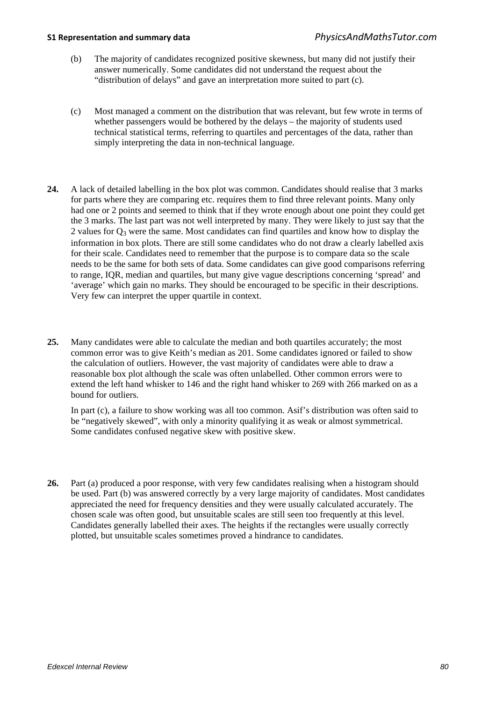- (b) The majority of candidates recognized positive skewness, but many did not justify their answer numerically. Some candidates did not understand the request about the "distribution of delays" and gave an interpretation more suited to part (c).
- (c) Most managed a comment on the distribution that was relevant, but few wrote in terms of whether passengers would be bothered by the delays – the majority of students used technical statistical terms, referring to quartiles and percentages of the data, rather than simply interpreting the data in non-technical language.
- **24.** A lack of detailed labelling in the box plot was common. Candidates should realise that 3 marks for parts where they are comparing etc. requires them to find three relevant points. Many only had one or 2 points and seemed to think that if they wrote enough about one point they could get the 3 marks. The last part was not well interpreted by many. They were likely to just say that the 2 values for  $Q_3$  were the same. Most candidates can find quartiles and know how to display the information in box plots. There are still some candidates who do not draw a clearly labelled axis for their scale. Candidates need to remember that the purpose is to compare data so the scale needs to be the same for both sets of data. Some candidates can give good comparisons referring to range, IQR, median and quartiles, but many give vague descriptions concerning 'spread' and 'average' which gain no marks. They should be encouraged to be specific in their descriptions. Very few can interpret the upper quartile in context.
- **25.** Many candidates were able to calculate the median and both quartiles accurately; the most common error was to give Keith's median as 201. Some candidates ignored or failed to show the calculation of outliers. However, the vast majority of candidates were able to draw a reasonable box plot although the scale was often unlabelled. Other common errors were to extend the left hand whisker to 146 and the right hand whisker to 269 with 266 marked on as a bound for outliers.

In part (c), a failure to show working was all too common. Asif's distribution was often said to be "negatively skewed", with only a minority qualifying it as weak or almost symmetrical. Some candidates confused negative skew with positive skew.

**26.** Part (a) produced a poor response, with very few candidates realising when a histogram should be used. Part (b) was answered correctly by a very large majority of candidates. Most candidates appreciated the need for frequency densities and they were usually calculated accurately. The chosen scale was often good, but unsuitable scales are still seen too frequently at this level. Candidates generally labelled their axes. The heights if the rectangles were usually correctly plotted, but unsuitable scales sometimes proved a hindrance to candidates.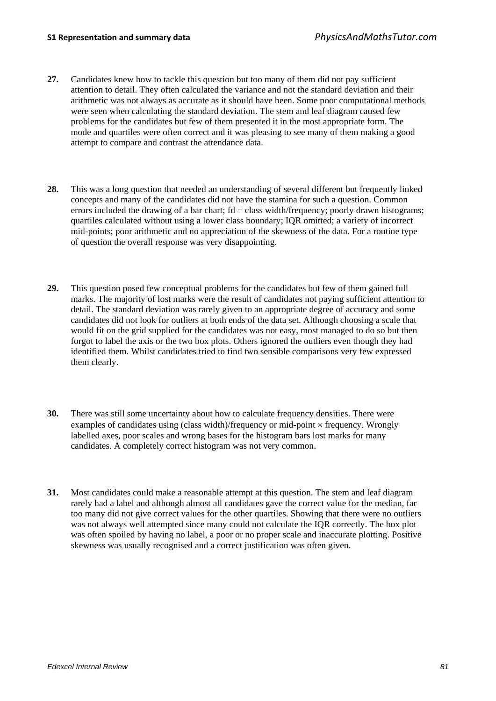- **27.** Candidates knew how to tackle this question but too many of them did not pay sufficient attention to detail. They often calculated the variance and not the standard deviation and their arithmetic was not always as accurate as it should have been. Some poor computational methods were seen when calculating the standard deviation. The stem and leaf diagram caused few problems for the candidates but few of them presented it in the most appropriate form. The mode and quartiles were often correct and it was pleasing to see many of them making a good attempt to compare and contrast the attendance data.
- **28.** This was a long question that needed an understanding of several different but frequently linked concepts and many of the candidates did not have the stamina for such a question. Common errors included the drawing of a bar chart;  $fd = class width/frequency$ ; poorly drawn histograms; quartiles calculated without using a lower class boundary; IQR omitted; a variety of incorrect mid-points; poor arithmetic and no appreciation of the skewness of the data. For a routine type of question the overall response was very disappointing.
- **29.** This question posed few conceptual problems for the candidates but few of them gained full marks. The majority of lost marks were the result of candidates not paying sufficient attention to detail. The standard deviation was rarely given to an appropriate degree of accuracy and some candidates did not look for outliers at both ends of the data set. Although choosing a scale that would fit on the grid supplied for the candidates was not easy, most managed to do so but then forgot to label the axis or the two box plots. Others ignored the outliers even though they had identified them. Whilst candidates tried to find two sensible comparisons very few expressed them clearly.
- **30.** There was still some uncertainty about how to calculate frequency densities. There were examples of candidates using (class width)/frequency or mid-point × frequency. Wrongly labelled axes, poor scales and wrong bases for the histogram bars lost marks for many candidates. A completely correct histogram was not very common.
- **31.** Most candidates could make a reasonable attempt at this question. The stem and leaf diagram rarely had a label and although almost all candidates gave the correct value for the median, far too many did not give correct values for the other quartiles. Showing that there were no outliers was not always well attempted since many could not calculate the IQR correctly. The box plot was often spoiled by having no label, a poor or no proper scale and inaccurate plotting. Positive skewness was usually recognised and a correct justification was often given.